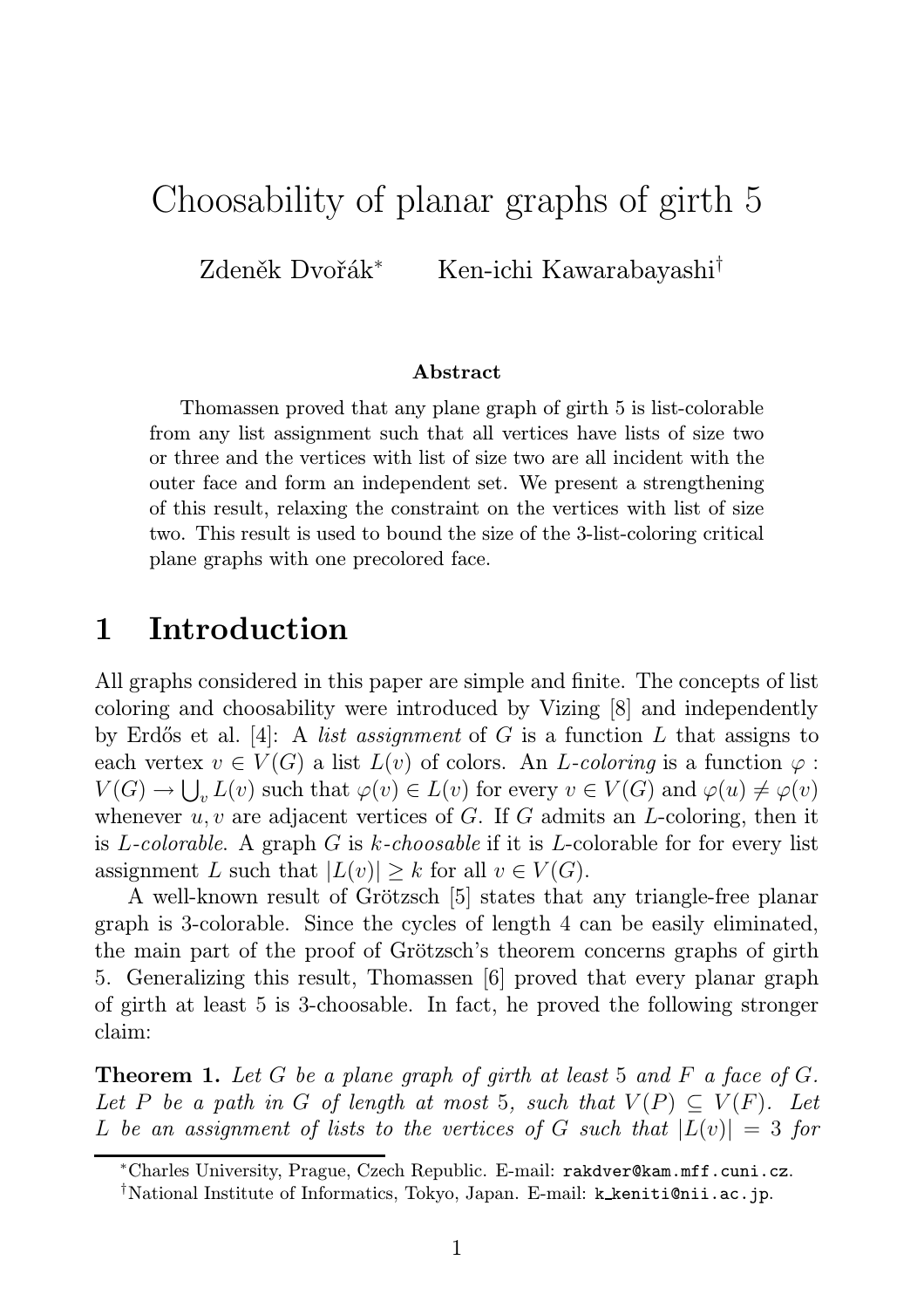# Choosability of planar graphs of girth 5

Zdeněk Dvořák<sup>∗</sup> Ken-ichi Kawarabayashi†

#### Abstract

Thomassen proved that any plane graph of girth 5 is list-colorable from any list assignment such that all vertices have lists of size two or three and the vertices with list of size two are all incident with the outer face and form an independent set. We present a strengthening of this result, relaxing the constraint on the vertices with list of size two. This result is used to bound the size of the 3-list-coloring critical plane graphs with one precolored face.

### 1 Introduction

All graphs considered in this paper are simple and finite. The concepts of list coloring and choosability were introduced by Vizing [8] and independently by Erd˝os et al. [4]: A *list assignment* of G is a function L that assigns to each vertex  $v \in V(G)$  a list  $L(v)$  of colors. An *L-coloring* is a function  $\varphi$ :  $V(G) \to \bigcup_{v} L(v)$  such that  $\varphi(v) \in L(v)$  for every  $v \in V(G)$  and  $\varphi(u) \neq \varphi(v)$ whenever  $u, v$  are adjacent vertices of G. If G admits an L-coloring, then it is L*-colorable*. A graph G is k*-choosable* if it is L-colorable for for every list assignment L such that  $|L(v)| \geq k$  for all  $v \in V(G)$ .

A well-known result of Grötzsch [5] states that any triangle-free planar graph is 3-colorable. Since the cycles of length 4 can be easily eliminated, the main part of the proof of Grötzsch's theorem concerns graphs of girth 5. Generalizing this result, Thomassen [6] proved that every planar graph of girth at least 5 is 3-choosable. In fact, he proved the following stronger claim:

Theorem 1. *Let* G *be a plane graph of girth at least* 5 *and* F *a face of* G*. Let* P *be a path in* G *of length at most* 5*, such that*  $V(P) \subseteq V(F)$ *. Let* L be an assignment of lists to the vertices of G such that  $|L(v)| = 3$  for

<sup>∗</sup>Charles University, Prague, Czech Republic. E-mail: rakdver@kam.mff.cuni.cz.

<sup>†</sup>National Institute of Informatics, Tokyo, Japan. E-mail: k keniti@nii.ac.jp.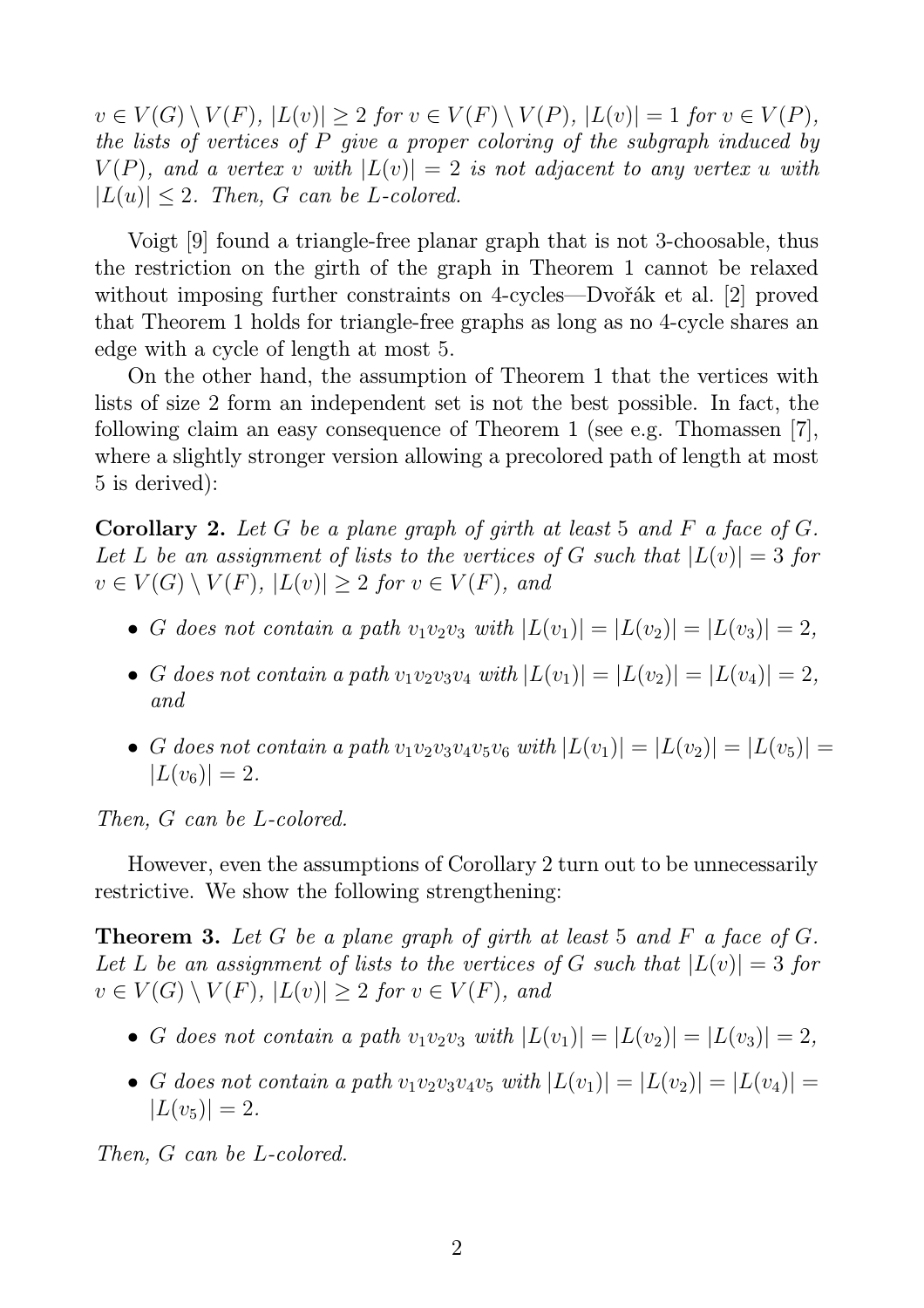$v \in V(G) \setminus V(F)$ ,  $|L(v)| > 2$  *for*  $v \in V(F) \setminus V(P)$ ,  $|L(v)| = 1$  *for*  $v \in V(P)$ *, the lists of vertices of* P *give a proper coloring of the subgraph induced by*  $V(P)$ , and a vertex v with  $|L(v)| = 2$  is not adjacent to any vertex u with  $|L(u)| \leq 2$ . Then, G can be L-colored.

Voigt [9] found a triangle-free planar graph that is not 3-choosable, thus the restriction on the girth of the graph in Theorem 1 cannot be relaxed without imposing further constraints on 4-cycles—Dvořák et al. [2] proved that Theorem 1 holds for triangle-free graphs as long as no 4-cycle shares an edge with a cycle of length at most 5.

On the other hand, the assumption of Theorem 1 that the vertices with lists of size 2 form an independent set is not the best possible. In fact, the following claim an easy consequence of Theorem 1 (see e.g. Thomassen [7], where a slightly stronger version allowing a precolored path of length at most 5 is derived):

Corollary 2. *Let* G *be a plane graph of girth at least* 5 *and* F *a face of* G*.* Let L be an assignment of lists to the vertices of G such that  $|L(v)| = 3$  for  $v \in V(G) \setminus V(F)$ ,  $|L(v)| \geq 2$  *for*  $v \in V(F)$ *, and* 

- G does not contain a path  $v_1v_2v_3$  with  $|L(v_1)| = |L(v_2)| = |L(v_3)| = 2$ ,
- G does not contain a path  $v_1v_2v_3v_4$  with  $|L(v_1)| = |L(v_2)| = |L(v_4)| = 2$ , *and*
- G does not contain a path  $v_1v_2v_3v_4v_5v_6$  with  $|L(v_1)| = |L(v_2)| = |L(v_5)| =$  $|L(v_6)| = 2.$

*Then,* G *can be* L*-colored.*

However, even the assumptions of Corollary 2 turn out to be unnecessarily restrictive. We show the following strengthening:

Theorem 3. *Let* G *be a plane graph of girth at least* 5 *and* F *a face of* G*.* Let L be an assignment of lists to the vertices of G such that  $|L(v)| = 3$  for  $v \in V(G) \setminus V(F)$ ,  $|L(v)| \geq 2$  *for*  $v \in V(F)$ *, and* 

- G does not contain a path  $v_1v_2v_3$  with  $|L(v_1)| = |L(v_2)| = |L(v_3)| = 2$ ,
- G does not contain a path  $v_1v_2v_3v_4v_5$  with  $|L(v_1)| = |L(v_2)| = |L(v_4)| =$  $|L(v_5)| = 2.$

*Then,* G *can be* L*-colored.*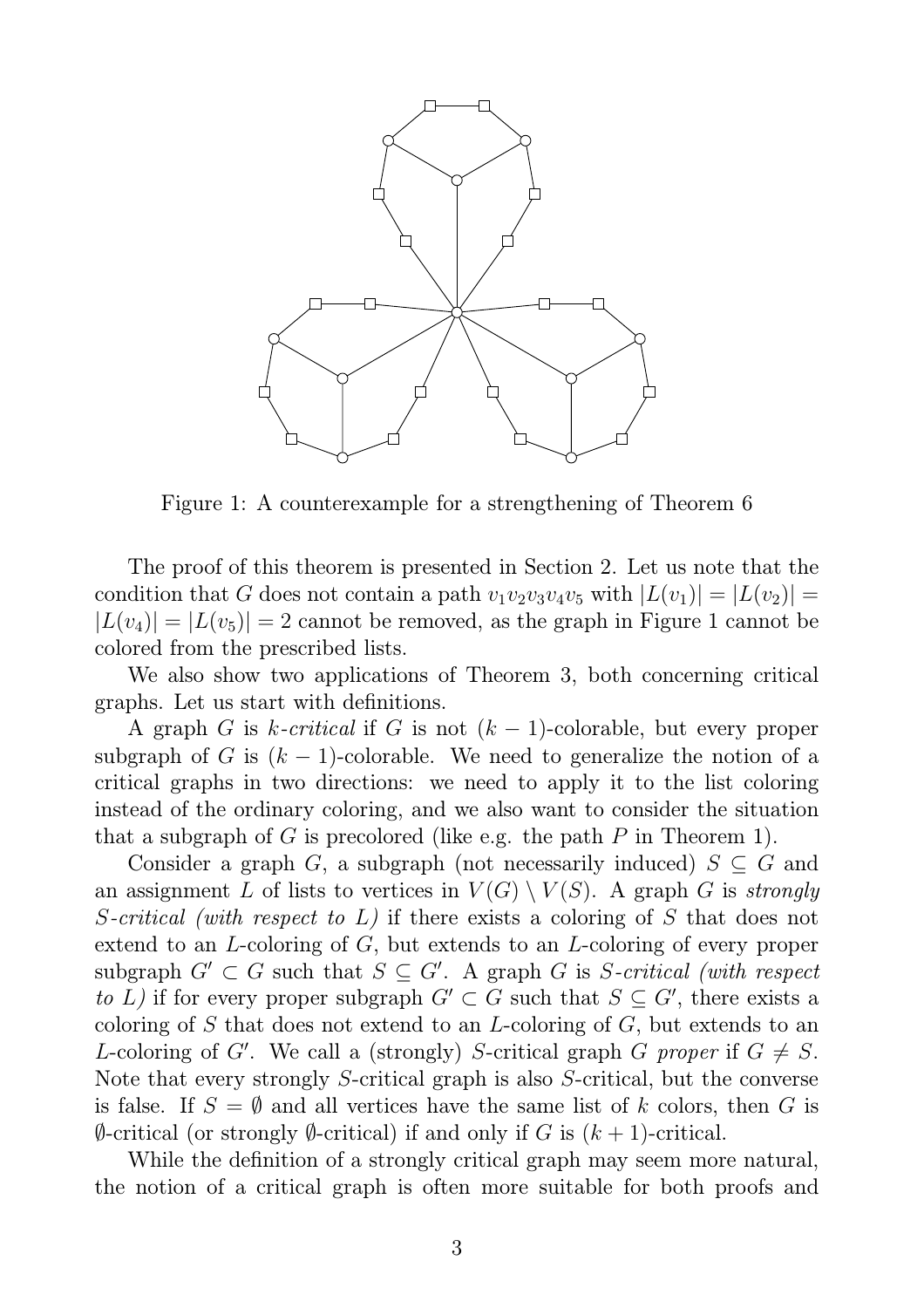

Figure 1: A counterexample for a strengthening of Theorem 6

The proof of this theorem is presented in Section 2. Let us note that the condition that G does not contain a path  $v_1v_2v_3v_4v_5$  with  $|L(v_1)| = |L(v_2)| =$  $|L(v_4)| = |L(v_5)| = 2$  cannot be removed, as the graph in Figure 1 cannot be colored from the prescribed lists.

We also show two applications of Theorem 3, both concerning critical graphs. Let us start with definitions.

A graph G is k-critical if G is not  $(k-1)$ -colorable, but every proper subgraph of G is  $(k-1)$ -colorable. We need to generalize the notion of a critical graphs in two directions: we need to apply it to the list coloring instead of the ordinary coloring, and we also want to consider the situation that a subgraph of G is precolored (like e.g. the path  $P$  in Theorem 1).

Consider a graph G, a subgraph (not necessarily induced)  $S \subseteq G$  and an assignment L of lists to vertices in  $V(G) \setminus V(S)$ . A graph G is *strongly* S*-critical (with respect to* L*)* if there exists a coloring of S that does not extend to an L-coloring of G, but extends to an L-coloring of every proper subgraph  $G' \subset G$  such that  $S \subseteq G'$ . A graph G is S-critical (with respect *to* L) if for every proper subgraph  $G' \subset G$  such that  $S \subseteq G'$ , there exists a coloring of S that does not extend to an L-coloring of  $G$ , but extends to an L-coloring of G'. We call a (strongly) S-critical graph G *proper* if  $G \neq S$ . Note that every strongly S-critical graph is also S-critical, but the converse is false. If  $S = \emptyset$  and all vertices have the same list of k colors, then G is  $\emptyset$ -critical (or strongly  $\emptyset$ -critical) if and only if G is  $(k+1)$ -critical.

While the definition of a strongly critical graph may seem more natural, the notion of a critical graph is often more suitable for both proofs and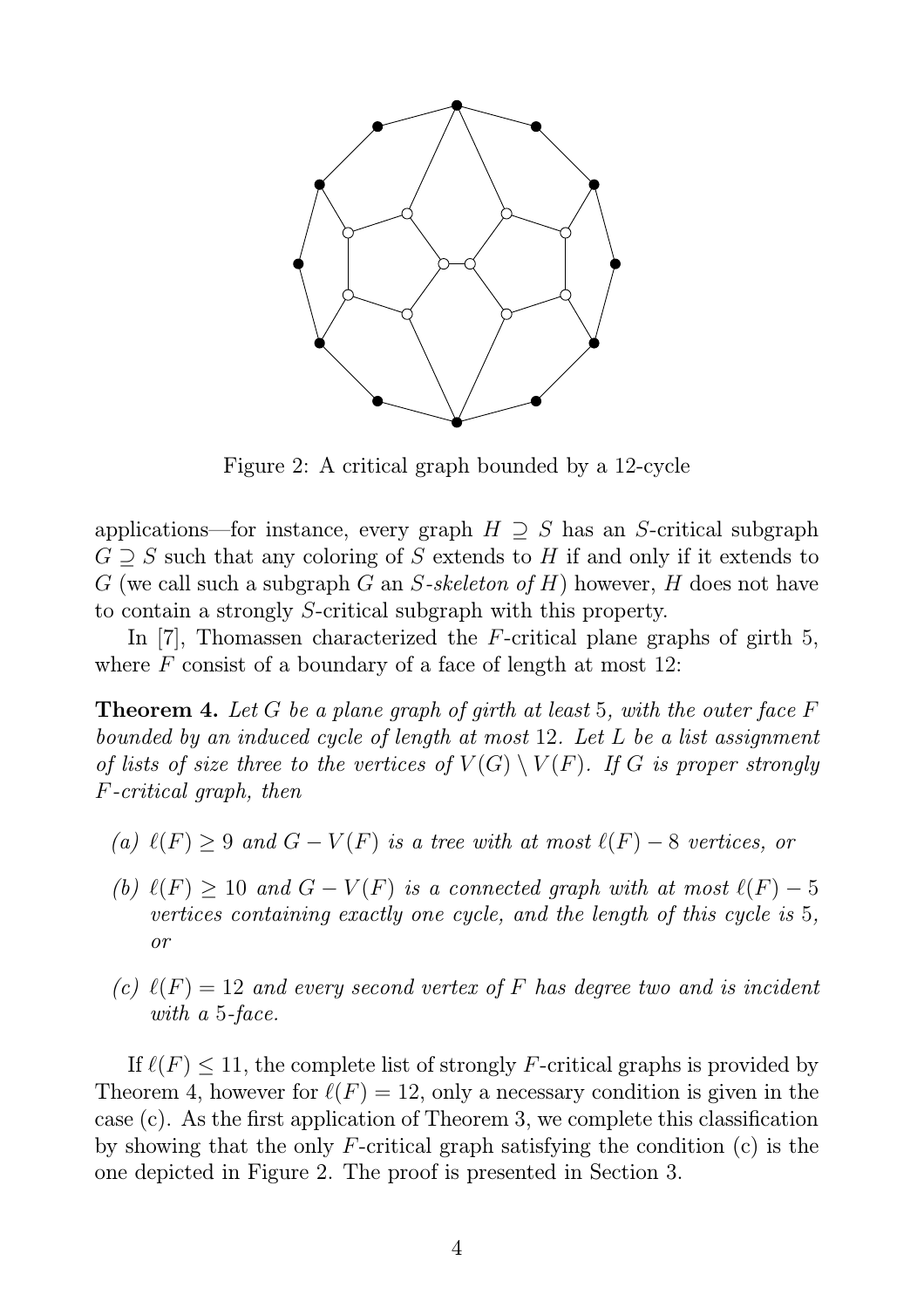

Figure 2: A critical graph bounded by a 12-cycle

applications—for instance, every graph  $H \supseteq S$  has an S-critical subgraph  $G \supseteq S$  such that any coloring of S extends to H if and only if it extends to G (we call such a subgraph G an S*-skeleton of* H) however, H does not have to contain a strongly S-critical subgraph with this property.

In [7], Thomassen characterized the F-critical plane graphs of girth 5, where  $F$  consist of a boundary of a face of length at most 12:

Theorem 4. *Let* G *be a plane graph of girth at least* 5*, with the outer face* F *bounded by an induced cycle of length at most* 12*. Let* L *be a list assignment of lists of size three to the vertices of*  $V(G) \setminus V(F)$ *. If* G *is proper strongly* F*-critical graph, then*

- *(a)*  $\ell(F) \geq 9$  *and*  $G V(F)$  *is a tree with at most*  $\ell(F) 8$  *vertices, or*
- *(b)*  $\ell(F) \geq 10$  *and*  $G V(F)$  *is a connected graph with at most*  $\ell(F) 5$ *vertices containing exactly one cycle, and the length of this cycle is* 5*, or*
- *(c)*  $\ell(F) = 12$  *and every second vertex of* F *has degree two and is incident with a* 5*-face.*

If  $\ell(F) \leq 11$ , the complete list of strongly F-critical graphs is provided by Theorem 4, however for  $\ell(F) = 12$ , only a necessary condition is given in the case (c). As the first application of Theorem 3, we complete this classification by showing that the only F-critical graph satisfying the condition (c) is the one depicted in Figure 2. The proof is presented in Section 3.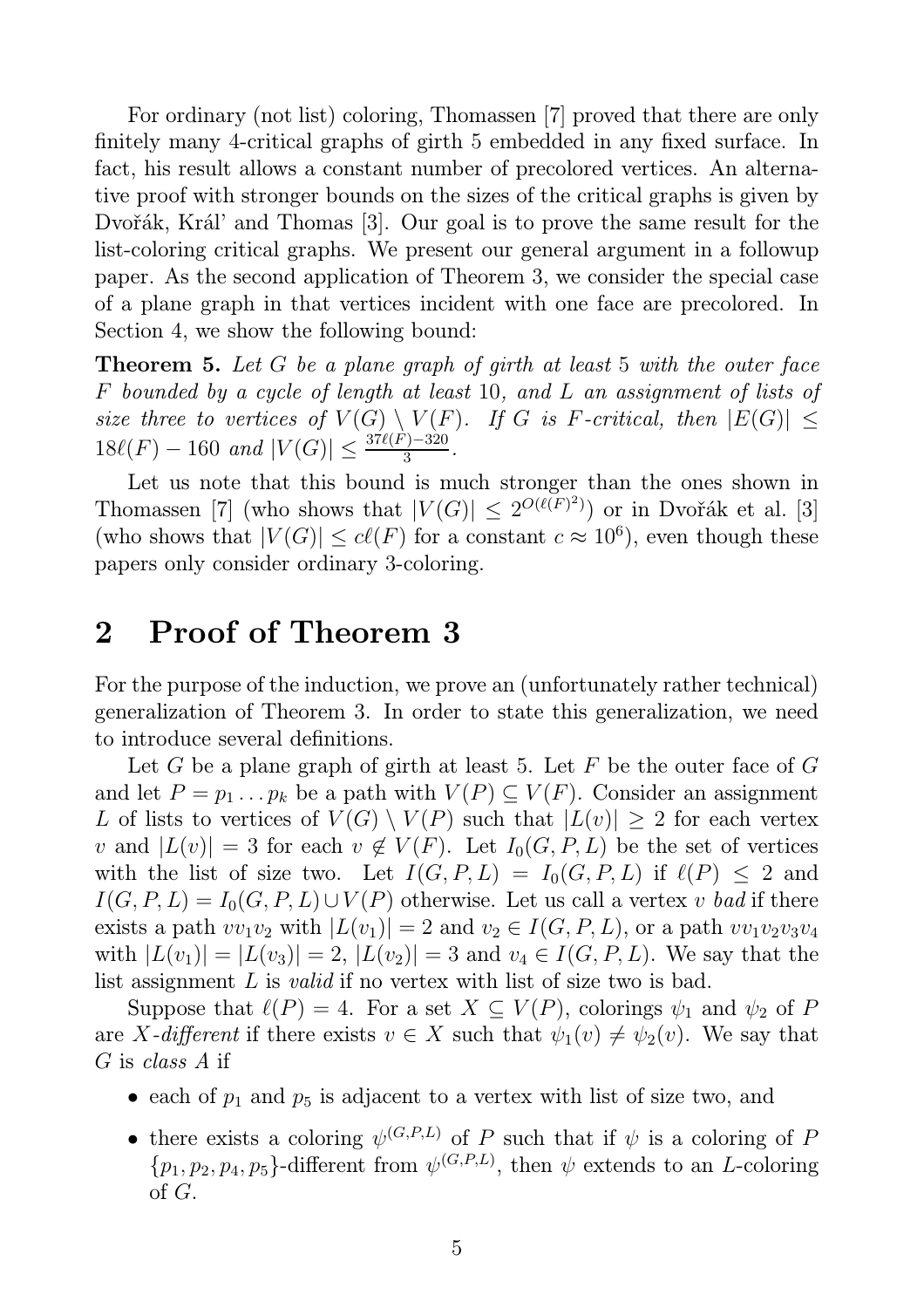For ordinary (not list) coloring, Thomassen [7] proved that there are only finitely many 4-critical graphs of girth 5 embedded in any fixed surface. In fact, his result allows a constant number of precolored vertices. An alternative proof with stronger bounds on the sizes of the critical graphs is given by Dvořák, Král' and Thomas [3]. Our goal is to prove the same result for the list-coloring critical graphs. We present our general argument in a followup paper. As the second application of Theorem 3, we consider the special case of a plane graph in that vertices incident with one face are precolored. In Section 4, we show the following bound:

Theorem 5. *Let* G *be a plane graph of girth at least* 5 *with the outer face* F *bounded by a cycle of length at least* 10*, and* L *an assignment of lists of size three to vertices of*  $V(G) \setminus V(F)$ *. If* G *is* F-critical, then  $|E(G)| \le$  $18\ell(F) - 160$  and  $|V(G)| \leq \frac{37\ell(F) - 320}{3}$ .

Let us note that this bound is much stronger than the ones shown in Thomassen [7] (who shows that  $|V(G)| \leq 2^{O(\ell(F)^2)}$ ) or in Dvořák et al. [3] (who shows that  $|V(G)| \leq c\ell(F)$  for a constant  $c \approx 10^6$ ), even though these papers only consider ordinary 3-coloring.

### 2 Proof of Theorem 3

For the purpose of the induction, we prove an (unfortunately rather technical) generalization of Theorem 3. In order to state this generalization, we need to introduce several definitions.

Let G be a plane graph of girth at least 5. Let F be the outer face of  $G$ and let  $P = p_1 \dots p_k$  be a path with  $V(P) \subseteq V(F)$ . Consider an assignment L of lists to vertices of  $V(G) \setminus V(P)$  such that  $|L(v)| \geq 2$  for each vertex v and  $|L(v)| = 3$  for each  $v \notin V(F)$ . Let  $I_0(G, P, L)$  be the set of vertices with the list of size two. Let  $I(G, P, L) = I_0(G, P, L)$  if  $\ell(P) \leq 2$  and  $I(G, P, L) = I_0(G, P, L) \cup V(P)$  otherwise. Let us call a vertex v *bad* if there exists a path  $vv_1v_2$  with  $|L(v_1)| = 2$  and  $v_2 \in I(G, P, L)$ , or a path  $vv_1v_2v_3v_4$ with  $|L(v_1)| = |L(v_3)| = 2$ ,  $|L(v_2)| = 3$  and  $v_4 \in I(G, P, L)$ . We say that the list assignment L is *valid* if no vertex with list of size two is bad.

Suppose that  $\ell(P) = 4$ . For a set  $X \subseteq V(P)$ , colorings  $\psi_1$  and  $\psi_2$  of P are X-different if there exists  $v \in X$  such that  $\psi_1(v) \neq \psi_2(v)$ . We say that G is *class A* if

- each of  $p_1$  and  $p_5$  is adjacent to a vertex with list of size two, and
- there exists a coloring  $\psi^{(G,P,L)}$  of P such that if  $\psi$  is a coloring of P  $\{p_1, p_2, p_4, p_5\}$ -different from  $\psi^{(G,P,L)}$ , then  $\psi$  extends to an *L*-coloring of G.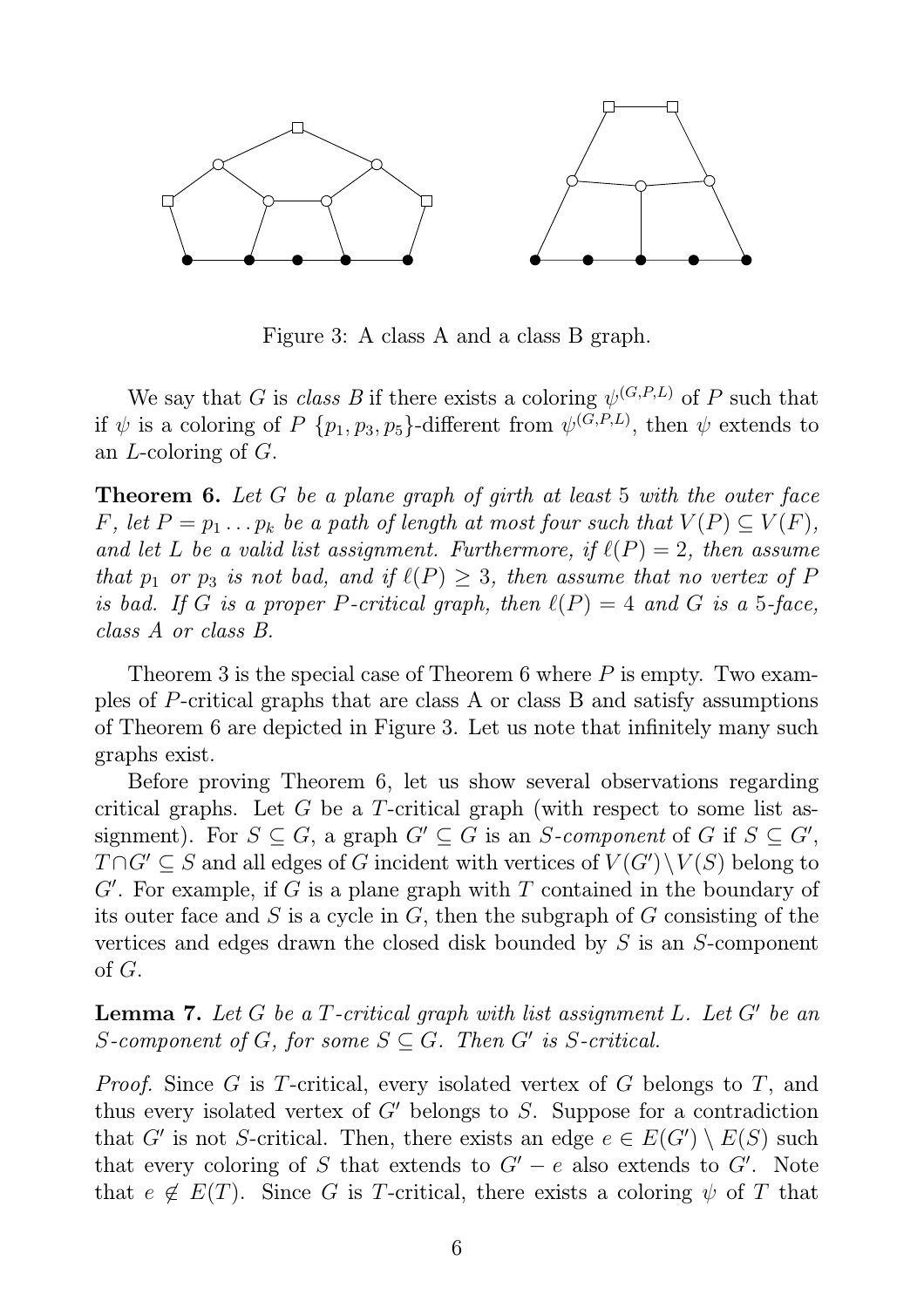

Figure 3: A class A and a class B graph.

We say that G is *class B* if there exists a coloring  $\psi^{(G,P,L)}$  of P such that if  $\psi$  is a coloring of P  $\{p_1, p_3, p_5\}$ -different from  $\psi^{(G,P,L)}$ , then  $\psi$  extends to an L-coloring of G.

Theorem 6. *Let* G *be a plane graph of girth at least* 5 *with the outer face* F, let  $P = p_1 \ldots p_k$  be a path of length at most four such that  $V(P) \subseteq V(F)$ , *and let* L *be a valid list assignment. Furthermore, if*  $\ell(P) = 2$ *, then assume that*  $p_1$  *or*  $p_3$  *is not bad, and if*  $\ell(P) \geq 3$ *, then assume that no vertex of* P *is bad.* If G *is a proper* P-critical graph, then  $\ell(P) = 4$  and G is a 5-face, *class A or class B.*

Theorem 3 is the special case of Theorem 6 where  $P$  is empty. Two examples of P-critical graphs that are class A or class B and satisfy assumptions of Theorem 6 are depicted in Figure 3. Let us note that infinitely many such graphs exist.

Before proving Theorem 6, let us show several observations regarding critical graphs. Let G be a T-critical graph (with respect to some list assignment). For  $S \subseteq G$ , a graph  $G' \subseteq G$  is an S-component of G if  $S \subseteq G'$ ,  $T \cap G' \subseteq S$  and all edges of G incident with vertices of  $V(G') \setminus V(S)$  belong to  $G'$ . For example, if  $G$  is a plane graph with  $T$  contained in the boundary of its outer face and S is a cycle in  $G$ , then the subgraph of  $G$  consisting of the vertices and edges drawn the closed disk bounded by S is an S-component of G.

Lemma 7. *Let* G *be a* T*-critical graph with list assignment* L*. Let* G′ *be an* S-component of G, for some  $S \subseteq G$ . Then G' is S-critical.

*Proof.* Since G is T-critical, every isolated vertex of G belongs to T, and thus every isolated vertex of  $G'$  belongs to S. Suppose for a contradiction that G' is not S-critical. Then, there exists an edge  $e \in E(G') \setminus E(S)$  such that every coloring of S that extends to  $G' - e$  also extends to  $G'$ . Note that  $e \notin E(T)$ . Since G is T-critical, there exists a coloring  $\psi$  of T that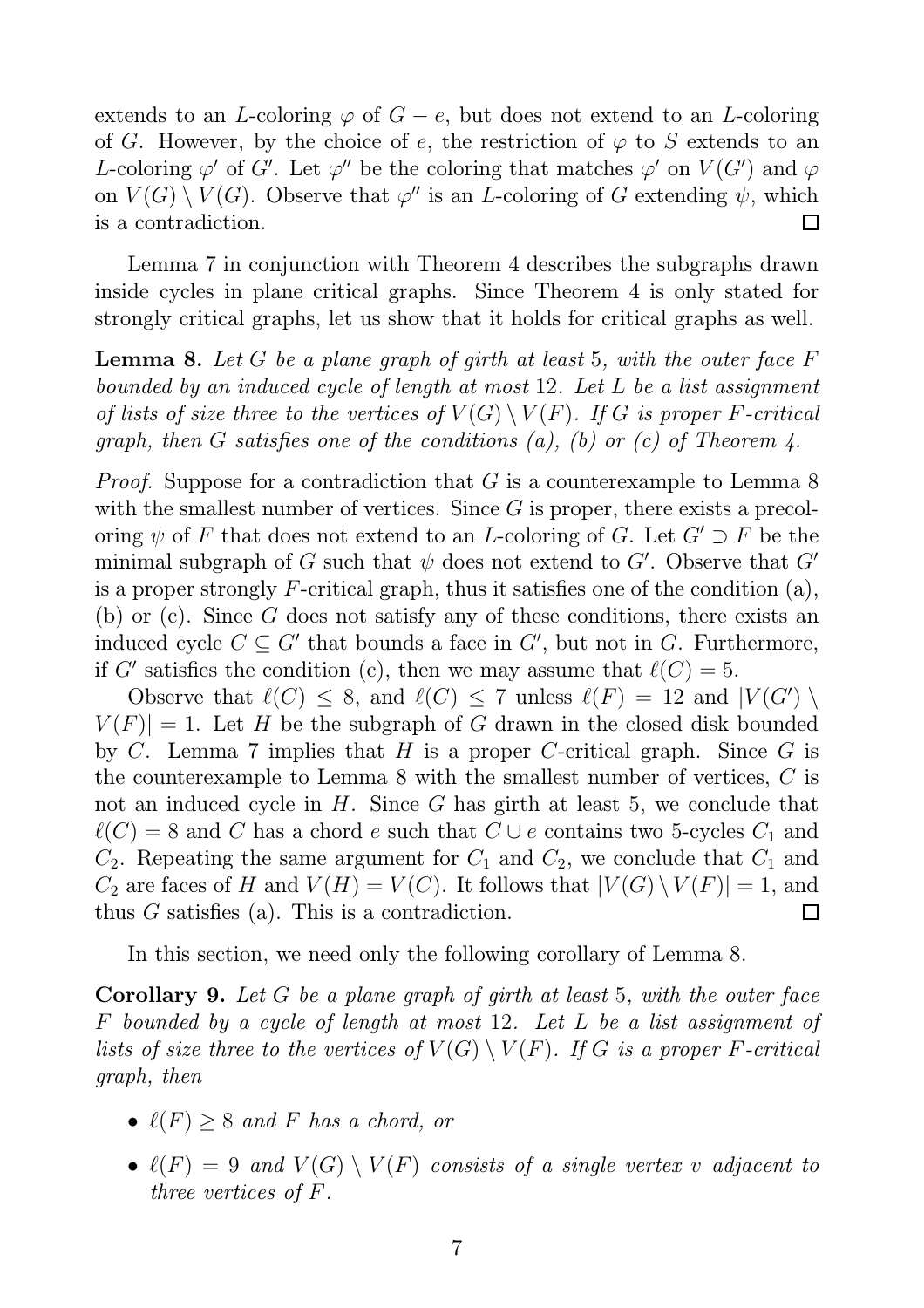extends to an L-coloring  $\varphi$  of  $G - e$ , but does not extend to an L-coloring of G. However, by the choice of e, the restriction of  $\varphi$  to S extends to an L-coloring  $\varphi'$  of G'. Let  $\varphi''$  be the coloring that matches  $\varphi'$  on  $V(G')$  and  $\varphi$ on  $V(G) \setminus V(G)$ . Observe that  $\varphi''$  is an *L*-coloring of G extending  $\psi$ , which is a contradiction.  $\Box$ 

Lemma 7 in conjunction with Theorem 4 describes the subgraphs drawn inside cycles in plane critical graphs. Since Theorem 4 is only stated for strongly critical graphs, let us show that it holds for critical graphs as well.

Lemma 8. *Let* G *be a plane graph of girth at least* 5*, with the outer face* F *bounded by an induced cycle of length at most* 12*. Let* L *be a list assignment of lists of size three to the vertices of*  $V(G) \setminus V(F)$ *. If* G *is proper* F-critical *graph, then* G *satisfies one of the conditions (a), (b) or (c) of Theorem 4.*

*Proof.* Suppose for a contradiction that G is a counterexample to Lemma 8 with the smallest number of vertices. Since  $G$  is proper, there exists a precoloring  $\psi$  of F that does not extend to an L-coloring of G. Let  $G' \supset F$  be the minimal subgraph of G such that  $\psi$  does not extend to G'. Observe that G' is a proper strongly F-critical graph, thus it satisfies one of the condition  $(a)$ , (b) or (c). Since G does not satisfy any of these conditions, there exists an induced cycle  $C \subseteq G'$  that bounds a face in  $G'$ , but not in G. Furthermore, if G' satisfies the condition (c), then we may assume that  $\ell(C) = 5$ .

Observe that  $\ell(C) \leq 8$ , and  $\ell(C) \leq 7$  unless  $\ell(F) = 12$  and  $|V(G')|$  $V(F)| = 1$ . Let H be the subgraph of G drawn in the closed disk bounded by C. Lemma 7 implies that H is a proper C-critical graph. Since G is the counterexample to Lemma 8 with the smallest number of vertices, C is not an induced cycle in H. Since G has girth at least 5, we conclude that  $\ell(C) = 8$  and C has a chord e such that  $C \cup e$  contains two 5-cycles  $C_1$  and  $C_2$ . Repeating the same argument for  $C_1$  and  $C_2$ , we conclude that  $C_1$  and  $C_2$  are faces of H and  $V(H) = V(C)$ . It follows that  $|V(G) \setminus V(F)| = 1$ , and thus G satisfies (a). This is a contradiction.  $\Box$ 

In this section, we need only the following corollary of Lemma 8.

Corollary 9. *Let* G *be a plane graph of girth at least* 5*, with the outer face* F *bounded by a cycle of length at most* 12*. Let* L *be a list assignment of lists of size three to the vertices of*  $V(G) \setminus V(F)$ *. If* G *is a proper* F-critical *graph, then*

- $\ell(F) \geq 8$  *and* F *has a chord, or*
- $\ell(F) = 9$  *and*  $V(G) \setminus V(F)$  *consists of a single vertex* v *adjacent to three vertices of* F*.*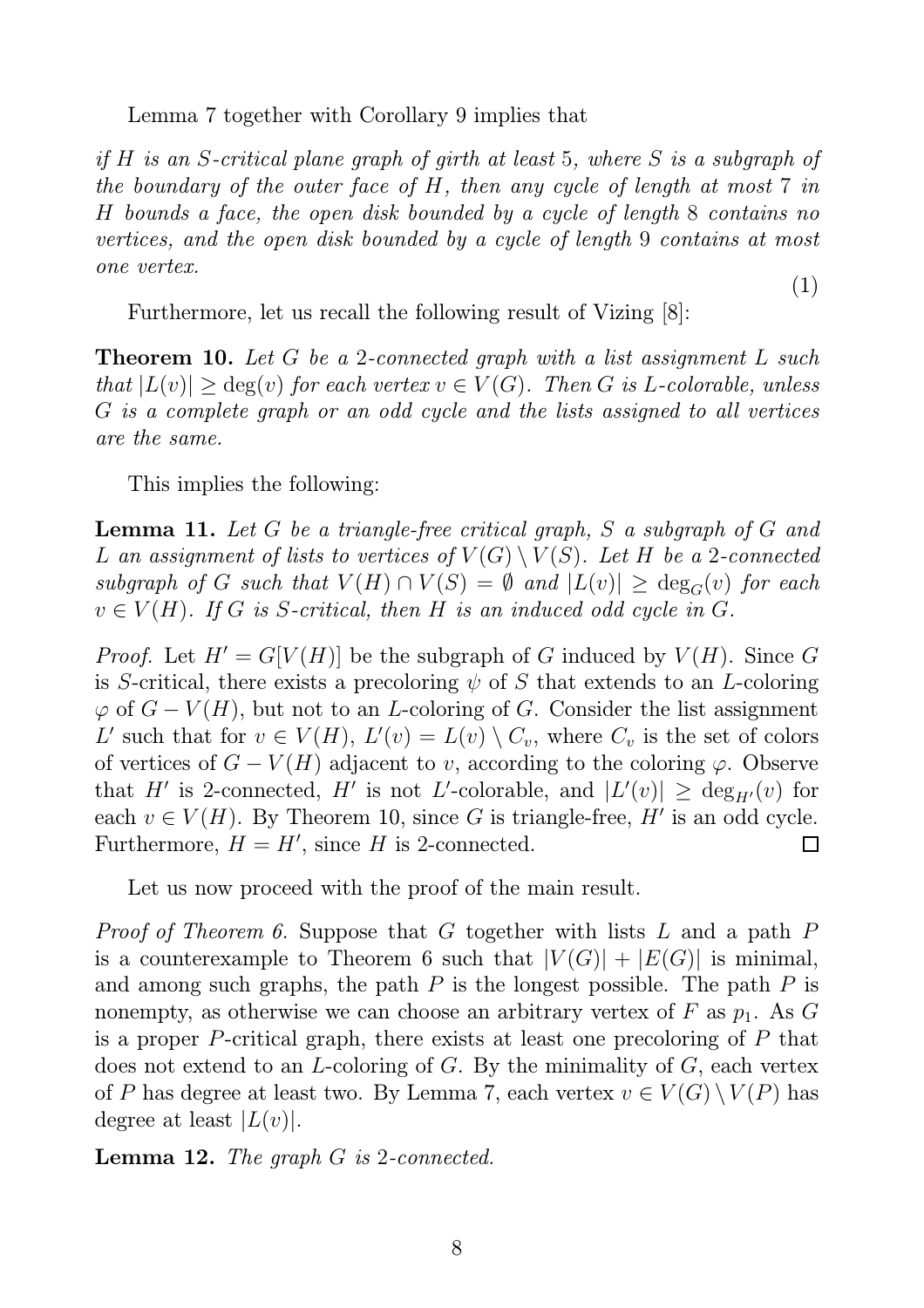Lemma 7 together with Corollary 9 implies that

*if* H *is an* S*-critical plane graph of girth at least* 5*, where* S *is a subgraph of the boundary of the outer face of* H*, then any cycle of length at most* 7 *in* H *bounds a face, the open disk bounded by a cycle of length* 8 *contains no vertices, and the open disk bounded by a cycle of length* 9 *contains at most one vertex.* (1)

Furthermore, let us recall the following result of Vizing  $|8|$ :

Theorem 10. *Let* G *be a* 2*-connected graph with a list assignment* L *such that*  $|L(v)| > deg(v)$  *for each vertex*  $v \in V(G)$ *. Then G is L*-*colorable, unless* G *is a complete graph or an odd cycle and the lists assigned to all vertices are the same.*

This implies the following:

Lemma 11. *Let* G *be a triangle-free critical graph,* S *a subgraph of* G *and* L an assignment of lists to vertices of  $V(G) \setminus V(S)$ . Let H be a 2-connected  $subgraph$  of G such that  $V(H) \cap V(S) = \emptyset$  and  $|L(v)| \geq deg_G(v)$  for each  $v \in V(H)$ *. If* G *is* S-critical, then H *is an induced odd cycle in* G.

*Proof.* Let  $H' = G[V(H)]$  be the subgraph of G induced by  $V(H)$ . Since G is S-critical, there exists a precoloring  $\psi$  of S that extends to an L-coloring  $\varphi$  of  $G - V(H)$ , but not to an *L*-coloring of G. Consider the list assignment L' such that for  $v \in V(H)$ ,  $L'(v) = L(v) \setminus C_v$ , where  $C_v$  is the set of colors of vertices of  $G - V(H)$  adjacent to v, according to the coloring  $\varphi$ . Observe that H' is 2-connected, H' is not L'-colorable, and  $|L'(v)| \ge \deg_{H'}(v)$  for each  $v \in V(H)$ . By Theorem 10, since G is triangle-free, H' is an odd cycle. Furthermore,  $H = H'$ , since H is 2-connected.  $\Box$ 

Let us now proceed with the proof of the main result.

*Proof of Theorem 6.* Suppose that G together with lists L and a path P is a counterexample to Theorem 6 such that  $|V(G)| + |E(G)|$  is minimal, and among such graphs, the path  $P$  is the longest possible. The path  $P$  is nonempty, as otherwise we can choose an arbitrary vertex of F as  $p_1$ . As G is a proper P-critical graph, there exists at least one precoloring of P that does not extend to an *L*-coloring of *G*. By the minimality of *G*, each vertex of P has degree at least two. By Lemma 7, each vertex  $v \in V(G) \setminus V(P)$  has degree at least  $|L(v)|$ .

Lemma 12. *The graph* G *is* 2*-connected.*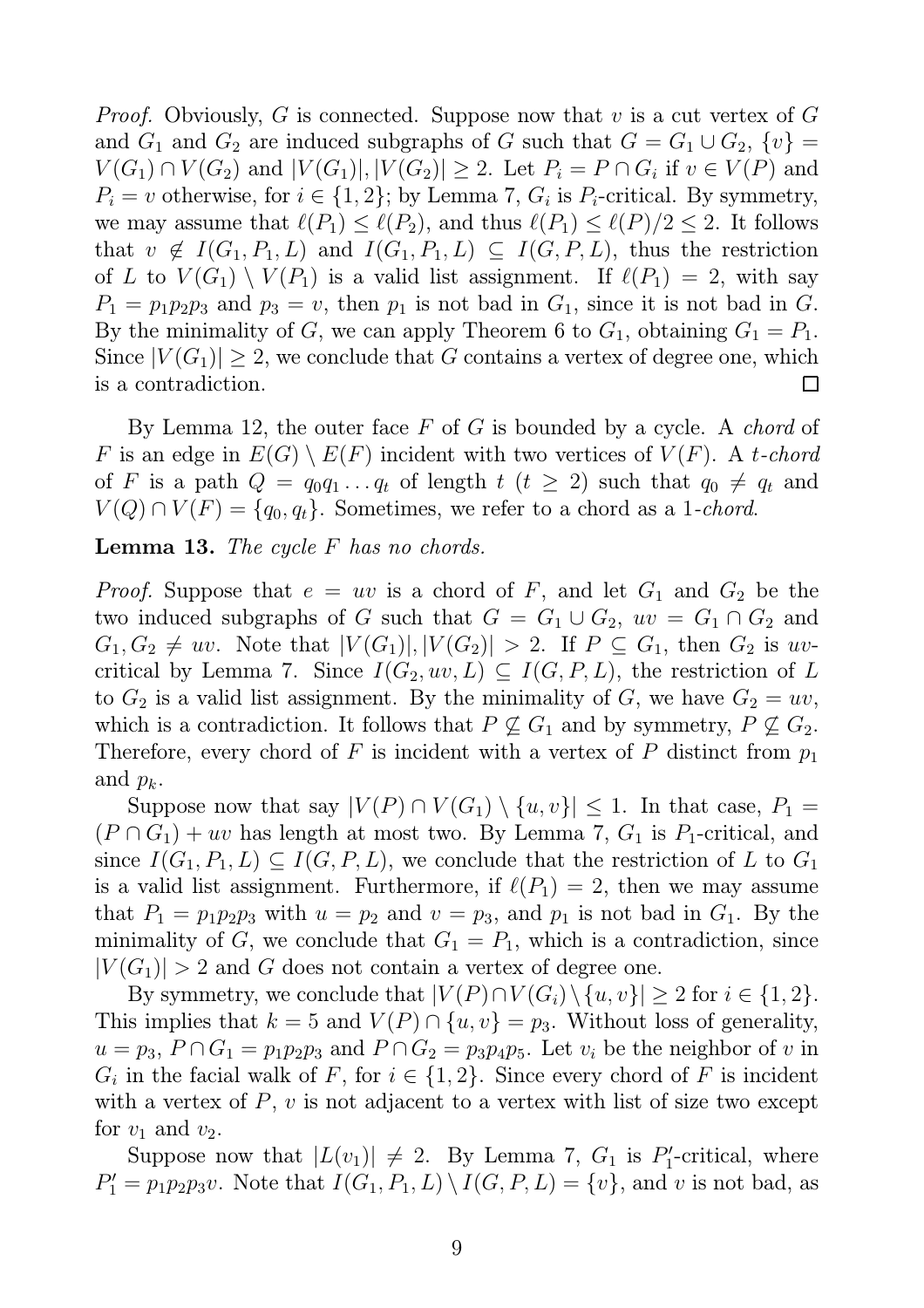*Proof.* Obviously, G is connected. Suppose now that v is a cut vertex of G and  $G_1$  and  $G_2$  are induced subgraphs of G such that  $G = G_1 \cup G_2$ ,  $\{v\} =$  $V(G_1) \cap V(G_2)$  and  $|V(G_1)|, |V(G_2)| \ge 2$ . Let  $P_i = P \cap G_i$  if  $v \in V(P)$  and  $P_i = v$  otherwise, for  $i \in \{1, 2\}$ ; by Lemma 7,  $G_i$  is  $P_i$ -critical. By symmetry, we may assume that  $\ell(P_1) \leq \ell(P_2)$ , and thus  $\ell(P_1) \leq \ell(P)/2 \leq 2$ . It follows that  $v \notin I(G_1, P_1, L)$  and  $I(G_1, P_1, L) \subseteq I(G, P, L)$ , thus the restriction of L to  $V(G_1) \setminus V(P_1)$  is a valid list assignment. If  $\ell(P_1) = 2$ , with say  $P_1 = p_1 p_2 p_3$  and  $p_3 = v$ , then  $p_1$  is not bad in  $G_1$ , since it is not bad in G. By the minimality of G, we can apply Theorem 6 to  $G_1$ , obtaining  $G_1 = P_1$ . Since  $|V(G_1)| \geq 2$ , we conclude that G contains a vertex of degree one, which is a contradiction.  $\Box$ 

By Lemma 12, the outer face F of G is bounded by a cycle. A *chord* of F is an edge in  $E(G) \setminus E(F)$  incident with two vertices of  $V(F)$ . A t-chord of F is a path  $Q = q_0 q_1 \ldots q_t$  of length  $t$   $(t \geq 2)$  such that  $q_0 \neq q_t$  and  $V(Q) \cap V(F) = \{q_0, q_t\}.$  Sometimes, we refer to a chord as a 1*-chord*.

Lemma 13. *The cycle* F *has no chords.*

*Proof.* Suppose that  $e = uv$  is a chord of F, and let  $G_1$  and  $G_2$  be the two induced subgraphs of G such that  $G = G_1 \cup G_2$ ,  $uv = G_1 \cap G_2$  and  $G_1, G_2 \neq uv$ . Note that  $|V(G_1)|, |V(G_2)| > 2$ . If  $P \subseteq G_1$ , then  $G_2$  is uvcritical by Lemma 7. Since  $I(G_2, uv, L) \subseteq I(G, P, L)$ , the restriction of L to  $G_2$  is a valid list assignment. By the minimality of G, we have  $G_2 = uv$ , which is a contradiction. It follows that  $P \not\subseteq G_1$  and by symmetry,  $P \not\subseteq G_2$ . Therefore, every chord of F is incident with a vertex of P distinct from  $p_1$ and  $p_k$ .

Suppose now that say  $|V(P) \cap V(G_1) \setminus \{u, v\}| \leq 1$ . In that case,  $P_1 =$  $(P \cap G_1) + uv$  has length at most two. By Lemma 7,  $G_1$  is  $P_1$ -critical, and since  $I(G_1, P_1, L) \subseteq I(G, P, L)$ , we conclude that the restriction of L to  $G_1$ is a valid list assignment. Furthermore, if  $\ell(P_1) = 2$ , then we may assume that  $P_1 = p_1p_2p_3$  with  $u = p_2$  and  $v = p_3$ , and  $p_1$  is not bad in  $G_1$ . By the minimality of G, we conclude that  $G_1 = P_1$ , which is a contradiction, since  $|V(G_1)| > 2$  and G does not contain a vertex of degree one.

By symmetry, we conclude that  $|V(P) \cap V(G_i) \setminus \{u, v\}| \geq 2$  for  $i \in \{1, 2\}.$ This implies that  $k = 5$  and  $V(P) \cap \{u, v\} = p_3$ . Without loss of generality,  $u = p_3$ ,  $P \cap G_1 = p_1 p_2 p_3$  and  $P \cap G_2 = p_3 p_4 p_5$ . Let  $v_i$  be the neighbor of v in  $G_i$  in the facial walk of F, for  $i \in \{1,2\}$ . Since every chord of F is incident with a vertex of  $P, v$  is not adjacent to a vertex with list of size two except for  $v_1$  and  $v_2$ .

Suppose now that  $|L(v_1)| \neq 2$ . By Lemma 7,  $G_1$  is  $P'_1$  $y_1'$ -critical, where  $P'_1 = p_1 p_2 p_3 v$ . Note that  $I(G_1, P_1, L) \setminus I(G, P, L) = \{v\}$ , and v is not bad, as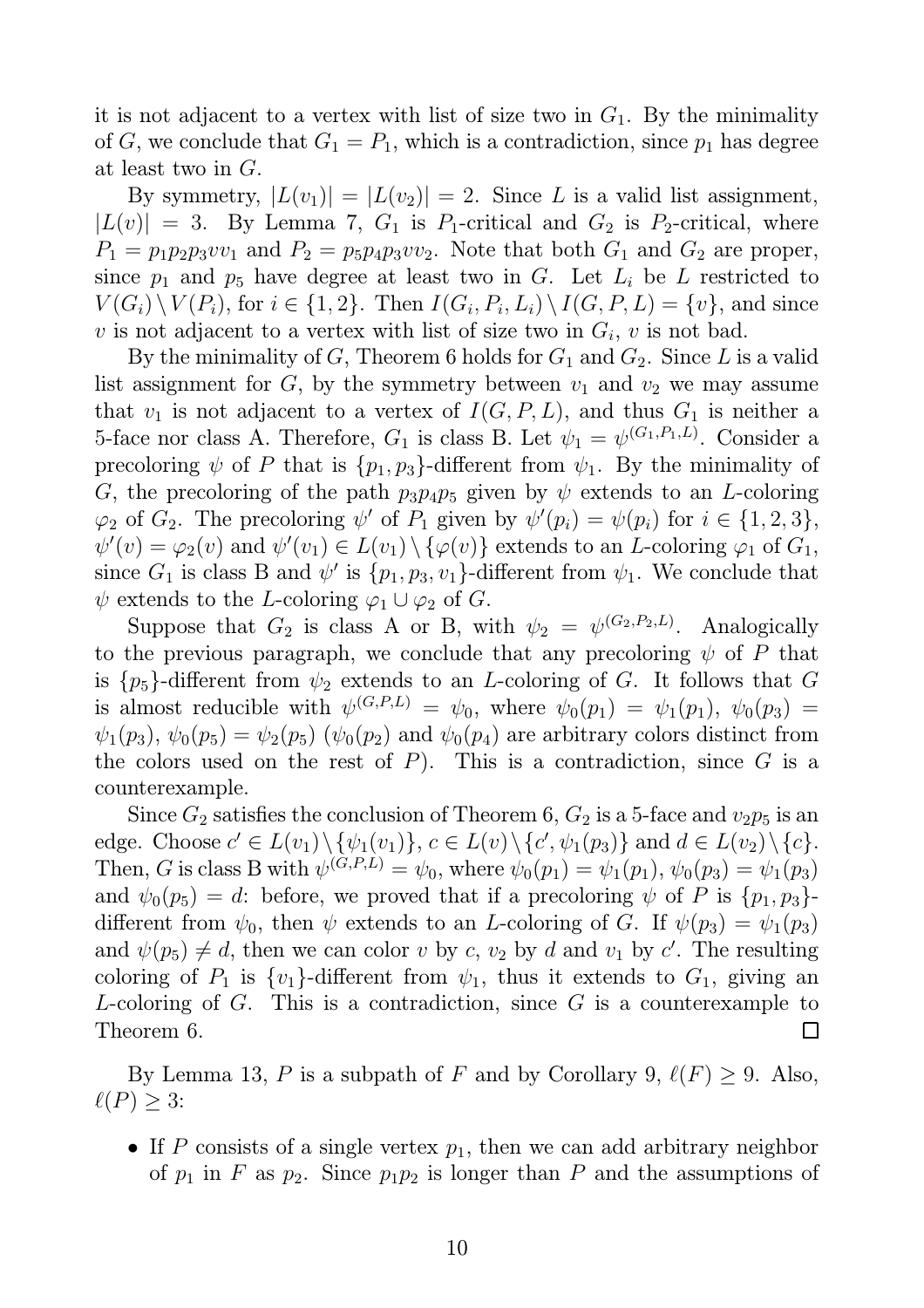it is not adjacent to a vertex with list of size two in  $G_1$ . By the minimality of G, we conclude that  $G_1 = P_1$ , which is a contradiction, since  $p_1$  has degree at least two in G.

By symmetry,  $|L(v_1)| = |L(v_2)| = 2$ . Since L is a valid list assignment,  $|L(v)| = 3$ . By Lemma 7,  $G_1$  is  $P_1$ -critical and  $G_2$  is  $P_2$ -critical, where  $P_1 = p_1 p_2 p_3 v v_1$  and  $P_2 = p_5 p_4 p_3 v v_2$ . Note that both  $G_1$  and  $G_2$  are proper, since  $p_1$  and  $p_5$  have degree at least two in G. Let  $L_i$  be L restricted to  $V(G_i) \setminus V(P_i)$ , for  $i \in \{1,2\}$ . Then  $I(G_i, P_i, L_i) \setminus I(G, P, L) = \{v\}$ , and since v is not adjacent to a vertex with list of size two in  $G_i$ , v is not bad.

By the minimality of G, Theorem 6 holds for  $G_1$  and  $G_2$ . Since L is a valid list assignment for  $G$ , by the symmetry between  $v_1$  and  $v_2$  we may assume that  $v_1$  is not adjacent to a vertex of  $I(G, P, L)$ , and thus  $G_1$  is neither a 5-face nor class A. Therefore,  $G_1$  is class B. Let  $\psi_1 = \psi^{(G_1, P_1, L)}$ . Consider a precoloring  $\psi$  of P that is  $\{p_1, p_3\}$ -different from  $\psi_1$ . By the minimality of G, the precoloring of the path  $p_3p_4p_5$  given by  $\psi$  extends to an L-coloring  $\varphi_2$  of  $G_2$ . The precoloring  $\psi'$  of  $P_1$  given by  $\psi'(p_i) = \psi(p_i)$  for  $i \in \{1, 2, 3\},$  $\psi'(v) = \varphi_2(v)$  and  $\psi'(v_1) \in L(v_1) \setminus {\varphi(v)}$  extends to an L-coloring  $\varphi_1$  of  $G_1$ , since  $G_1$  is class B and  $\psi'$  is  $\{p_1, p_3, v_1\}$ -different from  $\psi_1$ . We conclude that  $\psi$  extends to the L-coloring  $\varphi_1 \cup \varphi_2$  of G.

Suppose that  $G_2$  is class A or B, with  $\psi_2 = \psi^{(G_2, P_2, L)}$ . Analogically to the previous paragraph, we conclude that any precoloring  $\psi$  of P that is  $\{p_5\}$ -different from  $\psi_2$  extends to an *L*-coloring of *G*. It follows that *G* is almost reducible with  $\psi^{(G,P,L)} = \psi_0$ , where  $\psi_0(p_1) = \psi_1(p_1)$ ,  $\psi_0(p_3) =$  $\psi_1(p_3)$ ,  $\psi_0(p_5) = \psi_2(p_5)$  ( $\psi_0(p_2)$ ) and  $\psi_0(p_4)$  are arbitrary colors distinct from the colors used on the rest of  $P$ ). This is a contradiction, since  $G$  is a counterexample.

Since  $G_2$  satisfies the conclusion of Theorem 6,  $G_2$  is a 5-face and  $v_2p_5$  is an edge. Choose  $c' \in L(v_1) \setminus {\psi_1(v_1)}$ ,  $c \in L(v) \setminus {c', \psi_1(p_3)}$  and  $d \in L(v_2) \setminus {c}$ . Then, G is class B with  $\psi^{(G,P,L)} = \psi_0$ , where  $\psi_0(p_1) = \psi_1(p_1)$ ,  $\psi_0(p_3) = \psi_1(p_3)$ and  $\psi_0(p_5) = d$ : before, we proved that if a precoloring  $\psi$  of P is  $\{p_1, p_3\}$ . different from  $\psi_0$ , then  $\psi$  extends to an *L*-coloring of *G*. If  $\psi(p_3) = \psi_1(p_3)$ and  $\psi(p_5) \neq d$ , then we can color v by c,  $v_2$  by d and  $v_1$  by c'. The resulting coloring of  $P_1$  is  $\{v_1\}$ -different from  $\psi_1$ , thus it extends to  $G_1$ , giving an L-coloring of  $G$ . This is a contradiction, since  $G$  is a counterexample to Theorem 6.  $\Box$ 

By Lemma 13, P is a subpath of F and by Corollary 9,  $\ell(F) \geq 9$ . Also,  $\ell(P) \geq 3$ :

• If P consists of a single vertex  $p_1$ , then we can add arbitrary neighbor of  $p_1$  in F as  $p_2$ . Since  $p_1p_2$  is longer than P and the assumptions of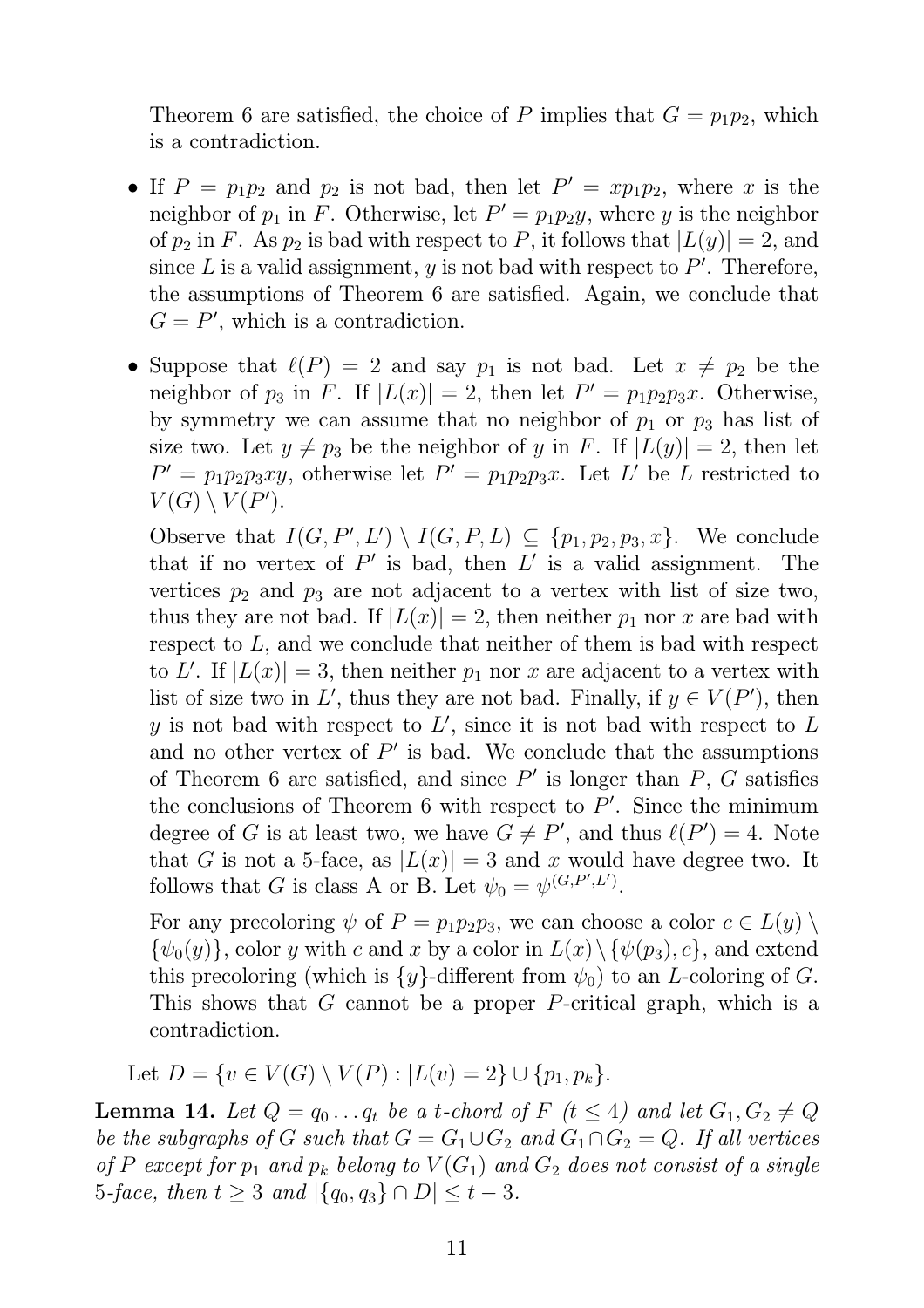Theorem 6 are satisfied, the choice of P implies that  $G = p_1p_2$ , which is a contradiction.

- If  $P = p_1p_2$  and  $p_2$  is not bad, then let  $P' = xp_1p_2$ , where x is the neighbor of  $p_1$  in F. Otherwise, let  $P' = p_1 p_2 y$ , where y is the neighbor of  $p_2$  in F. As  $p_2$  is bad with respect to P, it follows that  $|L(y)| = 2$ , and since  $L$  is a valid assignment,  $y$  is not bad with respect to  $P'$ . Therefore, the assumptions of Theorem 6 are satisfied. Again, we conclude that  $G = P'$ , which is a contradiction.
- Suppose that  $\ell(P) = 2$  and say  $p_1$  is not bad. Let  $x \neq p_2$  be the neighbor of  $p_3$  in F. If  $|L(x)| = 2$ , then let  $P' = p_1 p_2 p_3 x$ . Otherwise, by symmetry we can assume that no neighbor of  $p_1$  or  $p_3$  has list of size two. Let  $y \neq p_3$  be the neighbor of y in F. If  $|L(y)| = 2$ , then let  $P' = p_1 p_2 p_3 xy$ , otherwise let  $P' = p_1 p_2 p_3 x$ . Let L' be L restricted to  $V(G) \setminus V(P')$ .

Observe that  $I(G, P', L') \setminus I(G, P, L) \subseteq \{p_1, p_2, p_3, x\}.$  We conclude that if no vertex of  $P'$  is bad, then  $L'$  is a valid assignment. The vertices  $p_2$  and  $p_3$  are not adjacent to a vertex with list of size two, thus they are not bad. If  $|L(x)| = 2$ , then neither  $p_1$  nor x are bad with respect to L, and we conclude that neither of them is bad with respect to L'. If  $|L(x)| = 3$ , then neither  $p_1$  nor x are adjacent to a vertex with list of size two in L', thus they are not bad. Finally, if  $y \in V(P')$ , then y is not bad with respect to  $L'$ , since it is not bad with respect to  $L$ and no other vertex of  $P'$  is bad. We conclude that the assumptions of Theorem 6 are satisfied, and since  $P'$  is longer than  $P$ ,  $G$  satisfies the conclusions of Theorem 6 with respect to  $P'$ . Since the minimum degree of G is at least two, we have  $G \neq P'$ , and thus  $\ell(P') = 4$ . Note that G is not a 5-face, as  $|L(x)| = 3$  and x would have degree two. It follows that G is class A or B. Let  $\psi_0 = \psi^{(G,P',L')}$ .

For any precoloring  $\psi$  of  $P = p_1p_2p_3$ , we can choose a color  $c \in L(y) \setminus$  ${\psi_0(y)}$ , color y with c and x by a color in  $L(x)\setminus{\psi(p_3), c}$ , and extend this precoloring (which is  $\{y\}$ -different from  $\psi_0$ ) to an *L*-coloring of *G*. This shows that G cannot be a proper P-critical graph, which is a contradiction.

Let  $D = \{v \in V(G) \setminus V(P) : |L(v) = 2\} \cup \{p_1, p_k\}.$ 

**Lemma 14.** Let  $Q = q_0 \ldots q_t$  be a t-chord of F  $(t \leq 4)$  and let  $G_1, G_2 \neq Q$ *be the subgraphs of* G *such that*  $G = G_1 \cup G_2$  *and*  $G_1 \cap G_2 = Q$ *. If all vertices of* P except for  $p_1$  and  $p_k$  belong to  $V(G_1)$  and  $G_2$  does not consist of a single 5*-face, then*  $t \geq 3$  *and*  $|\{q_0, q_3\} \cap D| \leq t - 3$ *.*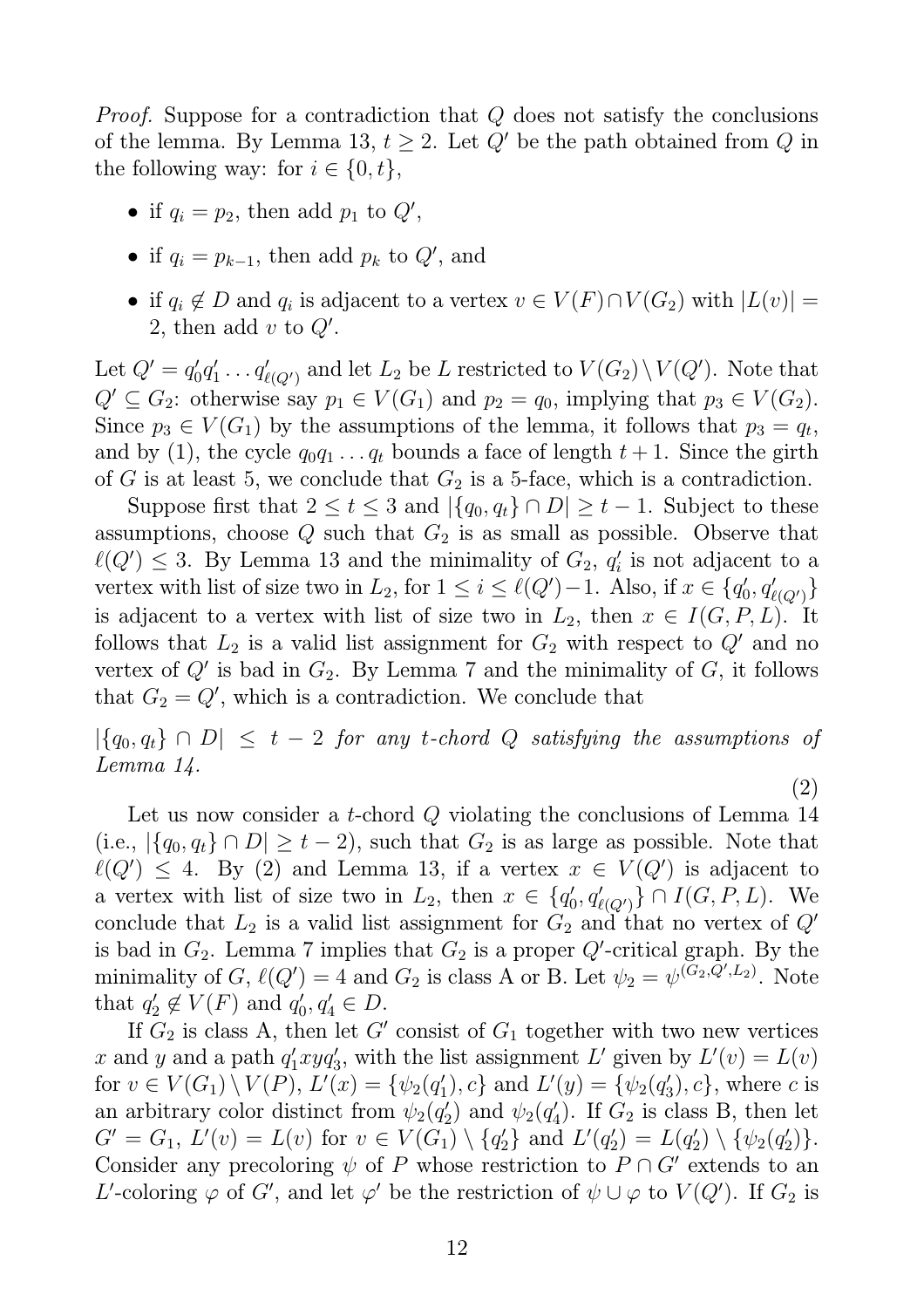*Proof.* Suppose for a contradiction that Q does not satisfy the conclusions of the lemma. By Lemma 13,  $t \geq 2$ . Let  $Q'$  be the path obtained from Q in the following way: for  $i \in \{0, t\},\$ 

- if  $q_i = p_2$ , then add  $p_1$  to  $Q'$ ,
- if  $q_i = p_{k-1}$ , then add  $p_k$  to  $Q'$ , and
- if  $q_i \notin D$  and  $q_i$  is adjacent to a vertex  $v \in V(F) \cap V(G_2)$  with  $|L(v)| =$ 2, then add  $v$  to  $Q'$ .

Let  $Q' = q_0'$  $'_{0}q'_{1}$  $q'_{\ell(Q')}$  and let  $L_2$  be L restricted to  $V(G_2) \setminus V(Q')$ . Note that  $Q' \subseteq G_2$ : otherwise say  $p_1 \in V(G_1)$  and  $p_2 = q_0$ , implying that  $p_3 \in V(G_2)$ . Since  $p_3 \in V(G_1)$  by the assumptions of the lemma, it follows that  $p_3 = q_t$ , and by (1), the cycle  $q_0q_1 \ldots q_t$  bounds a face of length  $t + 1$ . Since the girth of G is at least 5, we conclude that  $G_2$  is a 5-face, which is a contradiction.

Suppose first that  $2 \le t \le 3$  and  $|\{q_0, q_t\} \cap D| \ge t - 1$ . Subject to these assumptions, choose  $Q$  such that  $G_2$  is as small as possible. Observe that  $\ell(Q') \leq 3$ . By Lemma 13 and the minimality of  $G_2$ ,  $q'_i$  $i$  is not adjacent to a vertex with list of size two in  $L_2$ , for  $1 \leq i \leq \ell(Q')-1$ . Also, if  $x \in \{q_0'$  $_0', q'_{\ell(Q')} \}$ is adjacent to a vertex with list of size two in  $L_2$ , then  $x \in I(G, P, L)$ . It follows that  $L_2$  is a valid list assignment for  $G_2$  with respect to  $Q'$  and no vertex of  $Q'$  is bad in  $G_2$ . By Lemma 7 and the minimality of  $G$ , it follows that  $G_2 = Q'$ , which is a contradiction. We conclude that

 $|\{q_0, q_t\} \cap D| \leq t - 2$  *for any t-chord Q satisfying the assumptions of Lemma 14.*

(2)

Let us now consider a *t*-chord  $Q$  violating the conclusions of Lemma 14 (i.e.,  $|\{q_0, q_t\} \cap D| \ge t - 2$ ), such that  $G_2$  is as large as possible. Note that  $\ell(Q') \leq 4$ . By (2) and Lemma 13, if a vertex  $x \in V(Q')$  is adjacent to a vertex with list of size two in  $L_2$ , then  $x \in \{q_0$  $\{q'_{\ell(Q')}\}\cap I(G, P, L)$ . We conclude that  $L_2$  is a valid list assignment for  $G_2$  and that no vertex of  $Q'$ is bad in  $G_2$ . Lemma 7 implies that  $G_2$  is a proper  $Q'$ -critical graph. By the minimality of G,  $\ell(Q') = 4$  and G<sub>2</sub> is class A or B. Let  $\psi_2 = \psi^{(\tilde{G}_2, \tilde{Q}', L_2)}$ . Note that  $q'_2$  $q'_2 \not\in V(F)$  and  $q'_0$  $q'_0, q'_4 \in D.$ 

If  $G_2$  is class A, then let G' consist of  $G_1$  together with two new vertices x and y and a path  $q'_1xyq'_3$ , with the list assignment L' given by  $L'(v) = L(v)$ for  $v \in V(G_1) \setminus V(P)$ ,  $L'(x) = \{ \psi_2(q_1') \}$  $I'_1$ , c} and  $L'(y) = \{ \psi_2(q'_3) \}$  $s_3'$ , c}, where c is an arbitrary color distinct from  $\psi_2(q_2)$  $\psi_2(q_4')$  and  $\psi_2(q_4')$  $\binom{1}{4}$ . If  $G_2$  is class B, then let  $G' = G_1, L'(v) = L(v)$  for  $v \in V(G_1) \setminus \{q_2'$  $L'(q_2')$  and  $L'(q_2')$  $L_2'$ ) =  $L(q_2')$  $_2^{\prime})\setminus\{\psi_2(q_2^{\prime}% )\}_{\leftarrow}\subset\mathcal{C}(\mathcal{U})\backslash\{ \mathcal{U}^{\prime\prime}\}_{\leftarrow}$  $'_{2})\}.$ Consider any precoloring  $\psi$  of P whose restriction to  $P \cap G'$  extends to an L'-coloring  $\varphi$  of G', and let  $\varphi'$  be the restriction of  $\psi \cup \varphi$  to  $V(Q')$ . If  $G_2$  is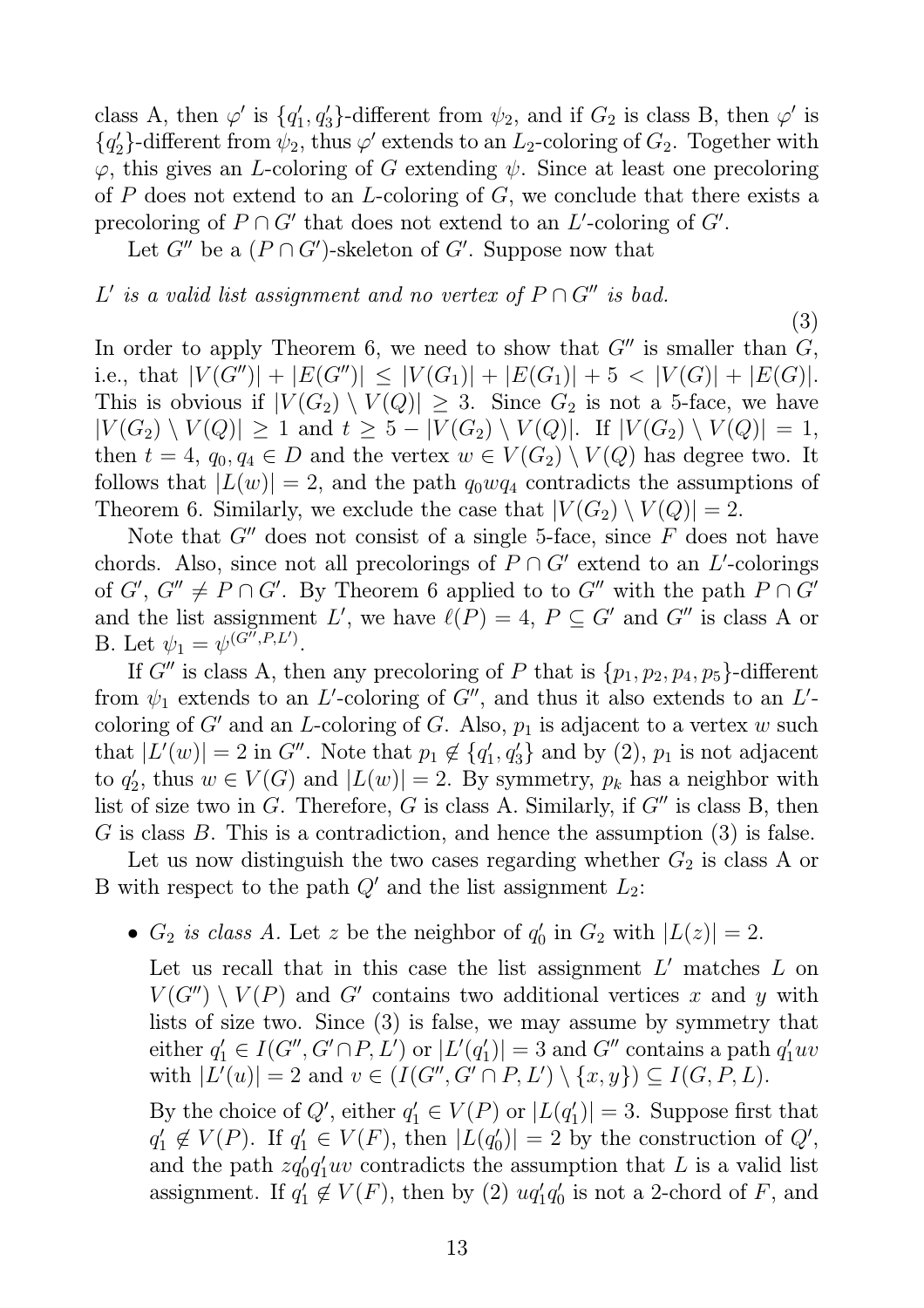class A, then  $\varphi'$  is  $\{q'_1\}$  $\langle 1, q'_3 \rangle$ -different from  $\psi_2$ , and if  $G_2$  is class B, then  $\varphi'$  is  ${q'_2}$  $\mathcal{L}_2$ }-different from  $\psi_2$ , thus  $\varphi'$  extends to an  $L_2$ -coloring of  $G_2$ . Together with  $\varphi$ , this gives an *L*-coloring of G extending  $\psi$ . Since at least one precoloring of P does not extend to an L-coloring of  $G$ , we conclude that there exists a precoloring of  $P \cap G'$  that does not extend to an L'-coloring of  $G'$ .

Let  $G''$  be a  $(P \cap G')$ -skeleton of  $G'$ . Suppose now that

### $L'$  *is a valid list assignment and no vertex of*  $P \cap G''$  *is bad.*

In order to apply Theorem 6, we need to show that  $G''$  is smaller than  $G$ , i.e., that  $|V(G'')| + |E(G'')| \leq |V(G_1)| + |E(G_1)| + 5 < |V(G)| + |E(G)|$ . This is obvious if  $|V(G_2) \setminus V(Q)| \geq 3$ . Since  $G_2$  is not a 5-face, we have  $|V(G_2) \setminus V(Q)| \geq 1$  and  $t \geq 5 - |V(G_2) \setminus V(Q)|$ . If  $|V(G_2) \setminus V(Q)| = 1$ , then  $t = 4$ ,  $q_0, q_4 \in D$  and the vertex  $w \in V(G_2) \setminus V(Q)$  has degree two. It follows that  $|L(w)| = 2$ , and the path  $q_0wq_4$  contradicts the assumptions of Theorem 6. Similarly, we exclude the case that  $|V(G_2) \setminus V(Q)| = 2$ .

(3)

Note that  $G''$  does not consist of a single 5-face, since  $F$  does not have chords. Also, since not all precolorings of  $P \cap G'$  extend to an L'-colorings of  $G'$ ,  $G'' \neq P \cap G'$ . By Theorem 6 applied to to  $G''$  with the path  $P \cap G'$ and the list assignment L', we have  $\ell(P) = 4$ ,  $P \subseteq G'$  and  $G''$  is class A or B. Let  $\psi_1 = \psi^{(G'', P, L')}$ .

If G'' is class A, then any precoloring of P that is  $\{p_1, p_2, p_4, p_5\}$ -different from  $\psi_1$  extends to an L'-coloring of G'', and thus it also extends to an L'coloring of  $G'$  and an *L*-coloring of G. Also,  $p_1$  is adjacent to a vertex w such that  $|L'(w)| = 2$  in G''. Note that  $p_1 \notin \{q'_1\}$  $\langle 1, q'_3 \rangle$  and by  $(2), p_1$  is not adjacent to  $q_2'$  $Z_2'$ , thus  $w \in V(G)$  and  $|L(w)| = 2$ . By symmetry,  $p_k$  has a neighbor with list of size two in G. Therefore, G is class A. Similarly, if  $G''$  is class B, then G is class B. This is a contradiction, and hence the assumption  $(3)$  is false.

Let us now distinguish the two cases regarding whether  $G_2$  is class A or B with respect to the path  $Q'$  and the list assignment  $L_2$ :

•  $G_2$  *is class A.* Let z be the neighbor of  $q_0$  $C_0'$  in  $G_2$  with  $|L(z)| = 2$ .

Let us recall that in this case the list assignment  $L'$  matches  $L$  on  $V(G'') \setminus V(P)$  and G' contains two additional vertices x and y with lists of size two. Since (3) is false, we may assume by symmetry that either  $q_1' \in I(G'', G' \cap P, L')$  or  $|L'(q_1')|$  $|q_1'| = 3$  and G'' contains a path  $q_1'uv$ with  $|L'(u)| = 2$  and  $v \in (I(G'', G' \cap P, L') \setminus \{x, y\}) \subseteq I(G, P, L)$ .

By the choice of  $Q'$ , either  $q'_1 \in V(P)$  or  $|L(q'_1)$  $|1/2|$  = 3. Suppose first that  $q'_1$  $y'_1 \notin V(P)$ . If  $q'_1 \in V(F)$ , then  $|L(q'_0)|$  $\vert 0\rangle\vert = 2$  by the construction of  $Q'$ , and the path  $zq'_0q'_1uv$  contradicts the assumption that L is a valid list assignment. If  $q_1'$  $y'_1 \notin V(F)$ , then by (2)  $uq'_1q'_0$  $'_{0}$  is not a 2-chord of F, and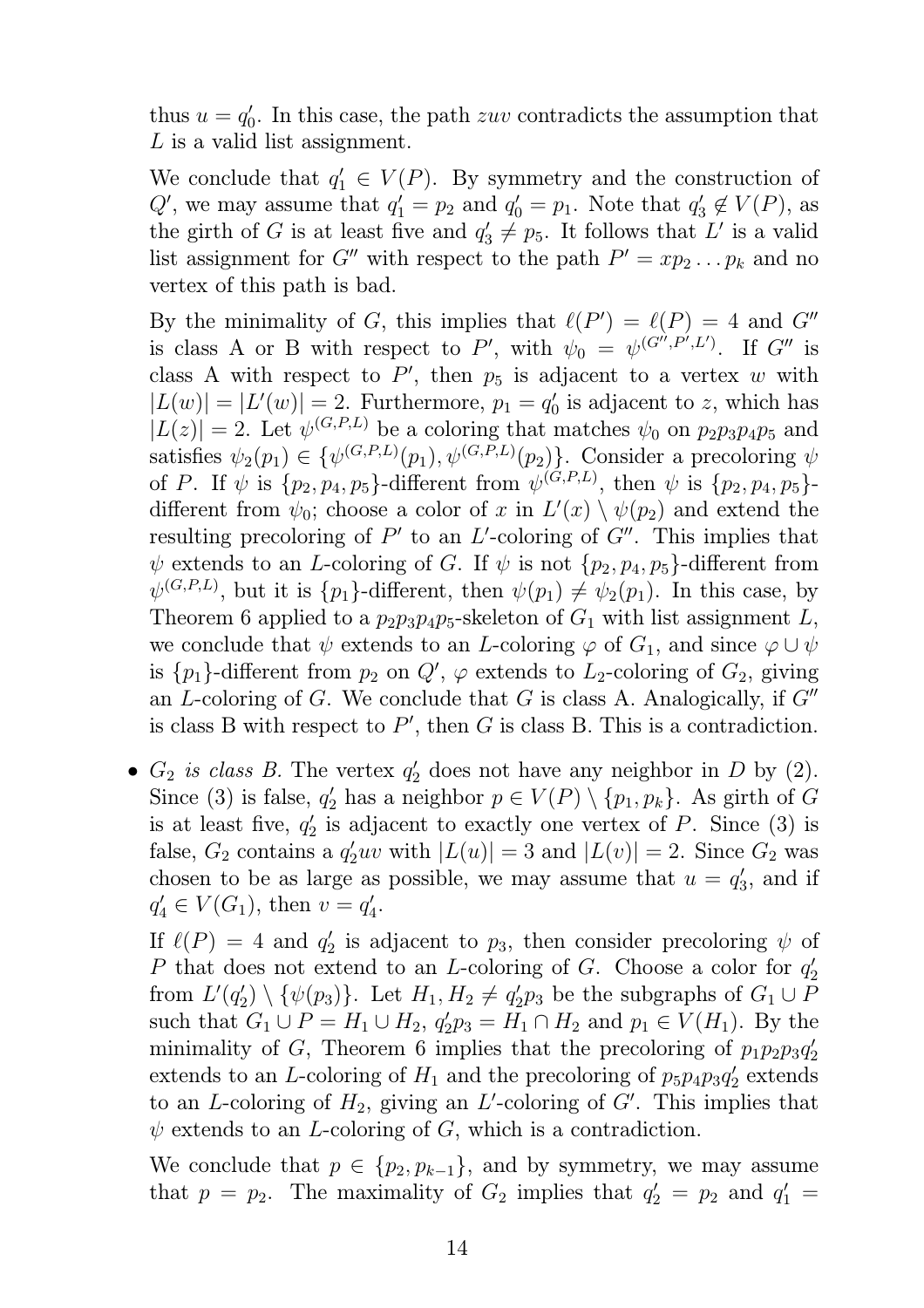thus  $u = q_0'$  $\eta'$ . In this case, the path zuv contradicts the assumption that L is a valid list assignment.

We conclude that  $q'_1 \in V(P)$ . By symmetry and the construction of  $Q'$ , we may assume that  $q'_1 = p_2$  and  $q'_0 = p_1$ . Note that  $q'_3$  $'_3 \notin V(P)$ , as the girth of G is at least five and  $q'_3 \neq p_5$ . It follows that L' is a valid list assignment for G'' with respect to the path  $P' = xp_2 \dots p_k$  and no vertex of this path is bad.

By the minimality of G, this implies that  $\ell(P') = \ell(P) = 4$  and G'' is class A or B with respect to P', with  $\psi_0 = \psi^{(G^{\gamma}, P^{\gamma}, L^{\gamma})}$ . If G'' is class A with respect to  $P'$ , then  $p_5$  is adjacent to a vertex w with  $|L(w)| = |L'(w)| = 2$ . Furthermore,  $p_1 = q_0'$  $\zeta_0$  is adjacent to z, which has  $|L(z)| = 2$ . Let  $\psi^{(G,P,L)}$  be a coloring that matches  $\psi_0$  on  $p_2p_3p_4p_5$  and satisfies  $\psi_2(p_1) \in {\{\psi^{(G, P, L)}(p_1), \psi^{(G, P, L)}(p_2)\}}$ . Consider a precoloring  $\psi$ of P. If  $\psi$  is  $\{p_2, p_4, p_5\}$ -different from  $\psi^{(G,P,L)}$ , then  $\psi$  is  $\{p_2, p_4, p_5\}$ different from  $\psi_0$ ; choose a color of x in  $L'(x) \setminus \psi(p_2)$  and extend the resulting precoloring of  $P'$  to an  $L'$ -coloring of  $G''$ . This implies that  $\psi$  extends to an *L*-coloring of *G*. If  $\psi$  is not  $\{p_2, p_4, p_5\}$ -different from  $\psi^{(G,P,L)}$ , but it is  $\{p_1\}$ -different, then  $\psi(p_1) \neq \psi_2(p_1)$ . In this case, by Theorem 6 applied to a  $p_2p_3p_4p_5$ -skeleton of  $G_1$  with list assignment L, we conclude that  $\psi$  extends to an L-coloring  $\varphi$  of  $G_1$ , and since  $\varphi \cup \psi$ is  ${p_1}$ -different from  $p_2$  on  $Q'$ ,  $\varphi$  extends to  $L_2$ -coloring of  $G_2$ , giving an L-coloring of G. We conclude that G is class A. Analogically, if  $G''$ is class B with respect to  $P'$ , then G is class B. This is a contradiction.

•  $G_2$  *is class B*. The vertex  $q'_2$  does not have any neighbor in D by (2). Since (3) is false,  $q'_2$  has a neighbor  $p \in V(P) \setminus \{p_1, p_k\}$ . As girth of G is at least five,  $q_2'$  $\frac{1}{2}$  is adjacent to exactly one vertex of P. Since (3) is false,  $G_2$  contains a  $q'_2uv$  with  $|L(u)| = 3$  and  $|L(v)| = 2$ . Since  $G_2$  was chosen to be as large as possible, we may assume that  $u = q_3$  $_3'$ , and if  $q'_4 \in V(G_1)$ , then  $v = q'_4$ ,<br>4.

If  $\ell(P) = 4$  and  $q'_2$  $y_2'$  is adjacent to  $p_3$ , then consider precoloring  $\psi$  of P that does not extend to an L-coloring of G. Choose a color for  $q_2'$ 2 from  $L'(q_2')$  $\{ \psi(p_3) \}.$  Let  $H_1, H_2 \neq q_2'$  $Z_2'p_3$  be the subgraphs of  $G_1 \cup P_3$ such that  $G_1 \cup P = H_1 \cup H_2$ ,  $q'_2 p_3 = H_1 \cap H_2$  and  $p_1 \in V(H_1)$ . By the minimality of G, Theorem 6 implies that the precoloring of  $p_1p_2p_3q'_2$ 2 extends to an L-coloring of  $H_1$  and the precoloring of  $p_5p_4p_3q'_2$  $y_2$  extends to an L-coloring of  $H_2$ , giving an L'-coloring of  $G'$ . This implies that  $\psi$  extends to an *L*-coloring of *G*, which is a contradiction.

We conclude that  $p \in \{p_2, p_{k-1}\},$  and by symmetry, we may assume that  $p = p_2$ . The maximality of  $G_2$  implies that  $q'_2 = p_2$  and  $q'_1 =$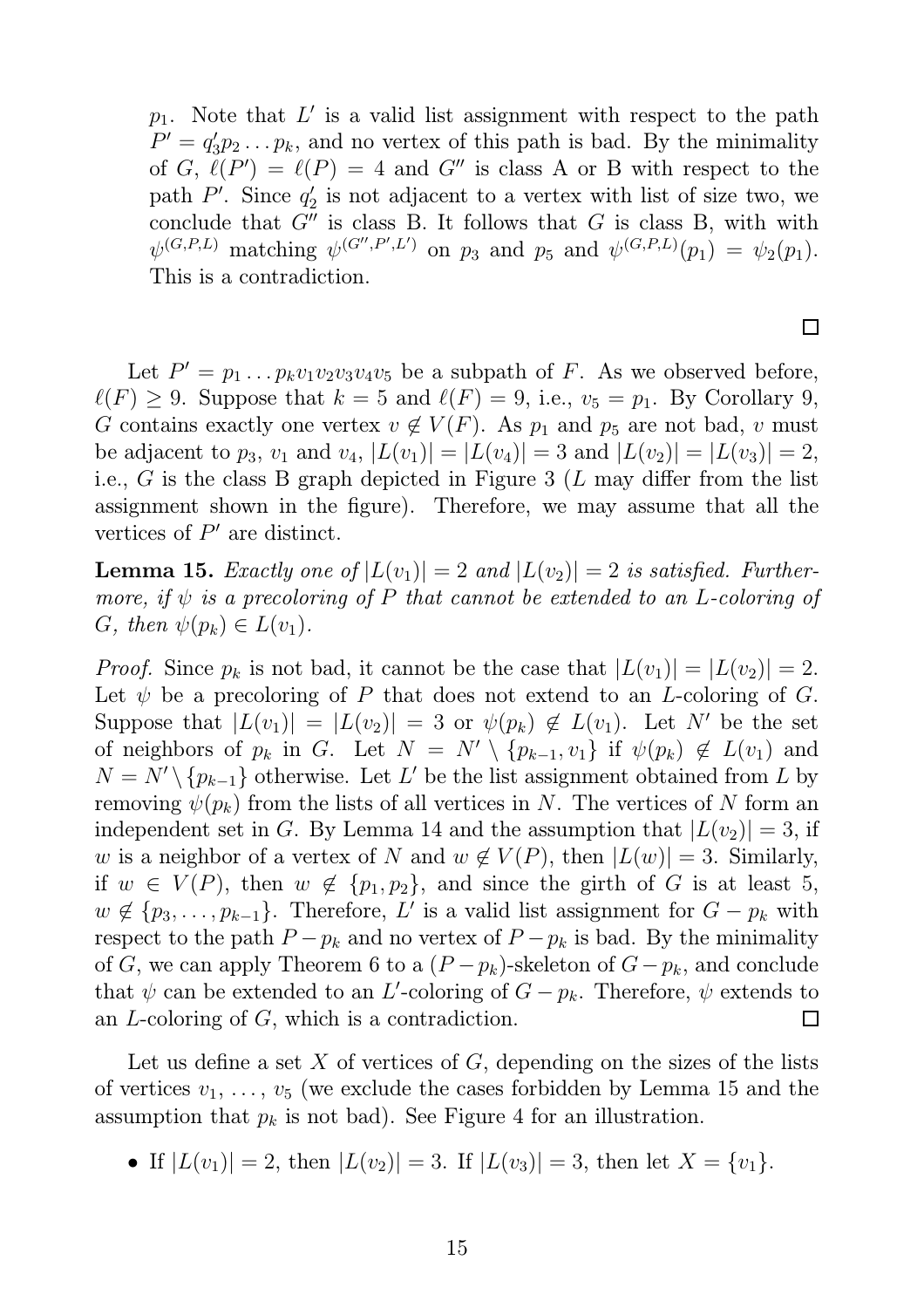$p_1$ . Note that  $L'$  is a valid list assignment with respect to the path  $P' = q_3'$  $y_3' p_2 \ldots p_k$ , and no vertex of this path is bad. By the minimality of G,  $\ell(P') = \ell(P) = 4$  and G'' is class A or B with respect to the path  $P'$ . Since  $q'_2$  $y_2'$  is not adjacent to a vertex with list of size two, we conclude that  $G''$  is class B. It follows that G is class B, with with  $\psi^{(G,P,L)}$  matching  $\psi^{(G'',P',L')}$  on  $p_3$  and  $p_5$  and  $\psi^{(G,P,L)}(p_1) = \psi_2(p_1)$ . This is a contradiction.

Let  $P' = p_1 \dots p_k v_1 v_2 v_3 v_4 v_5$  be a subpath of F. As we observed before,  $\ell(F) \geq 9$ . Suppose that  $k = 5$  and  $\ell(F) = 9$ , i.e.,  $v_5 = p_1$ . By Corollary 9, G contains exactly one vertex  $v \notin V(F)$ . As  $p_1$  and  $p_5$  are not bad, v must be adjacent to  $p_3$ ,  $v_1$  and  $v_4$ ,  $|L(v_1)| = |L(v_4)| = 3$  and  $|L(v_2)| = |L(v_3)| = 2$ , i.e.,  $G$  is the class B graph depicted in Figure 3 (L may differ from the list assignment shown in the figure). Therefore, we may assume that all the vertices of  $P'$  are distinct.

**Lemma 15.** *Exactly one of*  $|L(v_1)| = 2$  *and*  $|L(v_2)| = 2$  *is satisfied. Furthermore, if* ψ *is a precoloring of* P *that cannot be extended to an* L*-coloring of* G, then  $\psi(p_k) \in L(v_1)$ .

*Proof.* Since  $p_k$  is not bad, it cannot be the case that  $|L(v_1)| = |L(v_2)| = 2$ . Let  $\psi$  be a precoloring of P that does not extend to an L-coloring of G. Suppose that  $|L(v_1)| = |L(v_2)| = 3$  or  $\psi(p_k) \notin L(v_1)$ . Let N' be the set of neighbors of  $p_k$  in G. Let  $N = N' \setminus \{p_{k-1}, v_1\}$  if  $\psi(p_k) \notin L(v_1)$  and  $N = N' \setminus \{p_{k-1}\}\$  otherwise. Let L' be the list assignment obtained from L by removing  $\psi(p_k)$  from the lists of all vertices in N. The vertices of N form an independent set in G. By Lemma 14 and the assumption that  $|L(v_2)| = 3$ , if w is a neighbor of a vertex of N and  $w \notin V(P)$ , then  $|L(w)| = 3$ . Similarly, if  $w \in V(P)$ , then  $w \notin \{p_1, p_2\}$ , and since the girth of G is at least 5,  $w \notin \{p_3, \ldots, p_{k-1}\}.$  Therefore, L' is a valid list assignment for  $G - p_k$  with respect to the path  $P - p_k$  and no vertex of  $P - p_k$  is bad. By the minimality of G, we can apply Theorem 6 to a  $(P - p_k)$ -skeleton of  $G - p_k$ , and conclude that  $\psi$  can be extended to an L'-coloring of  $G - p_k$ . Therefore,  $\psi$  extends to an L-coloring of G, which is a contradiction.  $\Box$ 

Let us define a set  $X$  of vertices of  $G$ , depending on the sizes of the lists of vertices  $v_1, \ldots, v_5$  (we exclude the cases forbidden by Lemma 15 and the assumption that  $p_k$  is not bad). See Figure 4 for an illustration.

• If  $|L(v_1)| = 2$ , then  $|L(v_2)| = 3$ . If  $|L(v_3)| = 3$ , then let  $X = \{v_1\}$ .

 $\Box$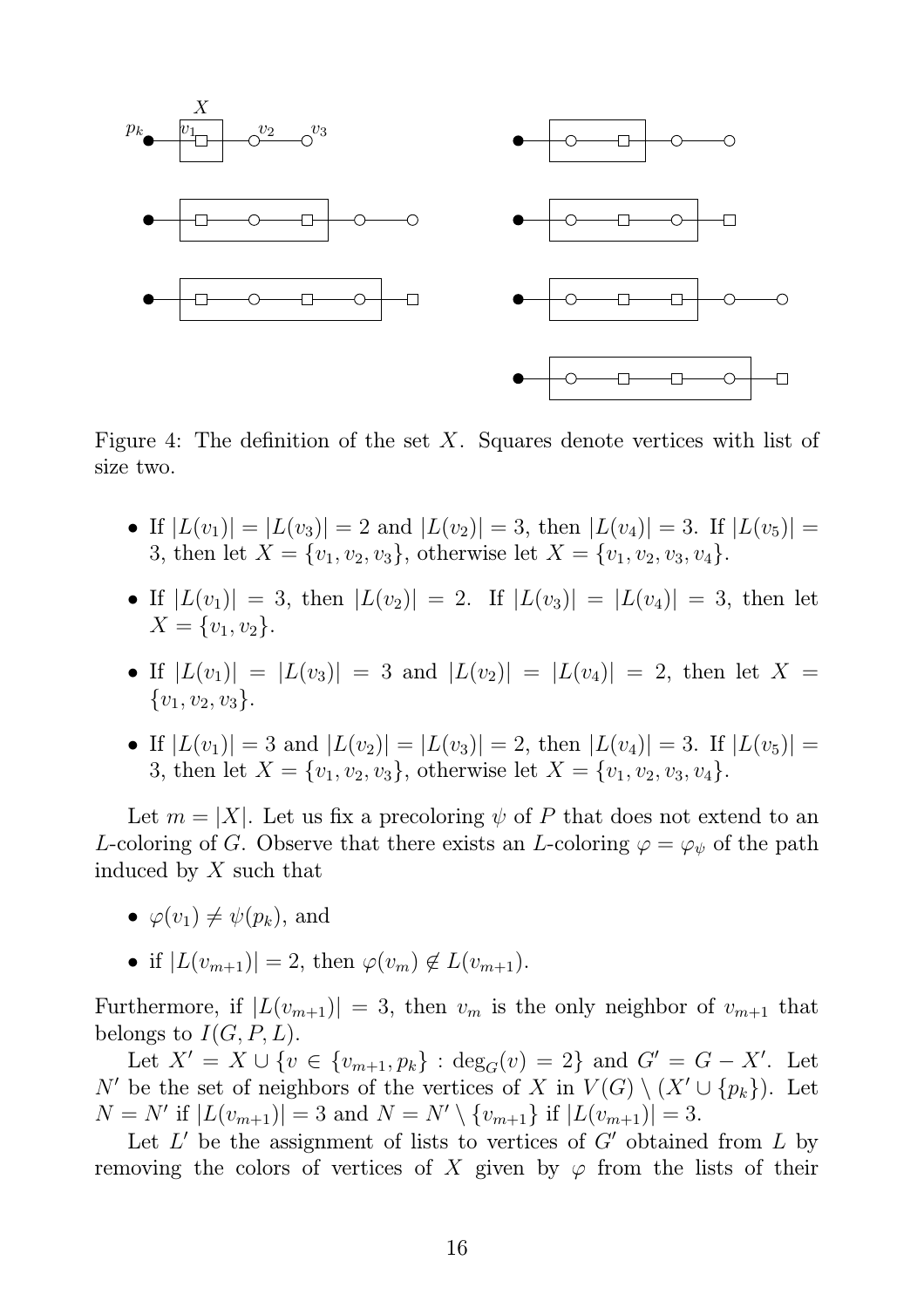

Figure 4: The definition of the set  $X$ . Squares denote vertices with list of size two.

- If  $|L(v_1)| = |L(v_3)| = 2$  and  $|L(v_2)| = 3$ , then  $|L(v_4)| = 3$ . If  $|L(v_5)| =$ 3, then let  $X = \{v_1, v_2, v_3\}$ , otherwise let  $X = \{v_1, v_2, v_3, v_4\}.$
- If  $|L(v_1)| = 3$ , then  $|L(v_2)| = 2$ . If  $|L(v_3)| = |L(v_4)| = 3$ , then let  $X = \{v_1, v_2\}.$
- If  $|L(v_1)| = |L(v_3)| = 3$  and  $|L(v_2)| = |L(v_4)| = 2$ , then let  $X =$  $\{v_1, v_2, v_3\}.$
- If  $|L(v_1)| = 3$  and  $|L(v_2)| = |L(v_3)| = 2$ , then  $|L(v_4)| = 3$ . If  $|L(v_5)| =$ 3, then let  $X = \{v_1, v_2, v_3\}$ , otherwise let  $X = \{v_1, v_2, v_3, v_4\}.$

Let  $m = |X|$ . Let us fix a precoloring  $\psi$  of P that does not extend to an L-coloring of G. Observe that there exists an L-coloring  $\varphi = \varphi_{\psi}$  of the path induced by X such that

- $\bullet \varphi(v_1) \neq \psi(p_k)$ , and
- if  $|L(v_{m+1})| = 2$ , then  $\varphi(v_m) \notin L(v_{m+1})$ .

Furthermore, if  $|L(v_{m+1})| = 3$ , then  $v_m$  is the only neighbor of  $v_{m+1}$  that belongs to  $I(G, P, L)$ .

Let  $X' = X \cup \{v \in \{v_{m+1}, p_k\} : \deg_G(v) = 2\}$  and  $G' = G - X'$ . Let N' be the set of neighbors of the vertices of X in  $V(G) \setminus (X' \cup \{p_k\})$ . Let  $N = N'$  if  $|L(v_{m+1})| = 3$  and  $N = N' \setminus \{v_{m+1}\}\$ if  $|L(v_{m+1})| = 3$ .

Let  $L'$  be the assignment of lists to vertices of  $G'$  obtained from  $L$  by removing the colors of vertices of X given by  $\varphi$  from the lists of their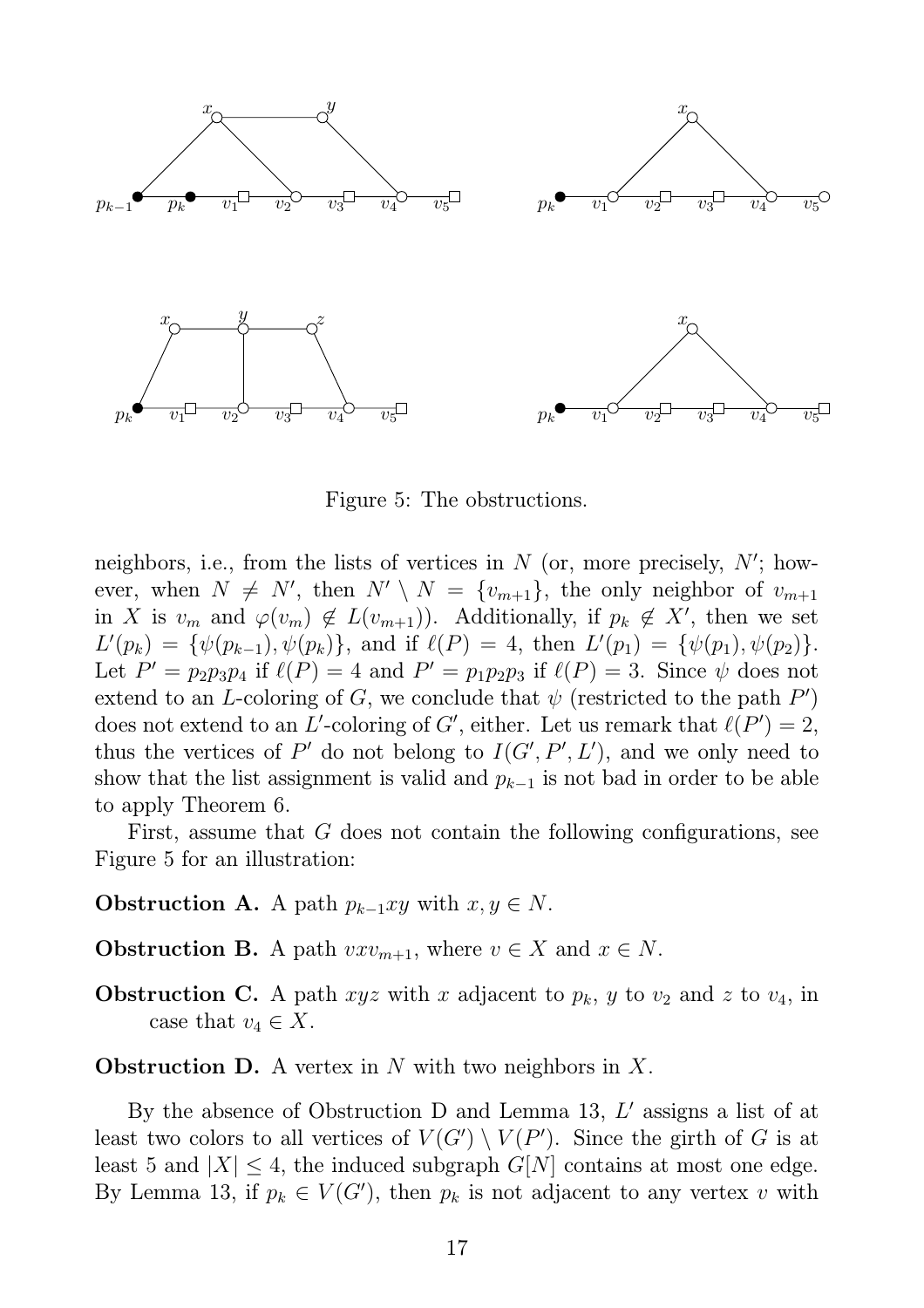

Figure 5: The obstructions.

neighbors, i.e., from the lists of vertices in  $N$  (or, more precisely,  $N'$ ; however, when  $N \neq N'$ , then  $N' \setminus N = \{v_{m+1}\}\$ , the only neighbor of  $v_{m+1}$ in X is  $v_m$  and  $\varphi(v_m) \notin L(v_{m+1})$ . Additionally, if  $p_k \notin X'$ , then we set  $L'(p_k) = \{\psi(p_{k-1}), \psi(p_k)\},\$ and if  $\ell(P) = 4$ , then  $L'(p_1) = \{\psi(p_1), \psi(p_2)\}.$ Let  $P' = p_2 p_3 p_4$  if  $\ell(P) = 4$  and  $P' = p_1 p_2 p_3$  if  $\ell(P) = 3$ . Since  $\psi$  does not extend to an L-coloring of G, we conclude that  $\psi$  (restricted to the path  $P'$ ) does not extend to an L'-coloring of G', either. Let us remark that  $\ell(P') = 2$ , thus the vertices of P' do not belong to  $I(G', P', L')$ , and we only need to show that the list assignment is valid and  $p_{k-1}$  is not bad in order to be able to apply Theorem 6.

First, assume that G does not contain the following configurations, see Figure 5 for an illustration:

- **Obstruction A.** A path  $p_{k-1}xy$  with  $x, y \in N$ .
- **Obstruction B.** A path  $vxv_{m+1}$ , where  $v \in X$  and  $x \in N$ .
- **Obstruction C.** A path xyz with x adjacent to  $p_k$ , y to  $v_2$  and z to  $v_4$ , in case that  $v_4 \in X$ .

**Obstruction D.** A vertex in N with two neighbors in X.

By the absence of Obstruction D and Lemma 13,  $L'$  assigns a list of at least two colors to all vertices of  $V(G') \setminus V(P')$ . Since the girth of G is at least 5 and  $|X| \leq 4$ , the induced subgraph  $G[N]$  contains at most one edge. By Lemma 13, if  $p_k \in V(G')$ , then  $p_k$  is not adjacent to any vertex v with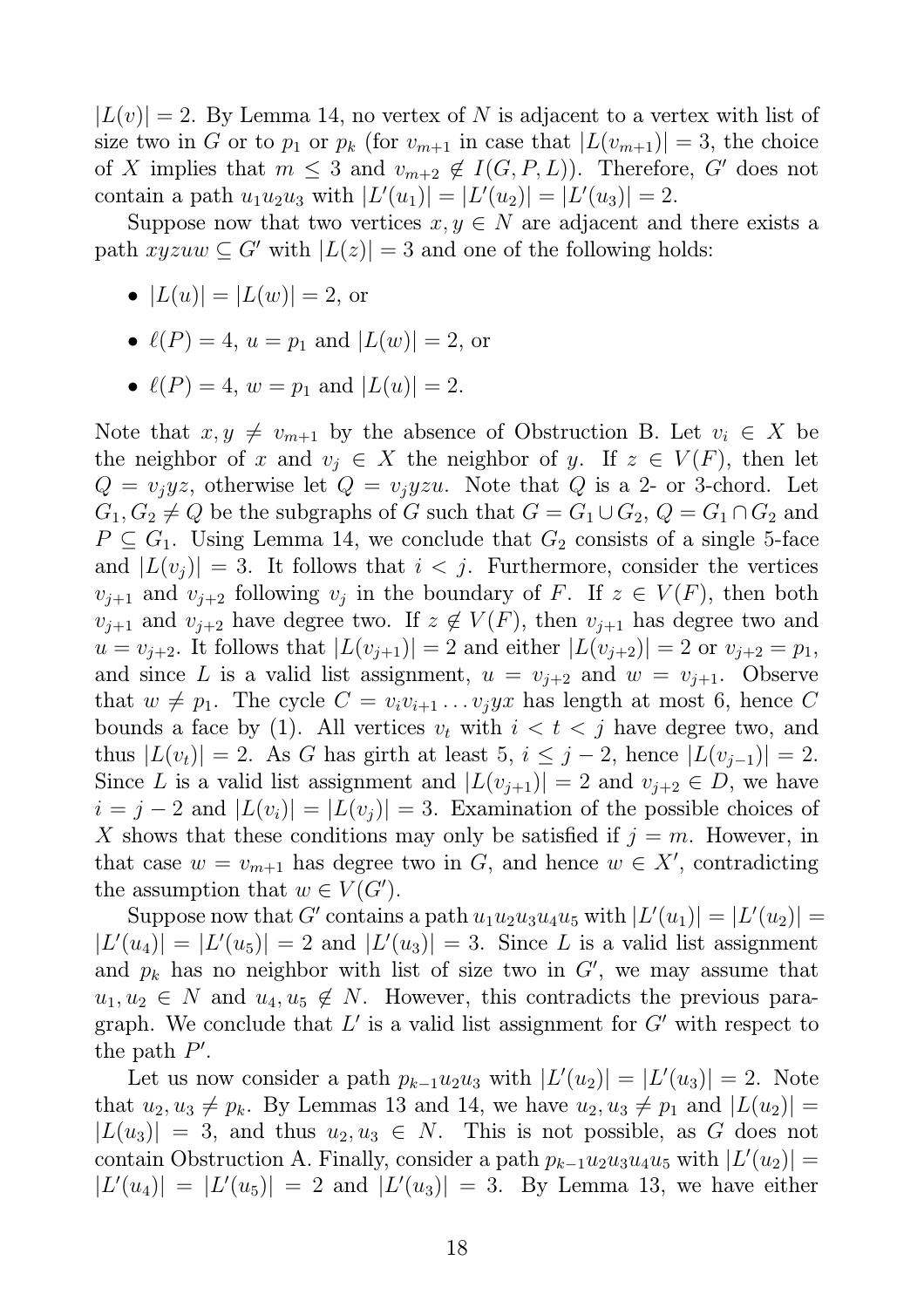$|L(v)| = 2$ . By Lemma 14, no vertex of N is adjacent to a vertex with list of size two in G or to  $p_1$  or  $p_k$  (for  $v_{m+1}$  in case that  $|L(v_{m+1})| = 3$ , the choice of X implies that  $m \leq 3$  and  $v_{m+2} \notin I(G, P, L)$ . Therefore, G' does not contain a path  $u_1 u_2 u_3$  with  $|L'(u_1)| = |L'(u_2)| = |L'(u_3)| = 2$ .

Suppose now that two vertices  $x, y \in N$  are adjacent and there exists a path  $xyzuw \subseteq G'$  with  $|L(z)| = 3$  and one of the following holds:

- $|L(u)| = |L(w)| = 2$ , or
- $\ell(P) = 4$ ,  $u = p_1$  and  $|L(w)| = 2$ , or
- $\ell(P) = 4$ ,  $w = p_1$  and  $|L(u)| = 2$ .

Note that  $x, y \neq v_{m+1}$  by the absence of Obstruction B. Let  $v_i \in X$  be the neighbor of x and  $v_j \in X$  the neighbor of y. If  $z \in V(F)$ , then let  $Q = v_jyz$ , otherwise let  $Q = v_jyzu$ . Note that Q is a 2- or 3-chord. Let  $G_1, G_2 \neq Q$  be the subgraphs of G such that  $G = G_1 \cup G_2$ ,  $Q = G_1 \cap G_2$  and  $P \subseteq G_1$ . Using Lemma 14, we conclude that  $G_2$  consists of a single 5-face and  $|L(v_i)| = 3$ . It follows that  $i < j$ . Furthermore, consider the vertices  $v_{j+1}$  and  $v_{j+2}$  following  $v_j$  in the boundary of F. If  $z \in V(F)$ , then both  $v_{i+1}$  and  $v_{i+2}$  have degree two. If  $z \notin V(F)$ , then  $v_{i+1}$  has degree two and  $u = v_{j+2}$ . It follows that  $|L(v_{j+1})| = 2$  and either  $|L(v_{j+2})| = 2$  or  $v_{j+2} = p_1$ , and since L is a valid list assignment,  $u = v_{i+2}$  and  $w = v_{i+1}$ . Observe that  $w \neq p_1$ . The cycle  $C = v_i v_{i+1} \dots v_j y_x$  has length at most 6, hence C bounds a face by (1). All vertices  $v_t$  with  $i < t < j$  have degree two, and thus  $|L(v_t)| = 2$ . As G has girth at least 5,  $i \leq j - 2$ , hence  $|L(v_{j-1})| = 2$ . Since L is a valid list assignment and  $|L(v_{j+1})| = 2$  and  $v_{j+2} \in D$ , we have  $i = j - 2$  and  $|L(v_i)| = |L(v_j)| = 3$ . Examination of the possible choices of X shows that these conditions may only be satisfied if  $j = m$ . However, in that case  $w = v_{m+1}$  has degree two in G, and hence  $w \in X'$ , contradicting the assumption that  $w \in V(G')$ .

Suppose now that G' contains a path  $u_1u_2u_3u_4u_5$  with  $|L'(u_1)| = |L'(u_2)| =$  $|L'(u_4)| = |L'(u_5)| = 2$  and  $|L'(u_3)| = 3$ . Since L is a valid list assignment and  $p_k$  has no neighbor with list of size two in  $G'$ , we may assume that  $u_1, u_2 \in N$  and  $u_4, u_5 \notin N$ . However, this contradicts the previous paragraph. We conclude that  $L'$  is a valid list assignment for  $G'$  with respect to the path  $P'$ .

Let us now consider a path  $p_{k-1}u_2u_3$  with  $|L'(u_2)| = |L'(u_3)| = 2$ . Note that  $u_2, u_3 \neq p_k$ . By Lemmas 13 and 14, we have  $u_2, u_3 \neq p_1$  and  $|L(u_2)| =$  $|L(u_3)| = 3$ , and thus  $u_2, u_3 \in N$ . This is not possible, as G does not contain Obstruction A. Finally, consider a path  $p_{k-1}u_2u_3u_4u_5$  with  $|L'(u_2)| =$  $|L'(u_4)| = |L'(u_5)| = 2$  and  $|L'(u_3)| = 3$ . By Lemma 13, we have either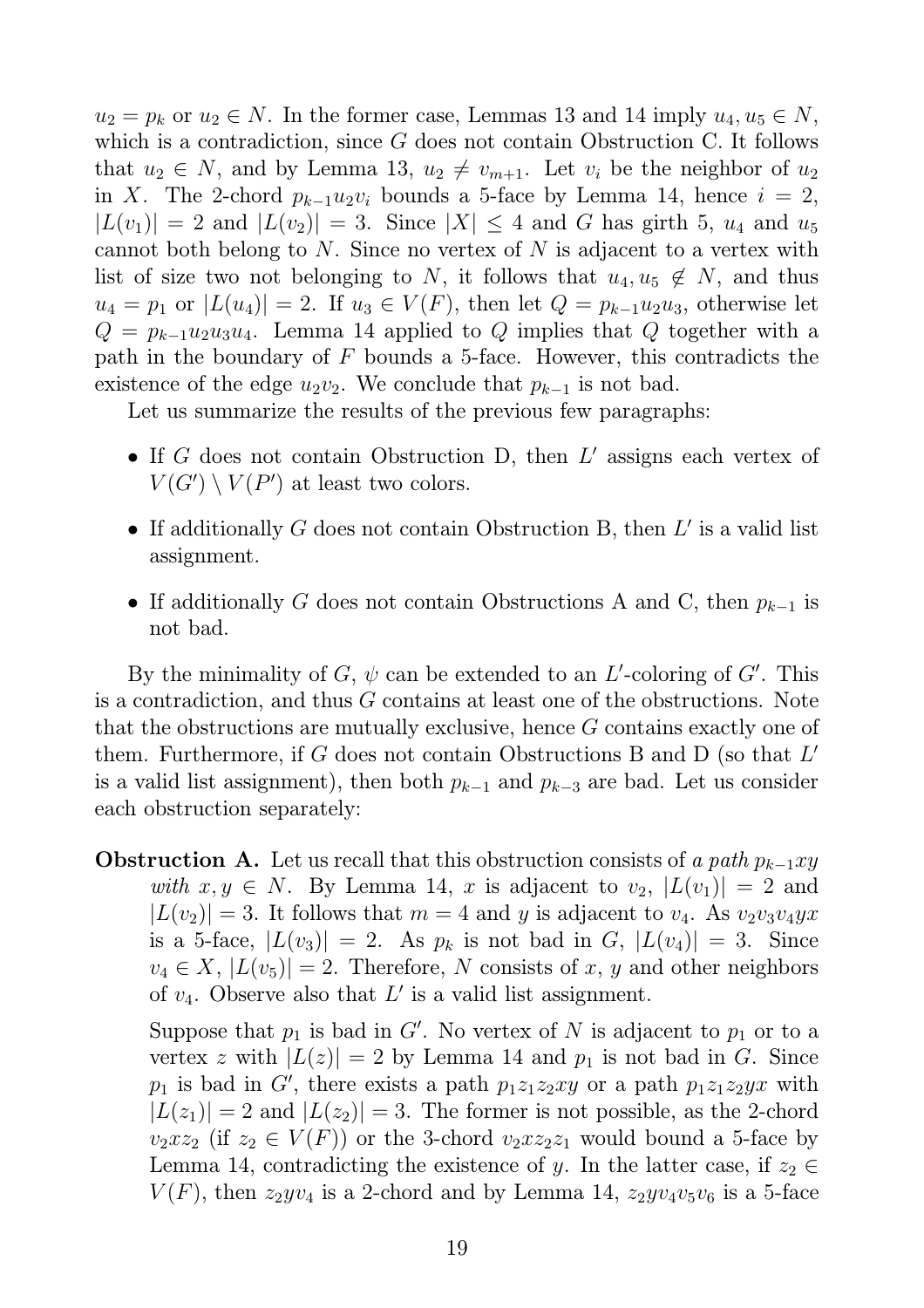$u_2 = p_k$  or  $u_2 \in N$ . In the former case, Lemmas 13 and 14 imply  $u_4, u_5 \in N$ , which is a contradiction, since G does not contain Obstruction C. It follows that  $u_2 \in N$ , and by Lemma 13,  $u_2 \neq v_{m+1}$ . Let  $v_i$  be the neighbor of  $u_2$ in X. The 2-chord  $p_{k-1}u_2v_i$  bounds a 5-face by Lemma 14, hence  $i = 2$ ,  $|L(v_1)| = 2$  and  $|L(v_2)| = 3$ . Since  $|X| \leq 4$  and G has girth 5,  $u_4$  and  $u_5$ cannot both belong to  $N$ . Since no vertex of  $N$  is adjacent to a vertex with list of size two not belonging to N, it follows that  $u_4, u_5 \notin N$ , and thus  $u_4 = p_1$  or  $|L(u_4)| = 2$ . If  $u_3 \in V(F)$ , then let  $Q = p_{k-1}u_2u_3$ , otherwise let  $Q = p_{k-1}u_2u_3u_4$ . Lemma 14 applied to Q implies that Q together with a path in the boundary of  $F$  bounds a 5-face. However, this contradicts the existence of the edge  $u_2v_2$ . We conclude that  $p_{k-1}$  is not bad.

Let us summarize the results of the previous few paragraphs:

- If  $G$  does not contain Obstruction D, then  $L'$  assigns each vertex of  $V(G') \setminus V(P')$  at least two colors.
- If additionally  $G$  does not contain Obstruction B, then  $L'$  is a valid list assignment.
- If additionally G does not contain Obstructions A and C, then  $p_{k-1}$  is not bad.

By the minimality of  $G, \psi$  can be extended to an L'-coloring of  $G'$ . This is a contradiction, and thus G contains at least one of the obstructions. Note that the obstructions are mutually exclusive, hence G contains exactly one of them. Furthermore, if  $G$  does not contain Obstructions B and D (so that  $L'$ ) is a valid list assignment), then both  $p_{k-1}$  and  $p_{k-3}$  are bad. Let us consider each obstruction separately:

**Obstruction A.** Let us recall that this obstruction consists of *a path*  $p_{k-1}xy$ *with*  $x, y \in N$ . By Lemma 14, x is adjacent to  $v_2$ ,  $|L(v_1)| = 2$  and  $|L(v_2)| = 3$ . It follows that  $m = 4$  and y is adjacent to  $v_4$ . As  $v_2v_3v_4yx$ is a 5-face,  $|L(v_3)| = 2$ . As  $p_k$  is not bad in G,  $|L(v_4)| = 3$ . Since  $v_4 \in X$ ,  $|L(v_5)| = 2$ . Therefore, N consists of x, y and other neighbors of  $v_4$ . Observe also that  $L'$  is a valid list assignment.

Suppose that  $p_1$  is bad in G'. No vertex of N is adjacent to  $p_1$  or to a vertex z with  $|L(z)| = 2$  by Lemma 14 and  $p_1$  is not bad in G. Since  $p_1$  is bad in G', there exists a path  $p_1z_1z_2xy$  or a path  $p_1z_1z_2yx$  with  $|L(z_1)| = 2$  and  $|L(z_2)| = 3$ . The former is not possible, as the 2-chord  $v_2xz_2$  (if  $z_2 \in V(F)$ ) or the 3-chord  $v_2xz_2z_1$  would bound a 5-face by Lemma 14, contradicting the existence of y. In the latter case, if  $z_2 \in$  $V(F)$ , then  $z_2yv_4$  is a 2-chord and by Lemma 14,  $z_2yv_4v_5v_6$  is a 5-face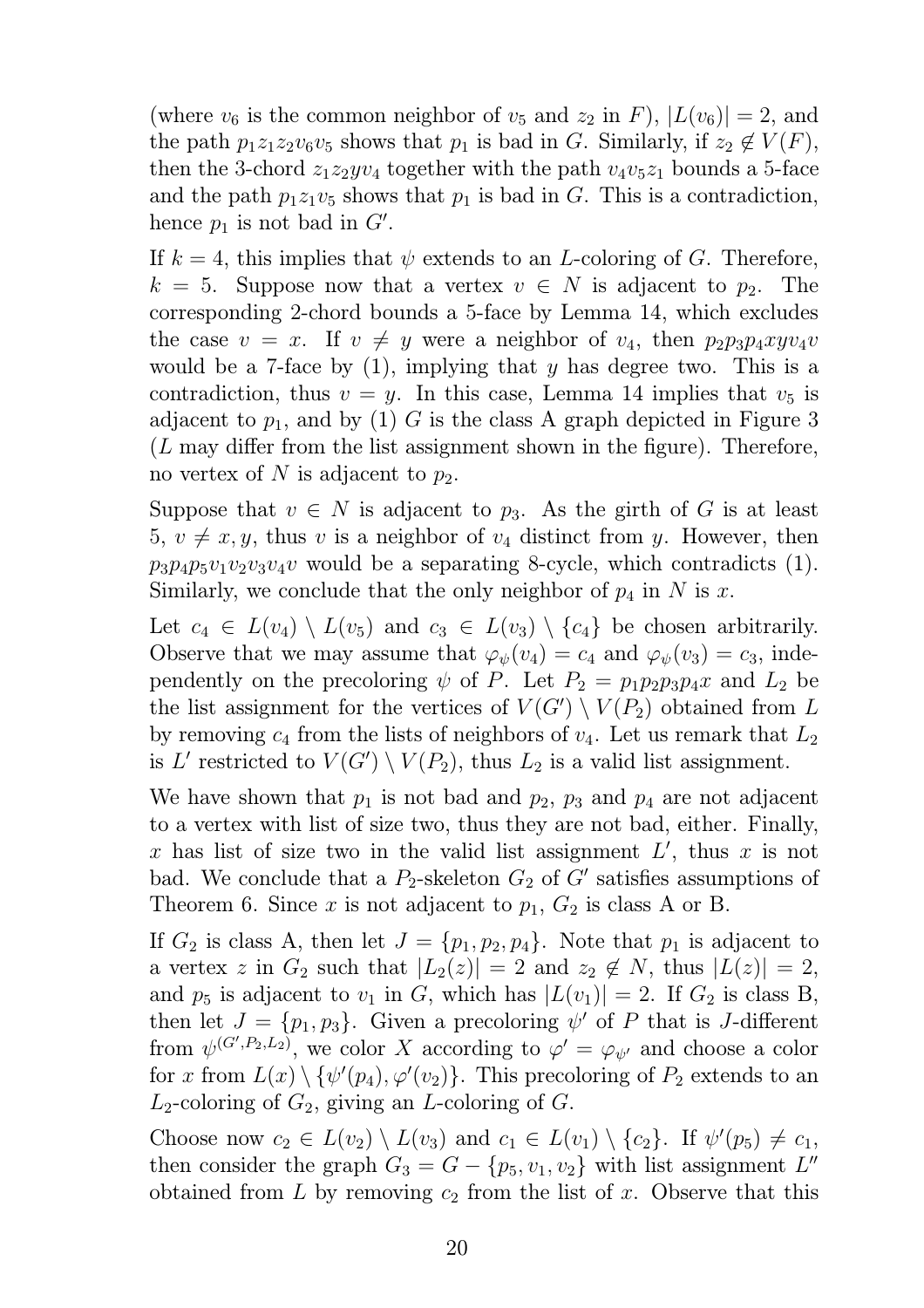(where  $v_6$  is the common neighbor of  $v_5$  and  $z_2$  in F),  $|L(v_6)| = 2$ , and the path  $p_1z_1z_2v_6v_5$  shows that  $p_1$  is bad in G. Similarly, if  $z_2 \notin V(F)$ , then the 3-chord  $z_1z_2yv_4$  together with the path  $v_4v_5z_1$  bounds a 5-face and the path  $p_1z_1v_5$  shows that  $p_1$  is bad in G. This is a contradiction, hence  $p_1$  is not bad in  $G'$ .

If  $k = 4$ , this implies that  $\psi$  extends to an *L*-coloring of *G*. Therefore,  $k = 5$ . Suppose now that a vertex  $v \in N$  is adjacent to  $p_2$ . The corresponding 2-chord bounds a 5-face by Lemma 14, which excludes the case  $v = x$ . If  $v \neq y$  were a neighbor of  $v_4$ , then  $p_2p_3p_4xyv_4v$ would be a 7-face by  $(1)$ , implying that y has degree two. This is a contradiction, thus  $v = y$ . In this case, Lemma 14 implies that  $v_5$  is adjacent to  $p_1$ , and by (1) G is the class A graph depicted in Figure 3  $(L$  may differ from the list assignment shown in the figure). Therefore, no vertex of N is adjacent to  $p_2$ .

Suppose that  $v \in N$  is adjacent to  $p_3$ . As the girth of G is at least 5,  $v \neq x, y$ , thus v is a neighbor of  $v_4$  distinct from y. However, then  $p_3p_4p_5v_1v_2v_3v_4v$  would be a separating 8-cycle, which contradicts (1). Similarly, we conclude that the only neighbor of  $p_4$  in N is x.

Let  $c_4 \in L(v_4) \setminus L(v_5)$  and  $c_3 \in L(v_3) \setminus \{c_4\}$  be chosen arbitrarily. Observe that we may assume that  $\varphi_{\psi}(v_4) = c_4$  and  $\varphi_{\psi}(v_3) = c_3$ , independently on the precoloring  $\psi$  of P. Let  $P_2 = p_1 p_2 p_3 p_4 x$  and  $L_2$  be the list assignment for the vertices of  $V(G') \setminus V(P_2)$  obtained from L by removing  $c_4$  from the lists of neighbors of  $v_4$ . Let us remark that  $L_2$ is L' restricted to  $V(G') \setminus V(P_2)$ , thus  $L_2$  is a valid list assignment.

We have shown that  $p_1$  is not bad and  $p_2$ ,  $p_3$  and  $p_4$  are not adjacent to a vertex with list of size two, thus they are not bad, either. Finally, x has list of size two in the valid list assignment  $L'$ , thus x is not bad. We conclude that a  $P_2$ -skeleton  $G_2$  of  $G'$  satisfies assumptions of Theorem 6. Since x is not adjacent to  $p_1, G_2$  is class A or B.

If  $G_2$  is class A, then let  $J = \{p_1, p_2, p_4\}$ . Note that  $p_1$  is adjacent to a vertex z in  $G_2$  such that  $|L_2(z)| = 2$  and  $z_2 \notin N$ , thus  $|L(z)| = 2$ , and  $p_5$  is adjacent to  $v_1$  in G, which has  $|L(v_1)| = 2$ . If  $G_2$  is class B, then let  $J = \{p_1, p_3\}$ . Given a precoloring  $\psi'$  of P that is J-different from  $\psi^{(G', P_2, L_2)}$ , we color X according to  $\varphi' = \varphi_{\psi'}$  and choose a color for x from  $L(x) \setminus {\psi'(p_4), \varphi'(v_2)}$ . This precoloring of  $P_2$  extends to an  $L_2$ -coloring of  $G_2$ , giving an L-coloring of G.

Choose now  $c_2 \in L(v_2) \setminus L(v_3)$  and  $c_1 \in L(v_1) \setminus \{c_2\}$ . If  $\psi'(p_5) \neq c_1$ , then consider the graph  $G_3 = G - \{p_5, v_1, v_2\}$  with list assignment  $L''$ obtained from L by removing  $c_2$  from the list of x. Observe that this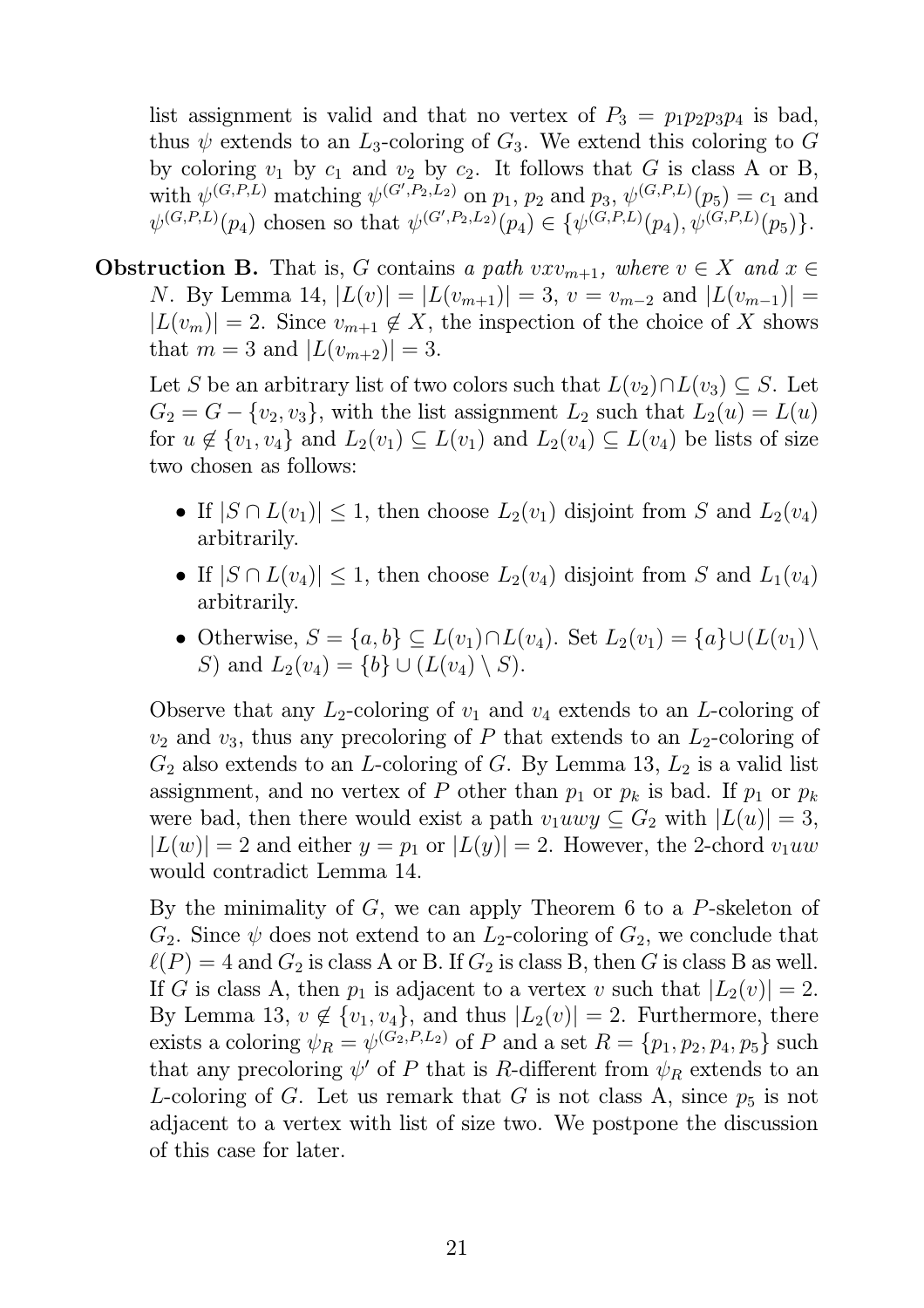list assignment is valid and that no vertex of  $P_3 = p_1 p_2 p_3 p_4$  is bad, thus  $\psi$  extends to an  $L_3$ -coloring of  $G_3$ . We extend this coloring to G by coloring  $v_1$  by  $c_1$  and  $v_2$  by  $c_2$ . It follows that G is class A or B, with  $\psi^{(G,P,L)}$  matching  $\psi^{(G',P_2,L_2)}$  on  $p_1, p_2$  and  $p_3, \psi^{(G,P,L)}(p_5) = c_1$  and  $\psi^{(G,P,L)}(p_4)$  chosen so that  $\psi^{(G',P_2,L_2)}(p_4) \in {\{\psi^{(G,P,L)}(p_4), \psi^{(G,P,L)}(p_5)\}}$ .

**Obstruction B.** That is, G contains a path  $vxv_{m+1}$ , where  $v \in X$  and  $x \in Y$ N. By Lemma 14,  $|L(v)| = |L(v_{m+1})| = 3$ ,  $v = v_{m-2}$  and  $|L(v_{m-1})| =$  $|L(v_m)| = 2$ . Since  $v_{m+1} \notin X$ , the inspection of the choice of X shows that  $m = 3$  and  $|L(v_{m+2})| = 3$ .

Let S be an arbitrary list of two colors such that  $L(v_2) \cap L(v_3) \subseteq S$ . Let  $G_2 = G - \{v_2, v_3\}$ , with the list assignment  $L_2$  such that  $L_2(u) = L(u)$ for  $u \notin \{v_1, v_4\}$  and  $L_2(v_1) \subseteq L(v_1)$  and  $L_2(v_4) \subseteq L(v_4)$  be lists of size two chosen as follows:

- If  $|S \cap L(v_1)| \leq 1$ , then choose  $L_2(v_1)$  disjoint from S and  $L_2(v_4)$ arbitrarily.
- If  $|S \cap L(v_4)| \leq 1$ , then choose  $L_2(v_4)$  disjoint from S and  $L_1(v_4)$ arbitrarily.
- Otherwise,  $S = \{a, b\} \subseteq L(v_1) \cap L(v_4)$ . Set  $L_2(v_1) = \{a\} \cup (L(v_1) \setminus$ S) and  $L_2(v_4) = \{b\} \cup (L(v_4) \setminus S)$ .

Observe that any  $L_2$ -coloring of  $v_1$  and  $v_4$  extends to an *L*-coloring of  $v_2$  and  $v_3$ , thus any precoloring of P that extends to an  $L_2$ -coloring of  $G_2$  also extends to an *L*-coloring of *G*. By Lemma 13,  $L_2$  is a valid list assignment, and no vertex of P other than  $p_1$  or  $p_k$  is bad. If  $p_1$  or  $p_k$ were bad, then there would exist a path  $v_1uwy \subseteq G_2$  with  $|L(u)| = 3$ ,  $|L(w)| = 2$  and either  $y = p_1$  or  $|L(y)| = 2$ . However, the 2-chord  $v_1uw$ would contradict Lemma 14.

By the minimality of  $G$ , we can apply Theorem 6 to a  $P$ -skeleton of  $G_2$ . Since  $\psi$  does not extend to an  $L_2$ -coloring of  $G_2$ , we conclude that  $\ell(P) = 4$  and  $G_2$  is class A or B. If  $G_2$  is class B, then G is class B as well. If G is class A, then  $p_1$  is adjacent to a vertex v such that  $|L_2(v)| = 2$ . By Lemma 13,  $v \notin \{v_1, v_4\}$ , and thus  $|L_2(v)| = 2$ . Furthermore, there exists a coloring  $\psi_R = \psi^{(G_2, P, L_2)}$  of P and a set  $R = \{p_1, p_2, p_4, p_5\}$  such that any precoloring  $\psi'$  of P that is R-different from  $\psi_R$  extends to an L-coloring of G. Let us remark that G is not class A, since  $p_5$  is not adjacent to a vertex with list of size two. We postpone the discussion of this case for later.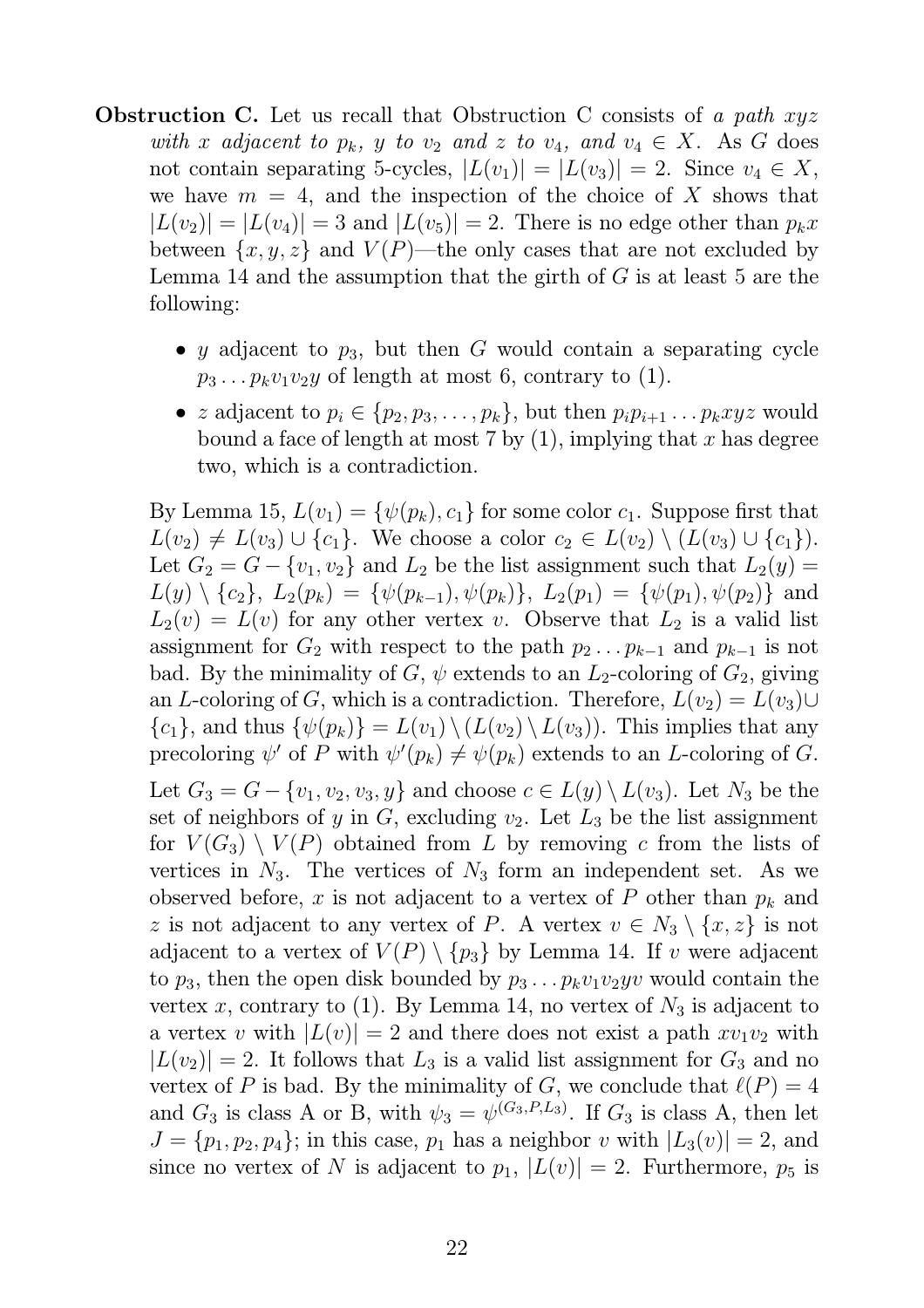- Obstruction C. Let us recall that Obstruction C consists of *a path* xyz *with* x adjacent to  $p_k$ , y to  $v_2$  and z to  $v_4$ , and  $v_4 \in X$ . As G does not contain separating 5-cycles,  $|L(v_1)| = |L(v_3)| = 2$ . Since  $v_4 \in X$ , we have  $m = 4$ , and the inspection of the choice of X shows that  $|L(v_2)| = |L(v_4)| = 3$  and  $|L(v_5)| = 2$ . There is no edge other than  $p_k x$ between  $\{x, y, z\}$  and  $V(P)$ —the only cases that are not excluded by Lemma 14 and the assumption that the girth of  $G$  is at least 5 are the following:
	- y adjacent to  $p_3$ , but then G would contain a separating cycle  $p_3 \ldots p_k v_1 v_2 y$  of length at most 6, contrary to (1).
	- z adjacent to  $p_i \in \{p_2, p_3, \ldots, p_k\}$ , but then  $p_i p_{i+1} \ldots p_k x y z$  would bound a face of length at most 7 by  $(1)$ , implying that x has degree two, which is a contradiction.

By Lemma 15,  $L(v_1) = \{\psi(p_k), c_1\}$  for some color  $c_1$ . Suppose first that  $L(v_2) \neq L(v_3) \cup \{c_1\}$ . We choose a color  $c_2 \in L(v_2) \setminus (L(v_3) \cup \{c_1\}).$ Let  $G_2 = G - \{v_1, v_2\}$  and  $L_2$  be the list assignment such that  $L_2(y) =$  $L(y) \setminus \{c_2\}, L_2(p_k) = \{\psi(p_{k-1}), \psi(p_k)\}, L_2(p_1) = \{\psi(p_1), \psi(p_2)\}\$ and  $L_2(v) = L(v)$  for any other vertex v. Observe that  $L_2$  is a valid list assignment for  $G_2$  with respect to the path  $p_2 \tildot p_{k-1}$  and  $p_{k-1}$  is not bad. By the minimality of G,  $\psi$  extends to an  $L_2$ -coloring of  $G_2$ , giving an L-coloring of G, which is a contradiction. Therefore,  $L(v_2) = L(v_3) \cup$  ${c_1}$ , and thus  ${\psi(p_k)} = L(v_1) \setminus (L(v_2) \setminus L(v_3))$ . This implies that any precoloring  $\psi'$  of P with  $\psi'(p_k) \neq \psi(p_k)$  extends to an L-coloring of G. Let  $G_3 = G - \{v_1, v_2, v_3, y\}$  and choose  $c \in L(y) \setminus L(v_3)$ . Let  $N_3$  be the set of neighbors of y in  $G$ , excluding  $v_2$ . Let  $L_3$  be the list assignment for  $V(G_3) \setminus V(P)$  obtained from L by removing c from the lists of vertices in  $N_3$ . The vertices of  $N_3$  form an independent set. As we observed before, x is not adjacent to a vertex of P other than  $p_k$  and z is not adjacent to any vertex of P. A vertex  $v \in N_3 \setminus \{x, z\}$  is not adjacent to a vertex of  $V(P) \setminus \{p_3\}$  by Lemma 14. If v were adjacent to  $p_3$ , then the open disk bounded by  $p_3 \nldots p_k v_1 v_2 y v$  would contain the vertex x, contrary to (1). By Lemma 14, no vertex of  $N_3$  is adjacent to a vertex v with  $|L(v)| = 2$  and there does not exist a path  $xv_1v_2$  with  $|L(v_2)| = 2$ . It follows that  $L_3$  is a valid list assignment for  $G_3$  and no vertex of P is bad. By the minimality of G, we conclude that  $\ell(P) = 4$ and  $G_3$  is class A or B, with  $\psi_3 = \psi^{(G_3, P, L_3)}$ . If  $G_3$  is class A, then let  $J = \{p_1, p_2, p_4\}$ ; in this case,  $p_1$  has a neighbor v with  $|L_3(v)| = 2$ , and since no vertex of N is adjacent to  $p_1$ ,  $|L(v)| = 2$ . Furthermore,  $p_5$  is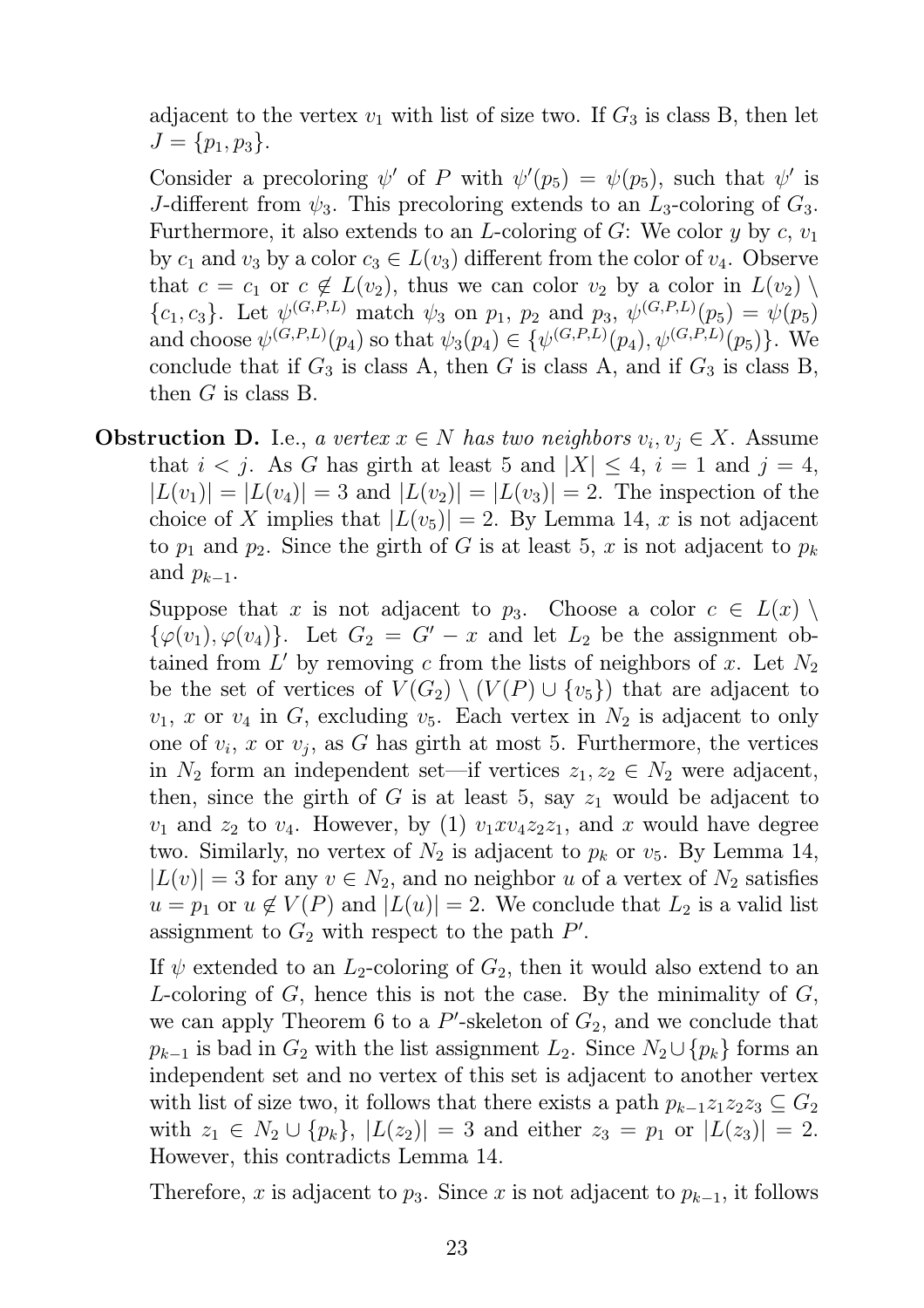adjacent to the vertex  $v_1$  with list of size two. If  $G_3$  is class B, then let  $J = \{p_1, p_3\}.$ 

Consider a precoloring  $\psi'$  of P with  $\psi'(p_5) = \psi(p_5)$ , such that  $\psi'$  is J-different from  $\psi_3$ . This precoloring extends to an  $L_3$ -coloring of  $G_3$ . Furthermore, it also extends to an L-coloring of G: We color y by c,  $v_1$ by  $c_1$  and  $v_3$  by a color  $c_3 \in L(v_3)$  different from the color of  $v_4$ . Observe that  $c = c_1$  or  $c \notin L(v_2)$ , thus we can color  $v_2$  by a color in  $L(v_2)$  ${c_1, c_3}$ . Let  $\psi^{(G, P, L)}$  match  $\psi_3$  on  $p_1, p_2$  and  $p_3, \psi^{(G, P, L)}(p_5) = \psi(p_5)$ and choose  $\psi^{(G,P,L)}(p_4)$  so that  $\psi_3(p_4) \in \{\psi^{(G,P,L)}(p_4), \psi^{(G,P,L)}(p_5)\}.$  We conclude that if  $G_3$  is class A, then G is class A, and if  $G_3$  is class B, then  $G$  is class B.

**Obstruction D.** I.e., *a vertex*  $x \in N$  *has two neighbors*  $v_i, v_j \in X$ . Assume that  $i < j$ . As G has girth at least 5 and  $|X| \leq 4$ ,  $i = 1$  and  $j = 4$ ,  $|L(v_1)| = |L(v_4)| = 3$  and  $|L(v_2)| = |L(v_3)| = 2$ . The inspection of the choice of X implies that  $|L(v_5)| = 2$ . By Lemma 14, x is not adjacent to  $p_1$  and  $p_2$ . Since the girth of G is at least 5, x is not adjacent to  $p_k$ and  $p_{k-1}$ .

Suppose that x is not adjacent to  $p_3$ . Choose a color  $c \in L(x) \setminus$  $\{\varphi(v_1), \varphi(v_4)\}\$ . Let  $G_2 = G' - x$  and let  $L_2$  be the assignment obtained from  $L'$  by removing c from the lists of neighbors of x. Let  $N_2$ be the set of vertices of  $V(G_2) \setminus (V(P) \cup \{v_5\})$  that are adjacent to  $v_1, x$  or  $v_4$  in G, excluding  $v_5$ . Each vertex in  $N_2$  is adjacent to only one of  $v_i$ , x or  $v_j$ , as G has girth at most 5. Furthermore, the vertices in  $N_2$  form an independent set—if vertices  $z_1, z_2 \in N_2$  were adjacent, then, since the girth of G is at least 5, say  $z_1$  would be adjacent to  $v_1$  and  $z_2$  to  $v_4$ . However, by (1)  $v_1xv_4z_2z_1$ , and x would have degree two. Similarly, no vertex of  $N_2$  is adjacent to  $p_k$  or  $v_5$ . By Lemma 14,  $|L(v)| = 3$  for any  $v \in N_2$ , and no neighbor u of a vertex of  $N_2$  satisfies  $u = p_1$  or  $u \notin V(P)$  and  $|L(u)| = 2$ . We conclude that  $L_2$  is a valid list assignment to  $G_2$  with respect to the path  $P'$ .

If  $\psi$  extended to an  $L_2$ -coloring of  $G_2$ , then it would also extend to an L-coloring of  $G$ , hence this is not the case. By the minimality of  $G$ , we can apply Theorem 6 to a  $P'$ -skeleton of  $G_2$ , and we conclude that  $p_{k-1}$  is bad in  $G_2$  with the list assignment  $L_2$ . Since  $N_2 \cup \{p_k\}$  forms an independent set and no vertex of this set is adjacent to another vertex with list of size two, it follows that there exists a path  $p_{k-1}z_1z_2z_3 \subseteq G_2$ with  $z_1 \in N_2 \cup \{p_k\}, |L(z_2)| = 3$  and either  $z_3 = p_1$  or  $|L(z_3)| = 2$ . However, this contradicts Lemma 14.

Therefore, x is adjacent to  $p_3$ . Since x is not adjacent to  $p_{k-1}$ , it follows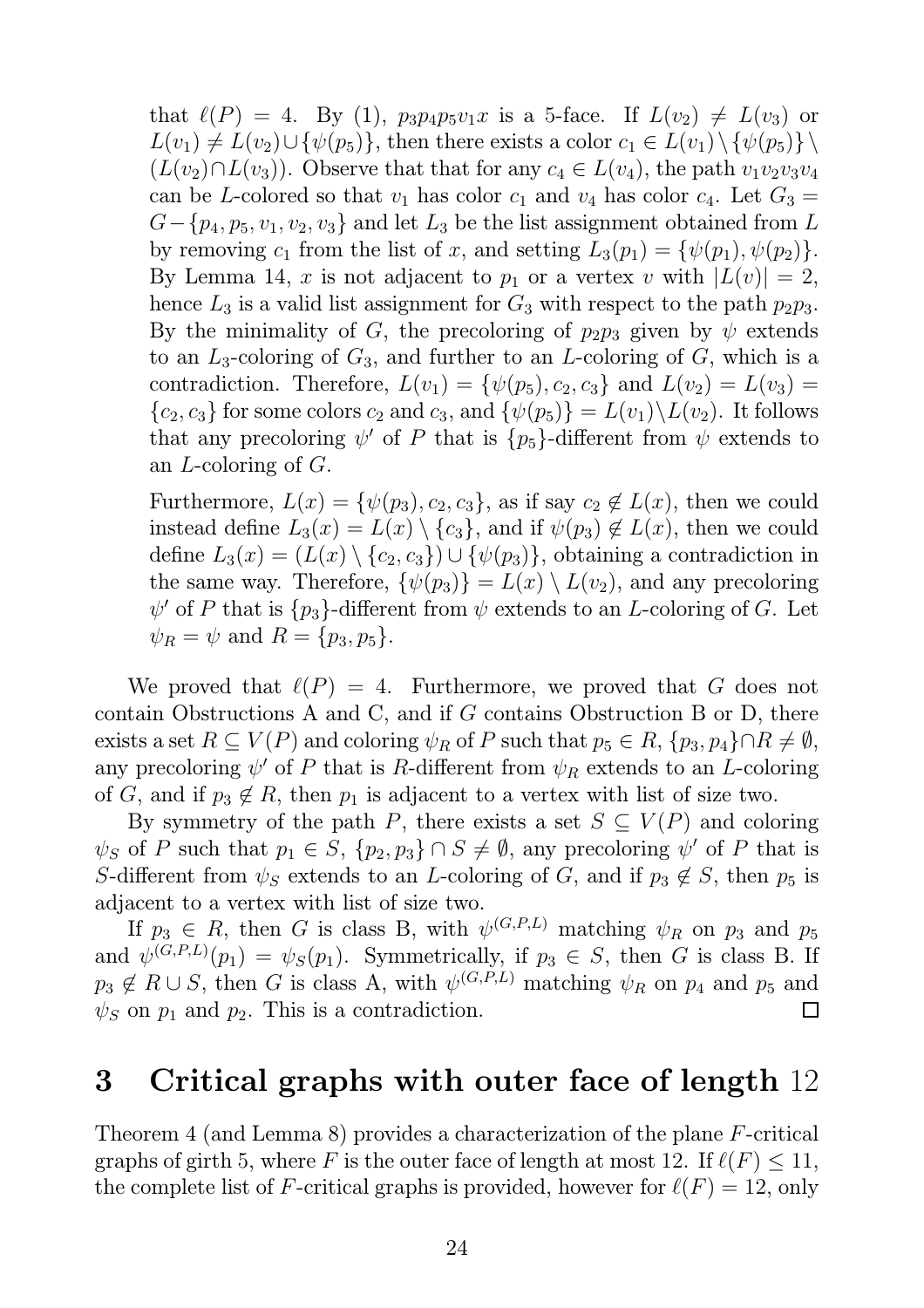that  $\ell(P) = 4$ . By (1),  $p_3p_4p_5v_1x$  is a 5-face. If  $L(v_2) \neq L(v_3)$  or  $L(v_1) \neq L(v_2) \cup {\psi(p_5)}$ , then there exists a color  $c_1 \in L(v_1) \setminus {\psi(p_5)} \setminus$  $(L(v_2) \cap L(v_3))$ . Observe that that for any  $c_4 \in L(v_4)$ , the path  $v_1v_2v_3v_4$ can be L-colored so that  $v_1$  has color  $c_1$  and  $v_4$  has color  $c_4$ . Let  $G_3 =$  $G-\{p_4, p_5, v_1, v_2, v_3\}$  and let  $L_3$  be the list assignment obtained from L by removing  $c_1$  from the list of x, and setting  $L_3(p_1) = {\psi(p_1), \psi(p_2)}$ . By Lemma 14, x is not adjacent to  $p_1$  or a vertex v with  $|L(v)| = 2$ , hence  $L_3$  is a valid list assignment for  $G_3$  with respect to the path  $p_2p_3$ . By the minimality of G, the precoloring of  $p_2p_3$  given by  $\psi$  extends to an  $L_3$ -coloring of  $G_3$ , and further to an L-coloring of G, which is a contradiction. Therefore,  $L(v_1) = \{\psi(p_5), c_2, c_3\}$  and  $L(v_2) = L(v_3)$  ${c_2, c_3}$  for some colors  $c_2$  and  $c_3$ , and  ${\psi(p_5)} = L(v_1) \backslash L(v_2)$ . It follows that any precoloring  $\psi'$  of P that is  $\{p_5\}$ -different from  $\psi$  extends to an L-coloring of G.

Furthermore,  $L(x) = \{\psi(p_3), c_2, c_3\}$ , as if say  $c_2 \notin L(x)$ , then we could instead define  $L_3(x) = L(x) \setminus \{c_3\}$ , and if  $\psi(p_3) \notin L(x)$ , then we could define  $L_3(x) = (L(x) \setminus {c_2, c_3}) \cup {\psi(p_3)}$ , obtaining a contradiction in the same way. Therefore,  $\{\psi(p_3)\}=L(x)\setminus L(v_2)$ , and any precoloring  $\psi'$  of P that is  $\{p_3\}$ -different from  $\psi$  extends to an L-coloring of G. Let  $\psi_R = \psi$  and  $R = \{p_3, p_5\}.$ 

We proved that  $\ell(P) = 4$ . Furthermore, we proved that G does not contain Obstructions A and C, and if G contains Obstruction B or D, there exists a set  $R \subseteq V(P)$  and coloring  $\psi_R$  of P such that  $p_5 \in R$ ,  $\{p_3, p_4\} \cap R \neq \emptyset$ , any precoloring  $\psi'$  of P that is R-different from  $\psi_R$  extends to an L-coloring of G, and if  $p_3 \notin R$ , then  $p_1$  is adjacent to a vertex with list of size two.

By symmetry of the path P, there exists a set  $S \subseteq V(P)$  and coloring  $\psi_S$  of P such that  $p_1 \in S$ ,  $\{p_2, p_3\} \cap S \neq \emptyset$ , any precoloring  $\psi'$  of P that is S-different from  $\psi_S$  extends to an L-coloring of G, and if  $p_3 \notin S$ , then  $p_5$  is adjacent to a vertex with list of size two.

If  $p_3 \in R$ , then G is class B, with  $\psi^{(G,P,L)}$  matching  $\psi_R$  on  $p_3$  and  $p_5$ and  $\psi^{(G,P,L)}(p_1) = \psi_S(p_1)$ . Symmetrically, if  $p_3 \in S$ , then G is class B. If  $p_3 \notin R \cup S$ , then G is class A, with  $\psi^{(G,P,L)}$  matching  $\psi_R$  on  $p_4$  and  $p_5$  and  $\psi_S$  on  $p_1$  and  $p_2$ . This is a contradiction.  $\Box$ 

### 3 Critical graphs with outer face of length 12

Theorem 4 (and Lemma 8) provides a characterization of the plane F-critical graphs of girth 5, where F is the outer face of length at most 12. If  $\ell(F) \leq 11$ , the complete list of F-critical graphs is provided, however for  $\ell(F) = 12$ , only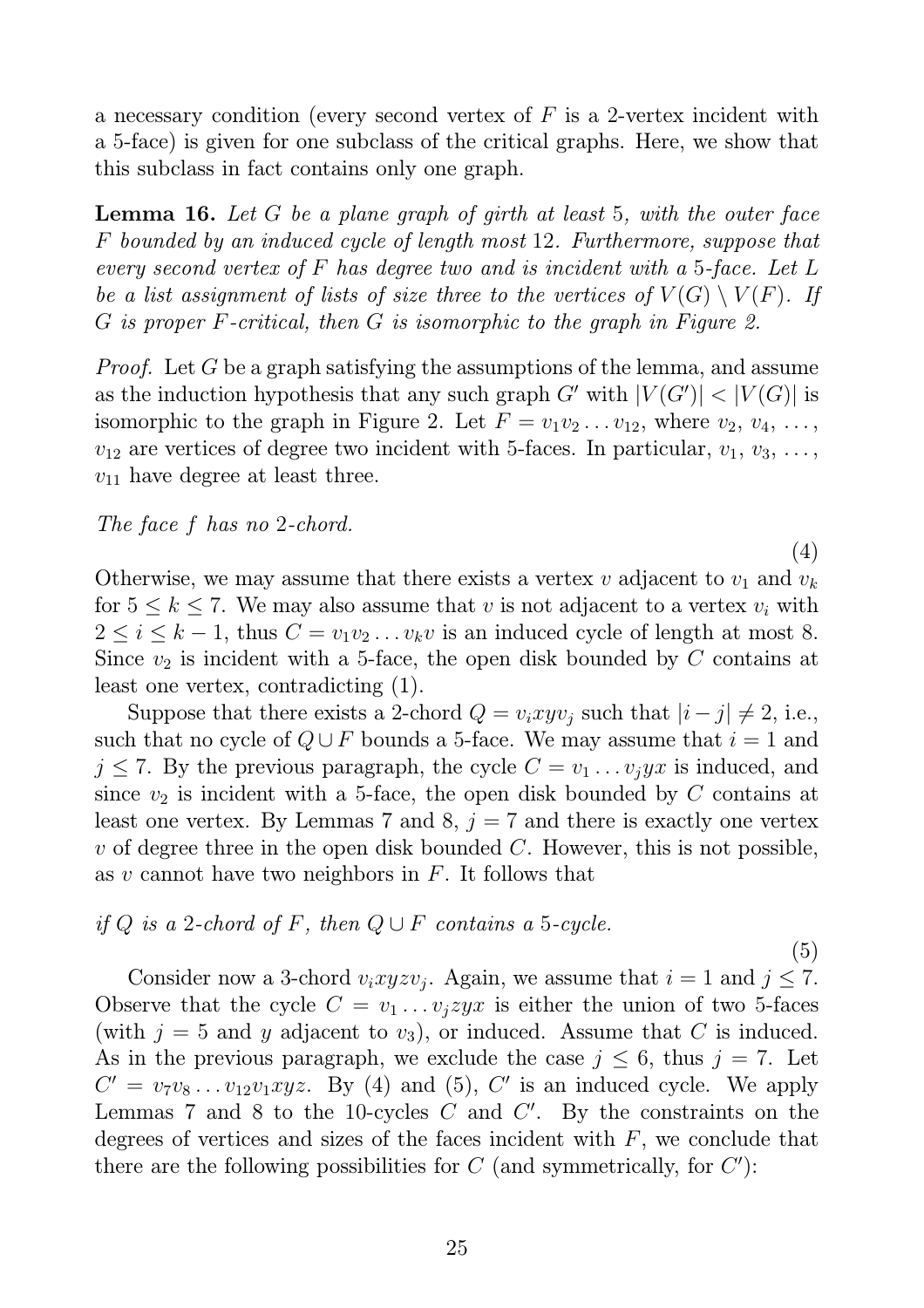a necessary condition (every second vertex of  $F$  is a 2-vertex incident with a 5-face) is given for one subclass of the critical graphs. Here, we show that this subclass in fact contains only one graph.

Lemma 16. *Let* G *be a plane graph of girth at least* 5*, with the outer face* F *bounded by an induced cycle of length most* 12*. Furthermore, suppose that every second vertex of* F *has degree two and is incident with a* 5*-face. Let* L *be a list assignment of lists of size three to the vertices of*  $V(G) \setminus V(F)$ *. If* G *is proper* F*-critical, then* G *is isomorphic to the graph in Figure 2.*

*Proof.* Let G be a graph satisfying the assumptions of the lemma, and assume as the induction hypothesis that any such graph  $G'$  with  $|V(G')| < |V(G)|$  is isomorphic to the graph in Figure 2. Let  $F = v_1v_2 \ldots v_{12}$ , where  $v_2, v_4, \ldots$ ,  $v_{12}$  are vertices of degree two incident with 5-faces. In particular,  $v_1, v_3, \ldots$ ,  $v_{11}$  have degree at least three.

*The face* f *has no* 2*-chord.*

(4)

Otherwise, we may assume that there exists a vertex  $v$  adjacent to  $v_1$  and  $v_k$ for  $5 \leq k \leq 7$ . We may also assume that v is not adjacent to a vertex  $v_i$  with  $2 \leq i \leq k-1$ , thus  $C = v_1v_2 \ldots v_kv$  is an induced cycle of length at most 8. Since  $v_2$  is incident with a 5-face, the open disk bounded by C contains at least one vertex, contradicting (1).

Suppose that there exists a 2-chord  $Q = v_ixyv_j$  such that  $|i - j| \neq 2$ , i.e., such that no cycle of  $Q \cup F$  bounds a 5-face. We may assume that  $i = 1$  and  $j \leq 7$ . By the previous paragraph, the cycle  $C = v_1 \dots v_j y x$  is induced, and since  $v_2$  is incident with a 5-face, the open disk bounded by C contains at least one vertex. By Lemmas 7 and 8,  $j = 7$  and there is exactly one vertex v of degree three in the open disk bounded  $C$ . However, this is not possible, as v cannot have two neighbors in  $F$ . It follows that

#### *if*  $Q$  *is a* 2*-chord of*  $F$ *, then*  $Q \cup F$  *contains a* 5*-cycle.*

(5) Consider now a 3-chord  $v_ixyzv_j$ . Again, we assume that  $i=1$  and  $j\leq 7$ . Observe that the cycle  $C = v_1 \dots v_j z y x$  is either the union of two 5-faces (with  $j = 5$  and y adjacent to  $v_3$ ), or induced. Assume that C is induced. As in the previous paragraph, we exclude the case  $j \leq 6$ , thus  $j = 7$ . Let  $C' = v_7v_8 \ldots v_{12}v_1xyz$ . By (4) and (5), C' is an induced cycle. We apply Lemmas 7 and 8 to the 10-cycles  $C$  and  $C'$ . By the constraints on the degrees of vertices and sizes of the faces incident with  $F$ , we conclude that there are the following possibilities for  $C$  (and symmetrically, for  $C'$ ):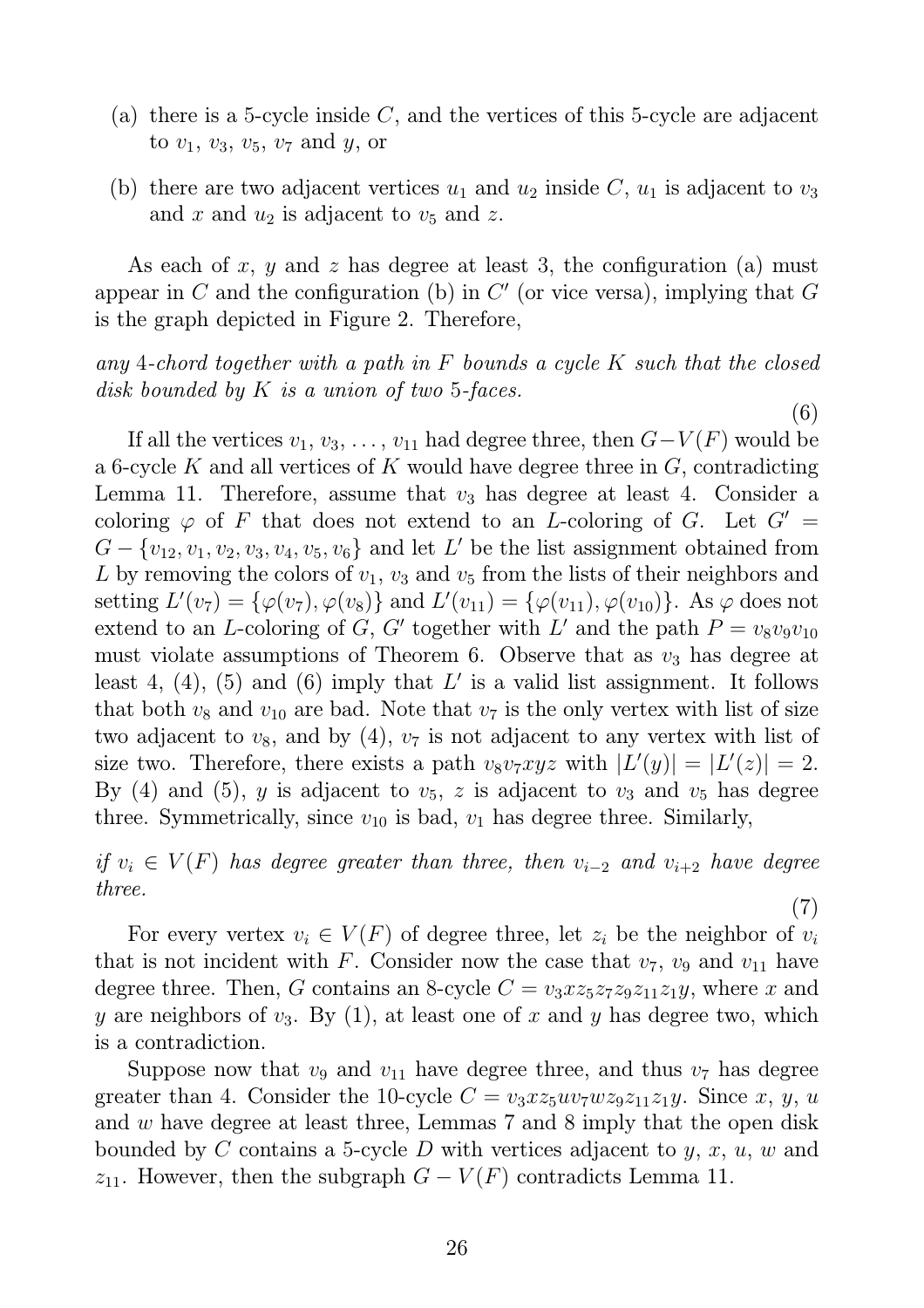- (a) there is a 5-cycle inside  $C$ , and the vertices of this 5-cycle are adjacent to  $v_1, v_3, v_5, v_7$  and  $y$ , or
- (b) there are two adjacent vertices  $u_1$  and  $u_2$  inside C,  $u_1$  is adjacent to  $v_3$ and x and  $u_2$  is adjacent to  $v_5$  and z.

As each of x, y and z has degree at least 3, the configuration (a) must appear in  $C$  and the configuration (b) in  $C'$  (or vice versa), implying that  $G$ is the graph depicted in Figure 2. Therefore,

### *any* 4*-chord together with a path in* F *bounds a cycle* K *such that the closed disk bounded by* K *is a union of two* 5*-faces.*

(6)

If all the vertices  $v_1, v_3, \ldots, v_{11}$  had degree three, then  $G-V(F)$  would be a 6-cycle K and all vertices of K would have degree three in  $G$ , contradicting Lemma 11. Therefore, assume that  $v_3$  has degree at least 4. Consider a coloring  $\varphi$  of F that does not extend to an L-coloring of G. Let  $G' =$  $G - \{v_{12}, v_1, v_2, v_3, v_4, v_5, v_6\}$  and let L' be the list assignment obtained from L by removing the colors of  $v_1$ ,  $v_3$  and  $v_5$  from the lists of their neighbors and setting  $L'(v_7) = {\varphi(v_7), \varphi(v_8)}$  and  $L'(v_{11}) = {\varphi(v_{11}), \varphi(v_{10})}$ . As  $\varphi$  does not extend to an L-coloring of G, G' together with L' and the path  $P = v_8v_9v_{10}$ must violate assumptions of Theorem 6. Observe that as  $v_3$  has degree at least 4, (4), (5) and (6) imply that  $L'$  is a valid list assignment. It follows that both  $v_8$  and  $v_{10}$  are bad. Note that  $v_7$  is the only vertex with list of size two adjacent to  $v_8$ , and by (4),  $v_7$  is not adjacent to any vertex with list of size two. Therefore, there exists a path  $v_8v_7xyz$  with  $|L'(y)| = |L'(z)| = 2$ . By (4) and (5), y is adjacent to  $v_5$ , z is adjacent to  $v_3$  and  $v_5$  has degree three. Symmetrically, since  $v_{10}$  is bad,  $v_1$  has degree three. Similarly,

*if*  $v_i \in V(F)$  *has degree greater than three, then*  $v_{i-2}$  *and*  $v_{i+2}$  *have degree three.* (7)

For every vertex  $v_i \in V(F)$  of degree three, let  $z_i$  be the neighbor of  $v_i$ that is not incident with F. Consider now the case that  $v_7$ ,  $v_9$  and  $v_{11}$  have degree three. Then, G contains an 8-cycle  $C = v_3xz_5z_7z_9z_{11}z_1y$ , where x and y are neighbors of  $v_3$ . By (1), at least one of x and y has degree two, which is a contradiction.

Suppose now that  $v_9$  and  $v_{11}$  have degree three, and thus  $v_7$  has degree greater than 4. Consider the 10-cycle  $C = v_3xz_5uv_7wz_9z_{11}z_1y$ . Since x, y, u and w have degree at least three, Lemmas 7 and 8 imply that the open disk bounded by C contains a 5-cycle D with vertices adjacent to  $y, x, u, w$  and  $z_{11}$ . However, then the subgraph  $G - V(F)$  contradicts Lemma 11.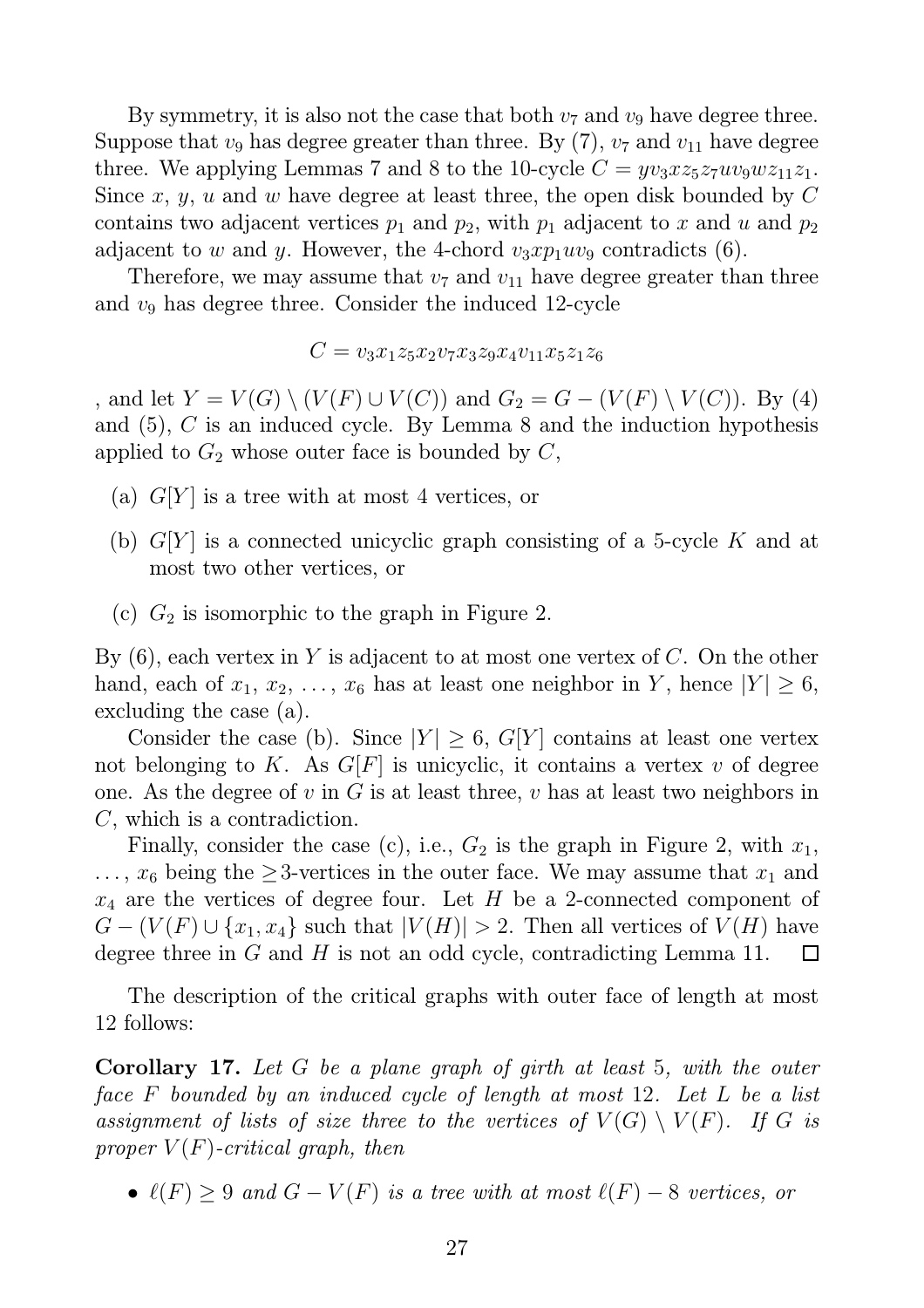By symmetry, it is also not the case that both  $v_7$  and  $v_9$  have degree three. Suppose that  $v_9$  has degree greater than three. By (7),  $v_7$  and  $v_{11}$  have degree three. We applying Lemmas 7 and 8 to the 10-cycle  $C = yv_3xz_5z_7uv_9wz_{11}z_1$ . Since x, y, u and w have degree at least three, the open disk bounded by  $C$ contains two adjacent vertices  $p_1$  and  $p_2$ , with  $p_1$  adjacent to x and u and  $p_2$ adjacent to w and y. However, the 4-chord  $v_3x p_1uv_9$  contradicts (6).

Therefore, we may assume that  $v_7$  and  $v_{11}$  have degree greater than three and  $v_9$  has degree three. Consider the induced 12-cycle

$$
C = v_3 x_1 z_5 x_2 v_7 x_3 z_9 x_4 v_{11} x_5 z_1 z_6
$$

, and let  $Y = V(G) \setminus (V(F) \cup V(C))$  and  $G_2 = G - (V(F) \setminus V(C))$ . By (4) and (5), C is an induced cycle. By Lemma 8 and the induction hypothesis applied to  $G_2$  whose outer face is bounded by  $C$ ,

- (a)  $G[Y]$  is a tree with at most 4 vertices, or
- (b)  $G[Y]$  is a connected unicyclic graph consisting of a 5-cycle K and at most two other vertices, or
- (c)  $G_2$  is isomorphic to the graph in Figure 2.

By  $(6)$ , each vertex in Y is adjacent to at most one vertex of C. On the other hand, each of  $x_1, x_2, \ldots, x_6$  has at least one neighbor in Y, hence  $|Y| \geq 6$ , excluding the case (a).

Consider the case (b). Since  $|Y| \geq 6$ ,  $G[Y]$  contains at least one vertex not belonging to K. As  $G[F]$  is unicyclic, it contains a vertex v of degree one. As the degree of v in G is at least three, v has at least two neighbors in C, which is a contradiction.

Finally, consider the case (c), i.e.,  $G_2$  is the graph in Figure 2, with  $x_1$ ,  $\dots$ ,  $x_6$  being the  $\geq$ 3-vertices in the outer face. We may assume that  $x_1$  and  $x_4$  are the vertices of degree four. Let H be a 2-connected component of  $G - (V(F) \cup \{x_1, x_4\}$  such that  $|V(H)| > 2$ . Then all vertices of  $V(H)$  have degree three in  $G$  and  $H$  is not an odd cycle, contradicting Lemma 11. ⊔

The description of the critical graphs with outer face of length at most 12 follows:

Corollary 17. *Let* G *be a plane graph of girth at least* 5*, with the outer face* F *bounded by an induced cycle of length at most* 12*. Let* L *be a list assignment of lists of size three to the vertices of*  $V(G) \setminus V(F)$ *. If* G *is proper*  $V(F)$ -critical graph, then

•  $\ell(F) \geq 9$  and  $G - V(F)$  is a tree with at most  $\ell(F) - 8$  vertices, or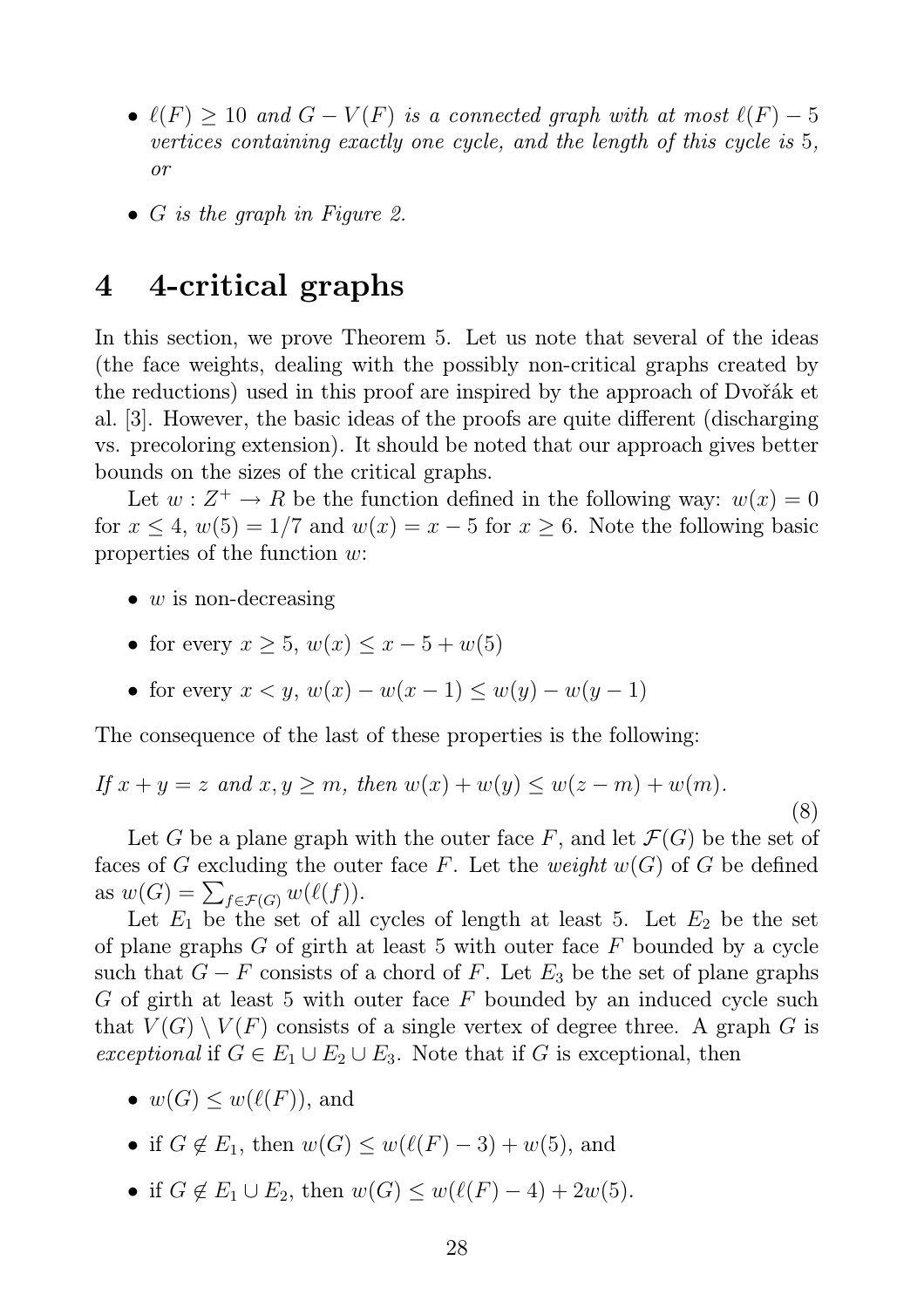- $\ell(F) \geq 10$  and  $G V(F)$  is a connected graph with at most  $\ell(F) 5$ *vertices containing exactly one cycle, and the length of this cycle is* 5*, or*
- G *is the graph in Figure 2.*

### 4 4-critical graphs

In this section, we prove Theorem 5. Let us note that several of the ideas (the face weights, dealing with the possibly non-critical graphs created by the reductions) used in this proof are inspired by the approach of Dvořák et al. [3]. However, the basic ideas of the proofs are quite different (discharging vs. precoloring extension). It should be noted that our approach gives better bounds on the sizes of the critical graphs.

Let  $w: Z^+ \to R$  be the function defined in the following way:  $w(x) = 0$ for  $x \le 4$ ,  $w(5) = 1/7$  and  $w(x) = x - 5$  for  $x \ge 6$ . Note the following basic properties of the function w:

- $w$  is non-decreasing
- for every  $x > 5$ ,  $w(x) \le x 5 + w(5)$
- for every  $x < y$ ,  $w(x) w(x 1) \leq w(y) w(y 1)$

The consequence of the last of these properties is the following:

If 
$$
x + y = z
$$
 and  $x, y \ge m$ , then  $w(x) + w(y) \le w(z - m) + w(m)$ . (8)

Let G be a plane graph with the outer face F, and let  $\mathcal{F}(G)$  be the set of faces of G excluding the outer face F. Let the *weight*  $w(G)$  of G be defined as  $w(G) = \sum_{f \in \mathcal{F}(G)} w(\ell(f)).$ 

Let  $E_1$  be the set of all cycles of length at least 5. Let  $E_2$  be the set of plane graphs  $G$  of girth at least 5 with outer face  $F$  bounded by a cycle such that  $G - F$  consists of a chord of F. Let  $E_3$  be the set of plane graphs G of girth at least 5 with outer face F bounded by an induced cycle such that  $V(G) \setminus V(F)$  consists of a single vertex of degree three. A graph G is *exceptional* if  $G \in E_1 \cup E_2 \cup E_3$ . Note that if G is exceptional, then

- $w(G) \leq w(\ell(F))$ , and
- if  $G \notin E_1$ , then  $w(G) \leq w(\ell(F) 3) + w(5)$ , and
- if  $G \notin E_1 \cup E_2$ , then  $w(G) \leq w(\ell(F) 4) + 2w(5)$ .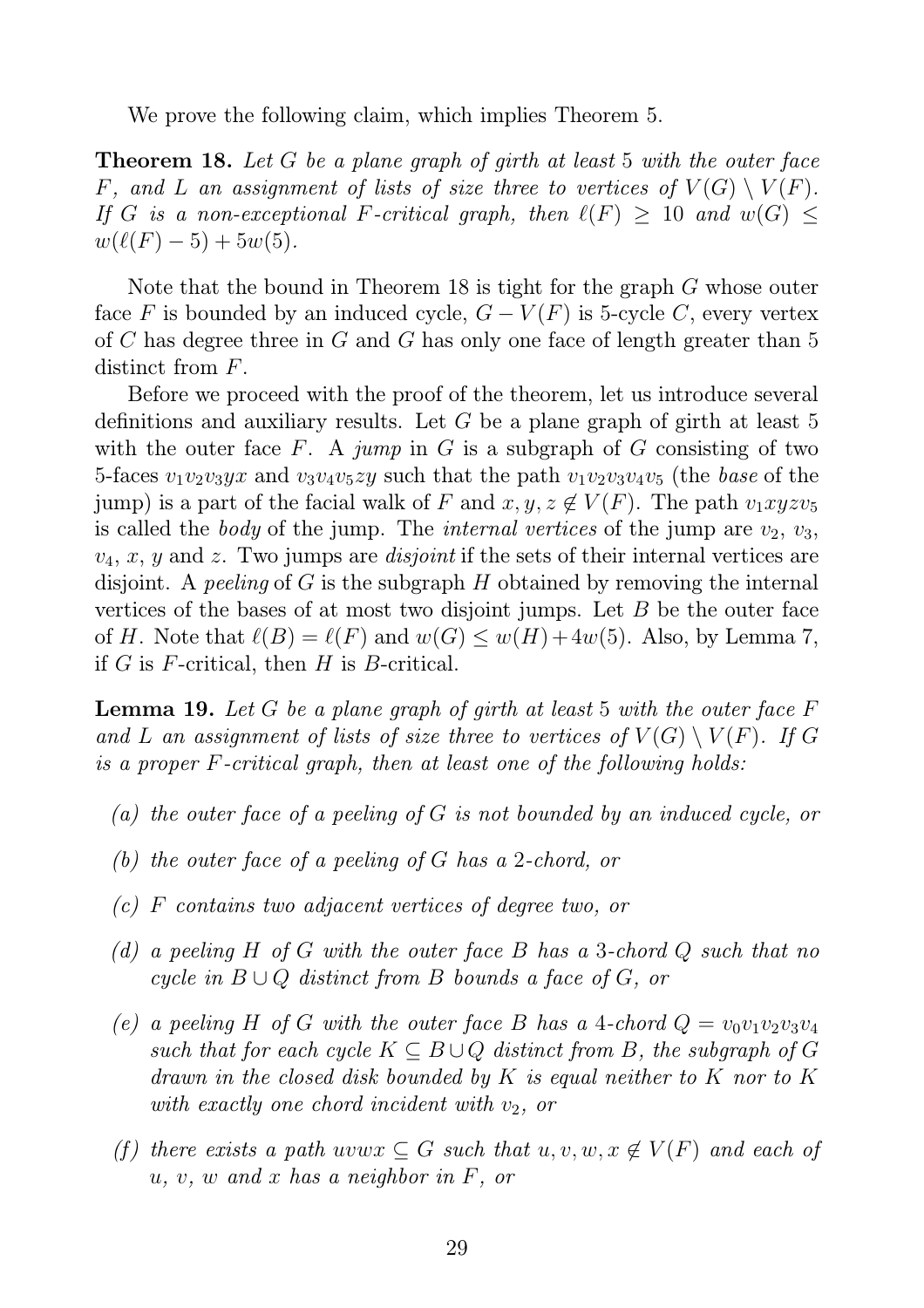We prove the following claim, which implies Theorem 5.

Theorem 18. *Let* G *be a plane graph of girth at least* 5 *with the outer face* F, and L an assignment of lists of size three to vertices of  $V(G) \setminus V(F)$ . *If* G is a non-exceptional F-critical graph, then  $\ell(F) \geq 10$  and  $w(G) \leq$  $w(\ell(F) - 5) + 5w(5)$ .

Note that the bound in Theorem 18 is tight for the graph G whose outer face F is bounded by an induced cycle,  $G - V(F)$  is 5-cycle C, every vertex of C has degree three in G and G has only one face of length greater than 5 distinct from  $F$ .

Before we proceed with the proof of the theorem, let us introduce several definitions and auxiliary results. Let G be a plane graph of girth at least 5 with the outer face F. A *jump* in G is a subgraph of G consisting of two 5-faces  $v_1v_2v_3yx$  and  $v_3v_4v_5zy$  such that the path  $v_1v_2v_3v_4v_5$  (the *base* of the jump) is a part of the facial walk of F and  $x, y, z \notin V(F)$ . The path  $v_1xyzv_5$ is called the *body* of the jump. The *internal vertices* of the jump are  $v_2$ ,  $v_3$ ,  $v_4, x, y$  and z. Two jumps are *disjoint* if the sets of their internal vertices are disjoint. A *peeling* of G is the subgraph H obtained by removing the internal vertices of the bases of at most two disjoint jumps. Let  $B$  be the outer face of H. Note that  $\ell(B) = \ell(F)$  and  $w(G) \leq w(H) + 4w(5)$ . Also, by Lemma 7, if  $G$  is  $F$ -critical, then  $H$  is  $B$ -critical.

Lemma 19. *Let* G *be a plane graph of girth at least* 5 *with the outer face* F and L an assignment of lists of size three to vertices of  $V(G) \setminus V(F)$ . If G *is a proper* F*-critical graph, then at least one of the following holds:*

- *(a) the outer face of a peeling of* G *is not bounded by an induced cycle, or*
- *(b) the outer face of a peeling of* G *has a* 2*-chord, or*
- *(c)* F *contains two adjacent vertices of degree two, or*
- *(d) a peeling* H *of* G *with the outer face* B *has a* 3*-chord* Q *such that no cycle in* B ∪ Q *distinct from* B *bounds a face of* G*, or*
- *(e)* a peeling H of G with the outer face B has a 4-chord  $Q = v_0v_1v_2v_3v_4$ *such that for each cycle*  $K \subseteq B \cup Q$  *distinct from* B, the subgraph of G *drawn in the closed disk bounded by* K *is equal neither to* K *nor to* K *with exactly one chord incident with*  $v_2$ , or
- *(f)* there exists a path uvw $x \subseteq G$  such that  $u, v, w, x \notin V(F)$  and each of u*,* v*,* w *and* x *has a neighbor in* F*, or*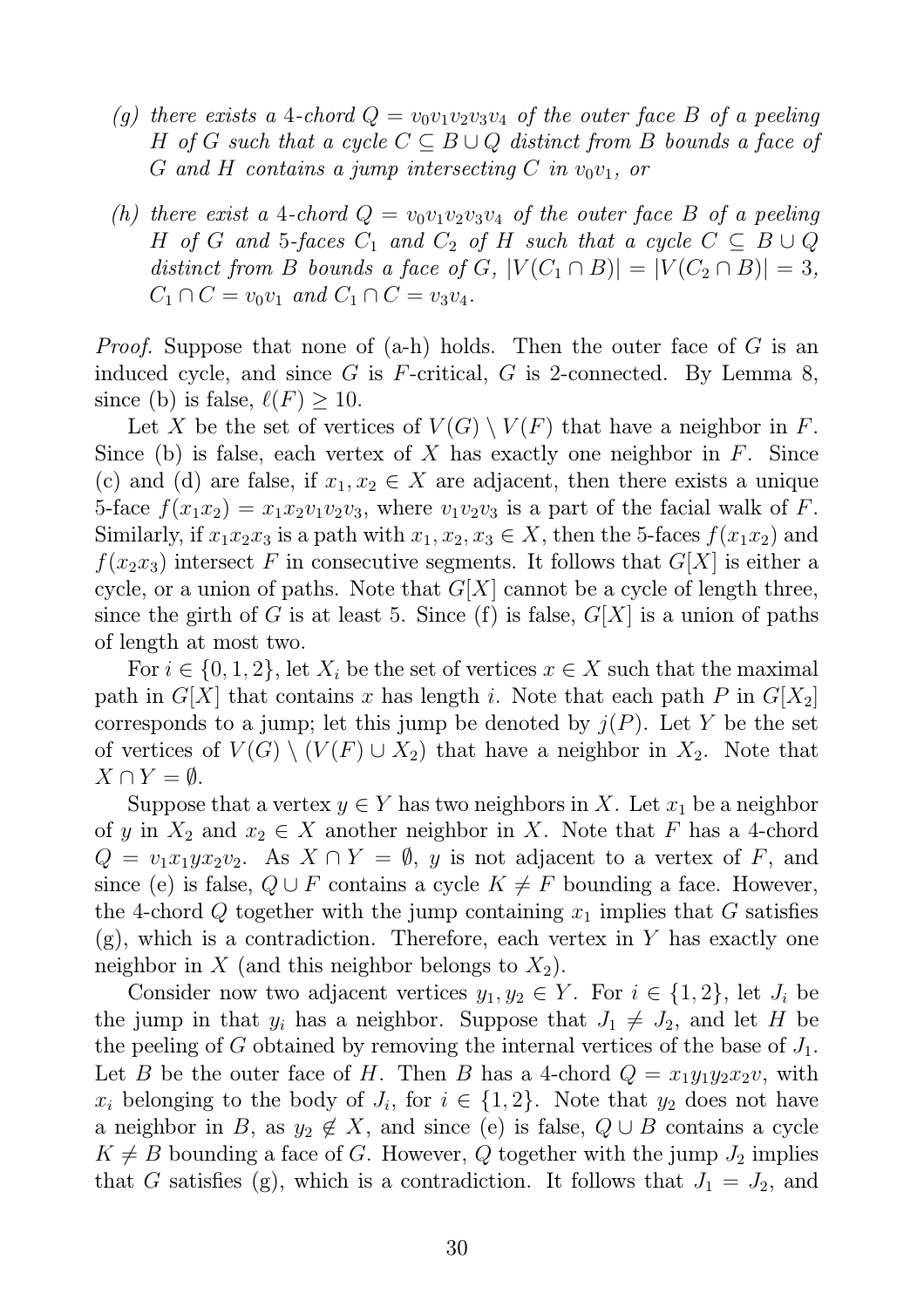- (g) there exists a 4-chord  $Q = v_0v_1v_2v_3v_4$  of the outer face B of a peeling H *of* G such that a cycle  $C \subseteq B \cup Q$  distinct from B bounds a face of G and H contains a jump intersecting C in  $v_0v_1$ , or
- *(h) there exist a* 4-*chord*  $Q = v_0v_1v_2v_3v_4$  *of the outer face B of a peeling* H *of* G and 5-faces  $C_1$  and  $C_2$  *of* H *such that a cycle*  $C \subseteq B \cup Q$ *distinct from B bounds a face of G,*  $|V(C_1 \cap B)| = |V(C_2 \cap B)| = 3$ ,  $C_1 \cap C = v_0v_1$  *and*  $C_1 \cap C = v_3v_4$ .

*Proof.* Suppose that none of (a-h) holds. Then the outer face of G is an induced cycle, and since G is F-critical, G is 2-connected. By Lemma 8, since (b) is false,  $\ell(F) \geq 10$ .

Let X be the set of vertices of  $V(G) \setminus V(F)$  that have a neighbor in F. Since (b) is false, each vertex of X has exactly one neighbor in  $F$ . Since (c) and (d) are false, if  $x_1, x_2 \in X$  are adjacent, then there exists a unique 5-face  $f(x_1x_2) = x_1x_2v_1v_2v_3$ , where  $v_1v_2v_3$  is a part of the facial walk of F. Similarly, if  $x_1x_2x_3$  is a path with  $x_1, x_2, x_3 \in X$ , then the 5-faces  $f(x_1x_2)$  and  $f(x_2x_3)$  intersect F in consecutive segments. It follows that  $G[X]$  is either a cycle, or a union of paths. Note that  $G[X]$  cannot be a cycle of length three, since the girth of G is at least 5. Since (f) is false,  $G[X]$  is a union of paths of length at most two.

For  $i \in \{0, 1, 2\}$ , let  $X_i$  be the set of vertices  $x \in X$  such that the maximal path in  $G[X]$  that contains x has length i. Note that each path P in  $G[X_2]$ corresponds to a jump; let this jump be denoted by  $j(P)$ . Let Y be the set of vertices of  $V(G) \setminus (V(F) \cup X_2)$  that have a neighbor in  $X_2$ . Note that  $X \cap Y = \emptyset$ .

Suppose that a vertex  $y \in Y$  has two neighbors in X. Let  $x_1$  be a neighbor of y in  $X_2$  and  $x_2 \in X$  another neighbor in X. Note that F has a 4-chord  $Q = v_1 x_1 y x_2 v_2$ . As  $X \cap Y = \emptyset$ , y is not adjacent to a vertex of F, and since (e) is false,  $Q \cup F$  contains a cycle  $K \neq F$  bounding a face. However, the 4-chord Q together with the jump containing  $x_1$  implies that G satisfies  $(g)$ , which is a contradiction. Therefore, each vertex in Y has exactly one neighbor in X (and this neighbor belongs to  $X_2$ ).

Consider now two adjacent vertices  $y_1, y_2 \in Y$ . For  $i \in \{1, 2\}$ , let  $J_i$  be the jump in that  $y_i$  has a neighbor. Suppose that  $J_1 \neq J_2$ , and let H be the peeling of G obtained by removing the internal vertices of the base of  $J_1$ . Let B be the outer face of H. Then B has a 4-chord  $Q = x_1y_1y_2x_2v$ , with  $x_i$  belonging to the body of  $J_i$ , for  $i \in \{1,2\}$ . Note that  $y_2$  does not have a neighbor in B, as  $y_2 \notin X$ , and since (e) is false,  $Q \cup B$  contains a cycle  $K \neq B$  bounding a face of G. However, Q together with the jump  $J_2$  implies that G satisfies (g), which is a contradiction. It follows that  $J_1 = J_2$ , and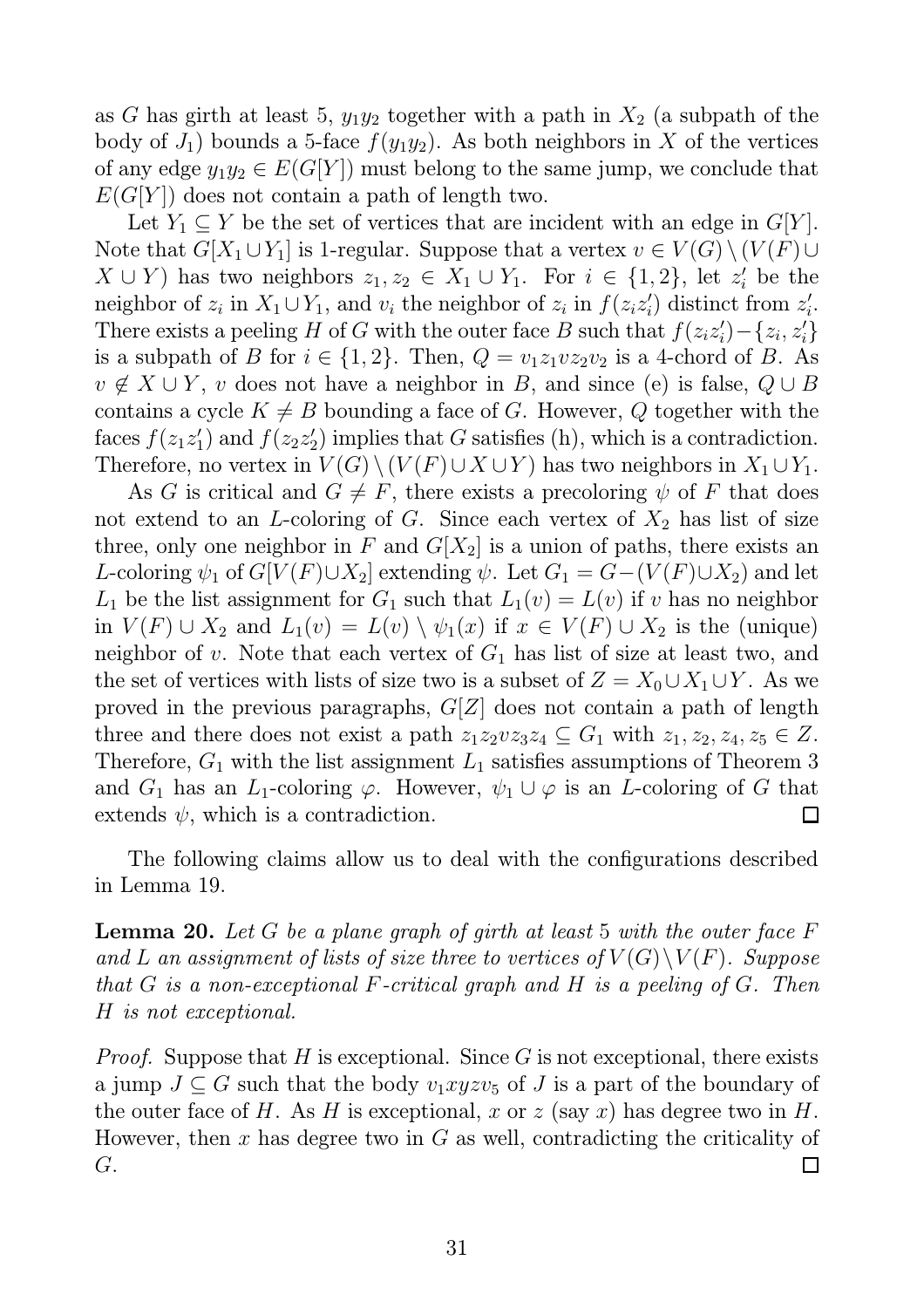as G has girth at least 5,  $y_1y_2$  together with a path in  $X_2$  (a subpath of the body of  $J_1$ ) bounds a 5-face  $f(y_1y_2)$ . As both neighbors in X of the vertices of any edge  $y_1y_2 \in E(G[Y])$  must belong to the same jump, we conclude that  $E(G[Y])$  does not contain a path of length two.

Let  $Y_1 \subseteq Y$  be the set of vertices that are incident with an edge in  $G[Y]$ . Note that  $G[X_1 \cup Y_1]$  is 1-regular. Suppose that a vertex  $v \in V(G) \setminus (V(F) \cup$  $X \cup Y$  has two neighbors  $z_1, z_2 \in X_1 \cup Y_1$ . For  $i \in \{1, 2\}$ , let  $z_i'$  be the neighbor of  $z_i$  in  $X_1 \cup Y_1$ , and  $v_i$  the neighbor of  $z_i$  in  $f(z_i z'_i)$  $z'_{i}$ ) distinct from  $z'_{i}$ i . There exists a peeling H of G with the outer face B such that  $f(z_iz_i')$  $x'_{i}$  $-$ { $z_{i}$ ,  $z'_{i}$ } is a subpath of B for  $i \in \{1,2\}$ . Then,  $Q = v_1 z_1 v z_2 v_2$  is a 4-chord of B. As  $v \notin X \cup Y$ , v does not have a neighbor in B, and since (e) is false,  $Q \cup B$ contains a cycle  $K \neq B$  bounding a face of G. However, Q together with the faces  $f(z_1 z_1)$  $'_{1}$ ) and  $f(z_{2}z_{2}^{\prime})$  $\binom{1}{2}$  implies that G satisfies (h), which is a contradiction. Therefore, no vertex in  $V(G) \setminus (V(F) \cup X \cup Y)$  has two neighbors in  $X_1 \cup Y_1$ .

As G is critical and  $G \neq F$ , there exists a precoloring  $\psi$  of F that does not extend to an L-coloring of G. Since each vertex of  $X_2$  has list of size three, only one neighbor in F and  $G[X_2]$  is a union of paths, there exists an L-coloring  $\psi_1$  of  $G[V(F)\cup X_2]$  extending  $\psi$ . Let  $G_1 = G-(V(F)\cup X_2)$  and let  $L_1$  be the list assignment for  $G_1$  such that  $L_1(v) = L(v)$  if v has no neighbor in  $V(F) \cup X_2$  and  $L_1(v) = L(v) \setminus \psi_1(x)$  if  $x \in V(F) \cup X_2$  is the (unique) neighbor of v. Note that each vertex of  $G_1$  has list of size at least two, and the set of vertices with lists of size two is a subset of  $Z = X_0 \cup X_1 \cup Y$ . As we proved in the previous paragraphs,  $G[Z]$  does not contain a path of length three and there does not exist a path  $z_1z_2vz_3z_4 \subseteq G_1$  with  $z_1, z_2, z_4, z_5 \in Z$ . Therefore,  $G_1$  with the list assignment  $L_1$  satisfies assumptions of Theorem 3 and  $G_1$  has an  $L_1$ -coloring  $\varphi$ . However,  $\psi_1 \cup \varphi$  is an L-coloring of G that extends  $\psi$ , which is a contradiction.  $\Box$ 

The following claims allow us to deal with the configurations described in Lemma 19.

Lemma 20. *Let* G *be a plane graph of girth at least* 5 *with the outer face* F and L an assignment of lists of size three to vertices of  $V(G)\setminus V(F)$ *. Suppose that* G *is a non-exceptional* F*-critical graph and* H *is a peeling of* G*. Then* H *is not exceptional.*

*Proof.* Suppose that  $H$  is exceptional. Since  $G$  is not exceptional, there exists a jump  $J \subseteq G$  such that the body  $v_1xyzv_5$  of J is a part of the boundary of the outer face of H. As H is exceptional, x or z (say x) has degree two in H. However, then x has degree two in  $G$  as well, contradicting the criticality of G. П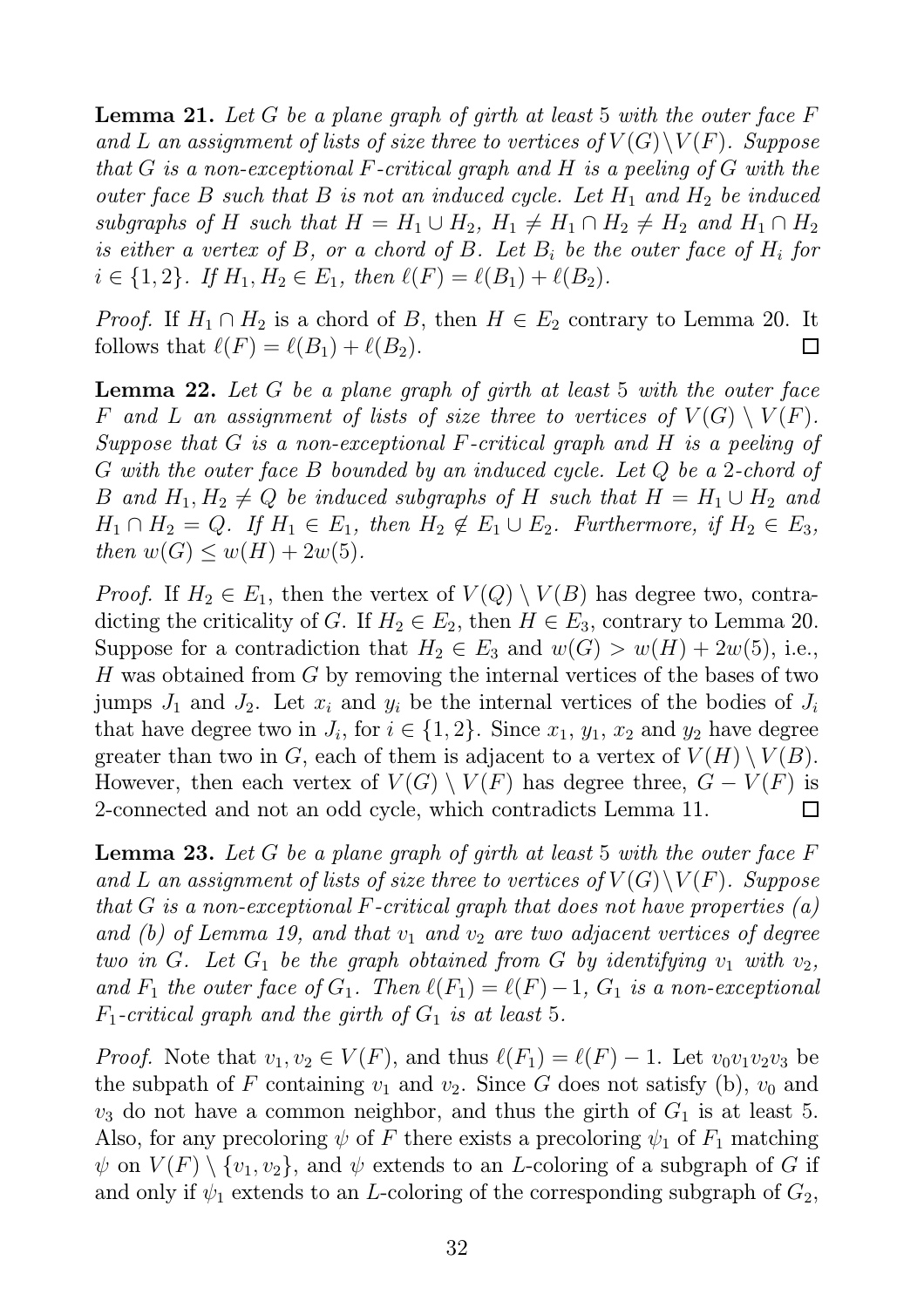Lemma 21. *Let* G *be a plane graph of girth at least* 5 *with the outer face* F and L an assignment of lists of size three to vertices of  $V(G)\backslash V(F)$ *. Suppose that* G *is a non-exceptional* F*-critical graph and* H *is a peeling of* G *with the outer face* B *such that* B *is not an induced cycle. Let*  $H_1$  *and*  $H_2$  *be induced subgraphs of* H *such that*  $H = H_1 \cup H_2$ ,  $H_1 \neq H_1 \cap H_2 \neq H_2$  *and*  $H_1 \cap H_2$ *is either a vertex of* B*, or a chord of* B*. Let* B<sup>i</sup> *be the outer face of* H<sup>i</sup> *for*  $i \in \{1,2\}$ . If  $H_1, H_2 \in E_1$ , then  $\ell(F) = \ell(B_1) + \ell(B_2)$ .

*Proof.* If  $H_1 \cap H_2$  is a chord of B, then  $H \in E_2$  contrary to Lemma 20. It follows that  $\ell(F) = \ell(B_1) + \ell(B_2)$ .  $\Box$ 

Lemma 22. *Let* G *be a plane graph of girth at least* 5 *with the outer face* F and L an assignment of lists of size three to vertices of  $V(G) \setminus V(F)$ . *Suppose that* G *is a non-exceptional* F*-critical graph and* H *is a peeling of* G *with the outer face* B *bounded by an induced cycle. Let* Q *be a* 2*-chord of* B and  $H_1, H_2 \neq Q$  be induced subgraphs of H such that  $H = H_1 \cup H_2$  and  $H_1 \cap H_2 = Q$ . If  $H_1 \in E_1$ , then  $H_2 \notin E_1 \cup E_2$ . Furthermore, if  $H_2 \in E_3$ , *then*  $w(G) \leq w(H) + 2w(5)$ .

*Proof.* If  $H_2 \in E_1$ , then the vertex of  $V(Q) \setminus V(B)$  has degree two, contradicting the criticality of G. If  $H_2 \in E_2$ , then  $H \in E_3$ , contrary to Lemma 20. Suppose for a contradiction that  $H_2 \in E_3$  and  $w(G) > w(H) + 2w(5)$ , i.e., H was obtained from G by removing the internal vertices of the bases of two jumps  $J_1$  and  $J_2$ . Let  $x_i$  and  $y_i$  be the internal vertices of the bodies of  $J_i$ that have degree two in  $J_i$ , for  $i \in \{1, 2\}$ . Since  $x_1, y_1, x_2$  and  $y_2$  have degree greater than two in G, each of them is adjacent to a vertex of  $V(H) \setminus V(B)$ . However, then each vertex of  $V(G) \setminus V(F)$  has degree three,  $G - V(F)$  is 2-connected and not an odd cycle, which contradicts Lemma 11.  $\Box$ 

Lemma 23. *Let* G *be a plane graph of girth at least* 5 *with the outer face* F and L an assignment of lists of size three to vertices of  $V(G)\setminus V(F)$ *. Suppose that* G *is a non-exceptional* F*-critical graph that does not have properties (a) and (b) of Lemma 19, and that*  $v_1$  *and*  $v_2$  *are two adjacent vertices of degree two in* G. Let  $G_1$  *be the graph obtained from* G *by identifying*  $v_1$  *with*  $v_2$ *, and*  $F_1$  *the outer face of*  $G_1$ *. Then*  $\ell(F_1) = \ell(F) - 1$ *,*  $G_1$  *is a non-exceptional*  $F_1$ -critical graph and the girth of  $G_1$  is at least 5.

*Proof.* Note that  $v_1, v_2 \in V(F)$ , and thus  $\ell(F_1) = \ell(F) - 1$ . Let  $v_0v_1v_2v_3$  be the subpath of F containing  $v_1$  and  $v_2$ . Since G does not satisfy (b),  $v_0$  and  $v_3$  do not have a common neighbor, and thus the girth of  $G_1$  is at least 5. Also, for any precoloring  $\psi$  of F there exists a precoloring  $\psi_1$  of  $F_1$  matching  $\psi$  on  $V(F) \setminus \{v_1, v_2\}$ , and  $\psi$  extends to an *L*-coloring of a subgraph of G if and only if  $\psi_1$  extends to an *L*-coloring of the corresponding subgraph of  $G_2$ ,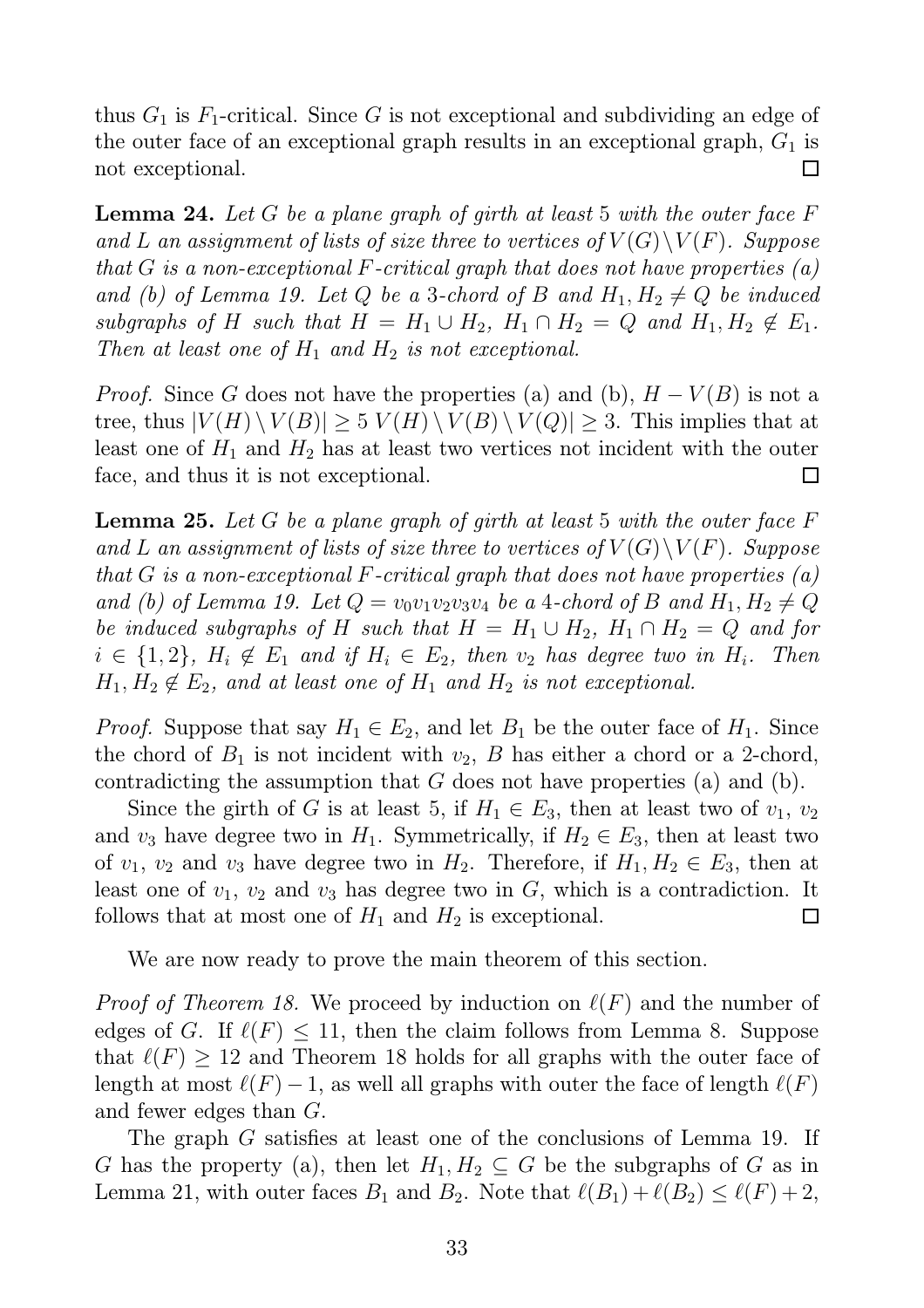thus  $G_1$  is  $F_1$ -critical. Since G is not exceptional and subdividing an edge of the outer face of an exceptional graph results in an exceptional graph,  $G_1$  is not exceptional.  $\Box$ 

Lemma 24. *Let* G *be a plane graph of girth at least* 5 *with the outer face* F and L an assignment of lists of size three to vertices of  $V(G)\setminus V(F)$ *. Suppose that* G *is a non-exceptional* F*-critical graph that does not have properties (a) and (b) of Lemma 19. Let* Q *be a 3-chord of* B *and*  $H_1, H_2 \neq Q$  *be induced subgraphs of* H *such that*  $H = H_1 \cup H_2$ ,  $H_1 \cap H_2 = Q$  *and*  $H_1, H_2 \notin E_1$ . *Then at least one of*  $H_1$  *and*  $H_2$  *is not exceptional.* 

*Proof.* Since G does not have the properties (a) and (b),  $H - V(B)$  is not a tree, thus  $|V(H) \setminus V(B)| \geq 5 V(H) \setminus V(B) \setminus V(Q)| \geq 3$ . This implies that at least one of  $H_1$  and  $H_2$  has at least two vertices not incident with the outer face, and thus it is not exceptional.  $\Box$ 

Lemma 25. *Let* G *be a plane graph of girth at least* 5 *with the outer face* F and L an assignment of lists of size three to vertices of  $V(G)\setminus V(F)$ *. Suppose that* G *is a non-exceptional* F*-critical graph that does not have properties (a) and* (b) of Lemma 19. Let  $Q = v_0v_1v_2v_3v_4$  be a 4-chord of B and  $H_1, H_2 \neq Q$ *be induced subgraphs of* H *such that*  $H = H_1 \cup H_2$ ,  $H_1 \cap H_2 = Q$  *and for*  $i \in \{1,2\}$ ,  $H_i \notin E_1$  and if  $H_i \in E_2$ , then  $v_2$  has degree two in  $H_i$ . Then  $H_1, H_2 \notin E_2$ , and at least one of  $H_1$  and  $H_2$  *is not exceptional.* 

*Proof.* Suppose that say  $H_1 \in E_2$ , and let  $B_1$  be the outer face of  $H_1$ . Since the chord of  $B_1$  is not incident with  $v_2$ , B has either a chord or a 2-chord, contradicting the assumption that  $G$  does not have properties (a) and (b).

Since the girth of G is at least 5, if  $H_1 \in E_3$ , then at least two of  $v_1, v_2$ and  $v_3$  have degree two in  $H_1$ . Symmetrically, if  $H_2 \in E_3$ , then at least two of  $v_1, v_2$  and  $v_3$  have degree two in  $H_2$ . Therefore, if  $H_1, H_2 \in E_3$ , then at least one of  $v_1$ ,  $v_2$  and  $v_3$  has degree two in G, which is a contradiction. It follows that at most one of  $H_1$  and  $H_2$  is exceptional.  $\Box$ 

We are now ready to prove the main theorem of this section.

*Proof of Theorem 18.* We proceed by induction on  $\ell(F)$  and the number of edges of G. If  $\ell(F) \leq 11$ , then the claim follows from Lemma 8. Suppose that  $\ell(F) \geq 12$  and Theorem 18 holds for all graphs with the outer face of length at most  $\ell(F) - 1$ , as well all graphs with outer the face of length  $\ell(F)$ and fewer edges than G.

The graph G satisfies at least one of the conclusions of Lemma 19. If G has the property (a), then let  $H_1, H_2 \subseteq G$  be the subgraphs of G as in Lemma 21, with outer faces  $B_1$  and  $B_2$ . Note that  $\ell(B_1)+\ell(B_2) \leq \ell(F)+2$ ,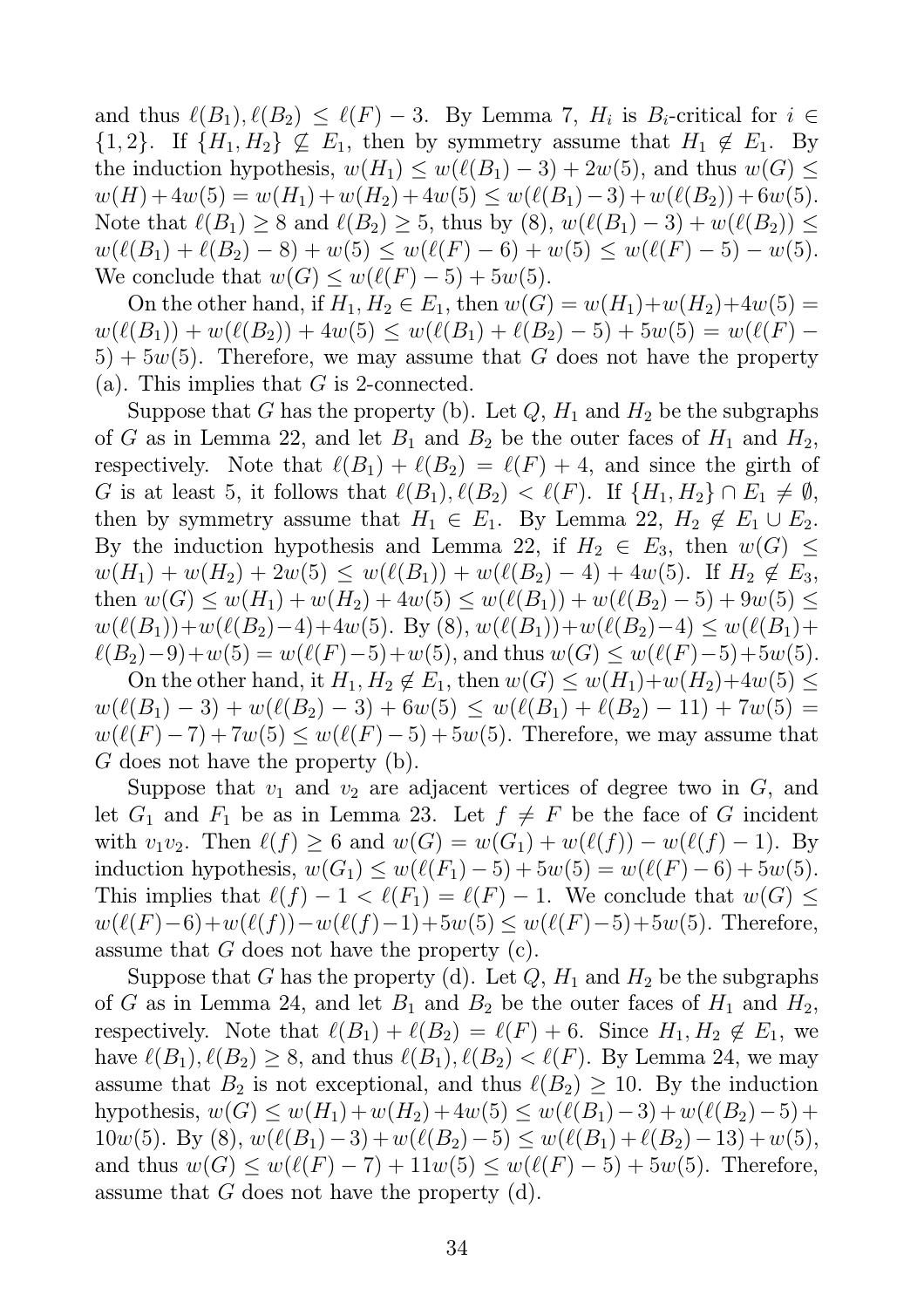and thus  $\ell(B_1), \ell(B_2) \leq \ell(F) - 3$ . By Lemma 7,  $H_i$  is  $B_i$ -critical for  $i \in$  $\{1, 2\}$ . If  $\{H_1, H_2\} \nsubseteq E_1$ , then by symmetry assume that  $H_1 \nsubseteq E_1$ . By the induction hypothesis,  $w(H_1) \leq w(\ell(B_1) - 3) + 2w(5)$ , and thus  $w(G) \leq$  $w(H) + 4w(5) = w(H_1) + w(H_2) + 4w(5) \leq w(\ell(B_1) - 3) + w(\ell(B_2)) + 6w(5).$ Note that  $\ell(B_1) \geq 8$  and  $\ell(B_2) \geq 5$ , thus by  $(8)$ ,  $w(\ell(B_1) - 3) + w(\ell(B_2)) \leq$  $w(\ell(B_1) + \ell(B_2) - 8) + w(5) \leq w(\ell(F) - 6) + w(5) \leq w(\ell(F) - 5) - w(5).$ We conclude that  $w(G) \leq w(\ell(F) - 5) + 5w(5)$ .

On the other hand, if  $H_1, H_2 \in E_1$ , then  $w(G) = w(H_1) + w(H_2) + 4w(5) = 0$  $w(\ell(B_1)) + w(\ell(B_2)) + 4w(5) \leq w(\ell(B_1) + \ell(B_2) - 5) + 5w(5) = w(\ell(F) 5+5w(5)$ . Therefore, we may assume that G does not have the property (a). This implies that  $G$  is 2-connected.

Suppose that G has the property (b). Let  $Q$ ,  $H_1$  and  $H_2$  be the subgraphs of G as in Lemma 22, and let  $B_1$  and  $B_2$  be the outer faces of  $H_1$  and  $H_2$ , respectively. Note that  $\ell(B_1) + \ell(B_2) = \ell(F) + 4$ , and since the girth of G is at least 5, it follows that  $\ell(B_1), \ell(B_2) < \ell(F)$ . If  $\{H_1, H_2\} \cap E_1 \neq \emptyset$ , then by symmetry assume that  $H_1 \in E_1$ . By Lemma 22,  $H_2 \notin E_1 \cup E_2$ . By the induction hypothesis and Lemma 22, if  $H_2 \in E_3$ , then  $w(G) \leq$  $w(H_1) + w(H_2) + 2w(5) \leq w(\ell(B_1)) + w(\ell(B_2) - 4) + 4w(5)$ . If  $H_2 \notin E_3$ , then  $w(G) \le w(H_1) + w(H_2) + 4w(5) \le w(\ell(B_1)) + w(\ell(B_2) - 5) + 9w(5) \le$  $w(\ell(B_1))+w(\ell(B_2)-4)+4w(5)$ . By (8),  $w(\ell(B_1))+w(\ell(B_2)-4) \leq w(\ell(B_1)+$  $\ell(B_2)-9)+w(5)=w(\ell(F)-5)+w(5)$ , and thus  $w(G) \leq w(\ell(F)-5)+5w(5)$ .

On the other hand, it  $H_1, H_2 \notin E_1$ , then  $w(G) \leq w(H_1)+w(H_2)+4w(5) \leq$  $w(\ell(B_1)-3)+w(\ell(B_2)-3)+6w(5) \leq w(\ell(B_1)+\ell(B_2)-11)+7w(5) =$  $w(\ell(F)-7)+7w(5) \leq w(\ell(F)-5)+5w(5)$ . Therefore, we may assume that G does not have the property (b).

Suppose that  $v_1$  and  $v_2$  are adjacent vertices of degree two in  $G$ , and let  $G_1$  and  $F_1$  be as in Lemma 23. Let  $f \neq F$  be the face of G incident with  $v_1v_2$ . Then  $\ell(f) \ge 6$  and  $w(G) = w(G_1) + w(\ell(f)) - w(\ell(f) - 1)$ . By induction hypothesis,  $w(G_1) \leq w(\ell(F_1) - 5) + 5w(5) = w(\ell(F) - 6) + 5w(5)$ . This implies that  $\ell(f) - 1 < \ell(F_1) = \ell(F) - 1$ . We conclude that  $w(G) \le$  $w(\ell(F)-6)+w(\ell(f))-w(\ell(f)-1)+5w(5) \leq w(\ell(F)-5)+5w(5)$ . Therefore, assume that  $G$  does not have the property  $(c)$ .

Suppose that G has the property (d). Let  $Q$ ,  $H_1$  and  $H_2$  be the subgraphs of G as in Lemma 24, and let  $B_1$  and  $B_2$  be the outer faces of  $H_1$  and  $H_2$ , respectively. Note that  $\ell(B_1) + \ell(B_2) = \ell(F) + 6$ . Since  $H_1, H_2 \notin E_1$ , we have  $\ell(B_1), \ell(B_2) \geq 8$ , and thus  $\ell(B_1), \ell(B_2) < \ell(F)$ . By Lemma 24, we may assume that  $B_2$  is not exceptional, and thus  $\ell(B_2) \geq 10$ . By the induction hypothesis,  $w(G) \le w(H_1)+w(H_2)+4w(5) \le w(\ell(B_1)-3)+w(\ell(B_2)-5)+$ 10w(5). By (8),  $w(\ell(B_1)-3)+w(\ell(B_2)-5) \leq w(\ell(B_1)+\ell(B_2)-13)+w(5)$ , and thus  $w(G) \le w(\ell(F) - 7) + 11w(5) \le w(\ell(F) - 5) + 5w(5)$ . Therefore, assume that G does not have the property (d).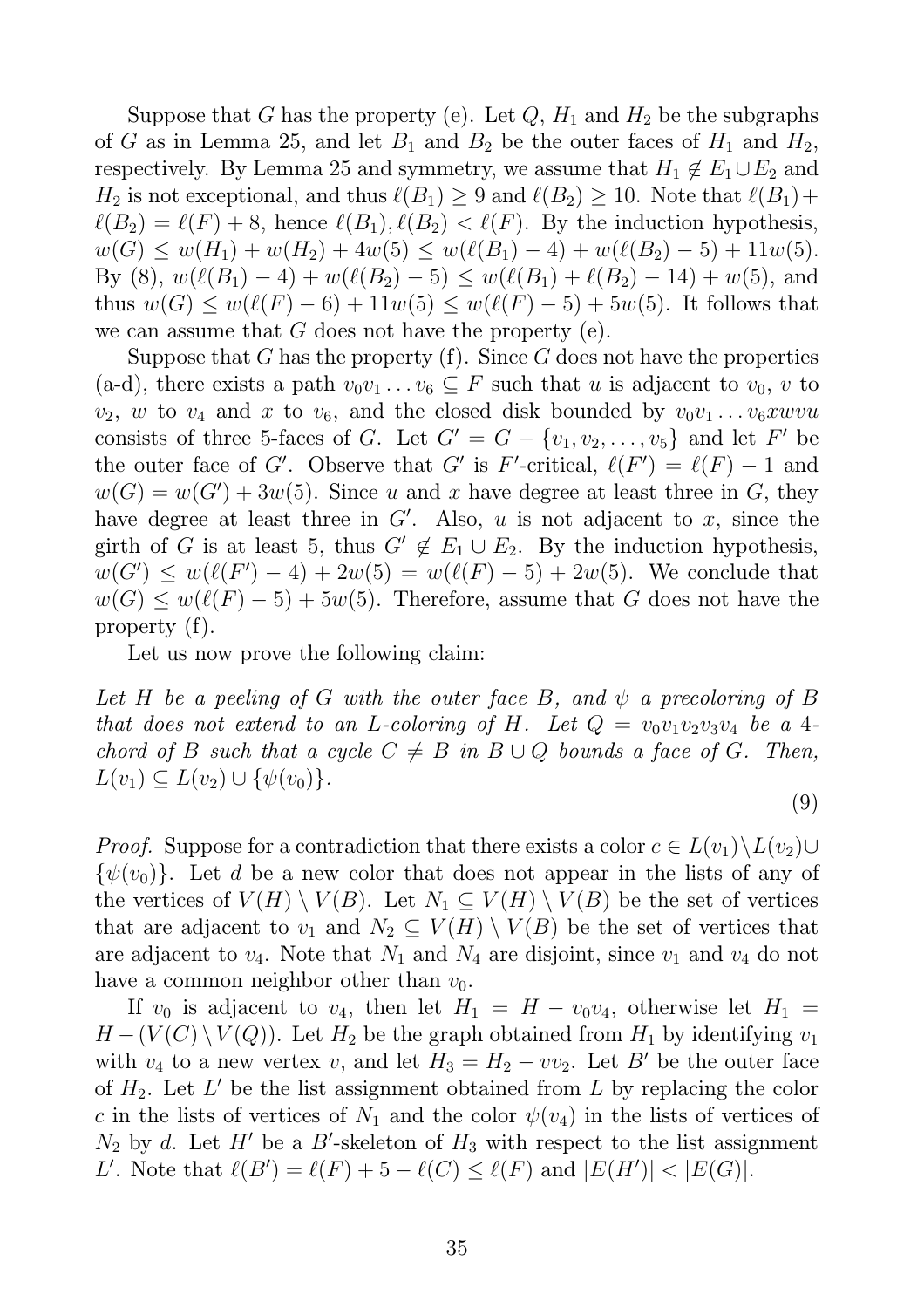Suppose that G has the property (e). Let  $Q$ ,  $H_1$  and  $H_2$  be the subgraphs of G as in Lemma 25, and let  $B_1$  and  $B_2$  be the outer faces of  $H_1$  and  $H_2$ , respectively. By Lemma 25 and symmetry, we assume that  $H_1 \notin E_1 \cup E_2$  and  $H_2$  is not exceptional, and thus  $\ell(B_1) \geq 9$  and  $\ell(B_2) \geq 10$ . Note that  $\ell(B_1)$ +  $\ell(B_2) = \ell(F) + 8$ , hence  $\ell(B_1), \ell(B_2) < \ell(F)$ . By the induction hypothesis,  $w(G) \leq w(H_1) + w(H_2) + 4w(5) \leq w(\ell(B_1) - 4) + w(\ell(B_2) - 5) + 11w(5).$ By (8),  $w(\ell(B_1) - 4) + w(\ell(B_2) - 5) \leq w(\ell(B_1) + \ell(B_2) - 14) + w(5)$ , and thus  $w(G) \leq w(\ell(F) - 6) + 11w(5) \leq w(\ell(F) - 5) + 5w(5)$ . It follows that we can assume that  $G$  does not have the property (e).

Suppose that G has the property  $(f)$ . Since G does not have the properties (a-d), there exists a path  $v_0v_1 \ldots v_6 \subseteq F$  such that u is adjacent to  $v_0$ , v to  $v_2$ , w to  $v_4$  and x to  $v_6$ , and the closed disk bounded by  $v_0v_1 \ldots v_6xwwu$ consists of three 5-faces of G. Let  $G' = G - \{v_1, v_2, \ldots, v_5\}$  and let F' be the outer face of G'. Observe that G' is F'-critical,  $\ell(F') = \ell(F) - 1$  and  $w(G) = w(G') + 3w(5)$ . Since u and x have degree at least three in G, they have degree at least three in  $G'$ . Also, u is not adjacent to x, since the girth of G is at least 5, thus  $G' \notin E_1 \cup E_2$ . By the induction hypothesis,  $w(G') \leq w(\ell(F') - 4) + 2w(5) = w(\ell(F) - 5) + 2w(5)$ . We conclude that  $w(G) \leq w(\ell(F) - 5) + 5w(5)$ . Therefore, assume that G does not have the property (f).

Let us now prove the following claim:

*Let* H *be a peeling of* G *with the outer face* B*, and* ψ *a precoloring of* B *that does not extend to an L-coloring of H. Let*  $Q = v_0v_1v_2v_3v_4$  *be a* 4*chord of* B *such that a cycle*  $C \neq B$  *in*  $B \cup Q$  *bounds a face of* G. Then,  $L(v_1) \subseteq L(v_2) \cup {\psi(v_0)}$ .

(9)

*Proof.* Suppose for a contradiction that there exists a color  $c \in L(v_1) \backslash L(v_2) \cup$  $\{\psi(v_0)\}\$ . Let d be a new color that does not appear in the lists of any of the vertices of  $V(H) \setminus V(B)$ . Let  $N_1 \subseteq V(H) \setminus V(B)$  be the set of vertices that are adjacent to  $v_1$  and  $N_2 \subseteq V(H) \setminus V(B)$  be the set of vertices that are adjacent to  $v_4$ . Note that  $N_1$  and  $N_4$  are disjoint, since  $v_1$  and  $v_4$  do not have a common neighbor other than  $v_0$ .

If  $v_0$  is adjacent to  $v_4$ , then let  $H_1 = H - v_0v_4$ , otherwise let  $H_1 =$  $H - (V(C) \setminus V(Q))$ . Let  $H_2$  be the graph obtained from  $H_1$  by identifying  $v_1$ with  $v_4$  to a new vertex v, and let  $H_3 = H_2 - v v_2$ . Let B' be the outer face of  $H_2$ . Let  $L'$  be the list assignment obtained from L by replacing the color c in the lists of vertices of  $N_1$  and the color  $\psi(v_4)$  in the lists of vertices of  $N_2$  by d. Let H' be a B'-skeleton of  $H_3$  with respect to the list assignment *L'*. Note that  $\ell(B') = \ell(F) + 5 - \ell(C) \leq \ell(F)$  and  $|E(H')| < |E(G)|$ .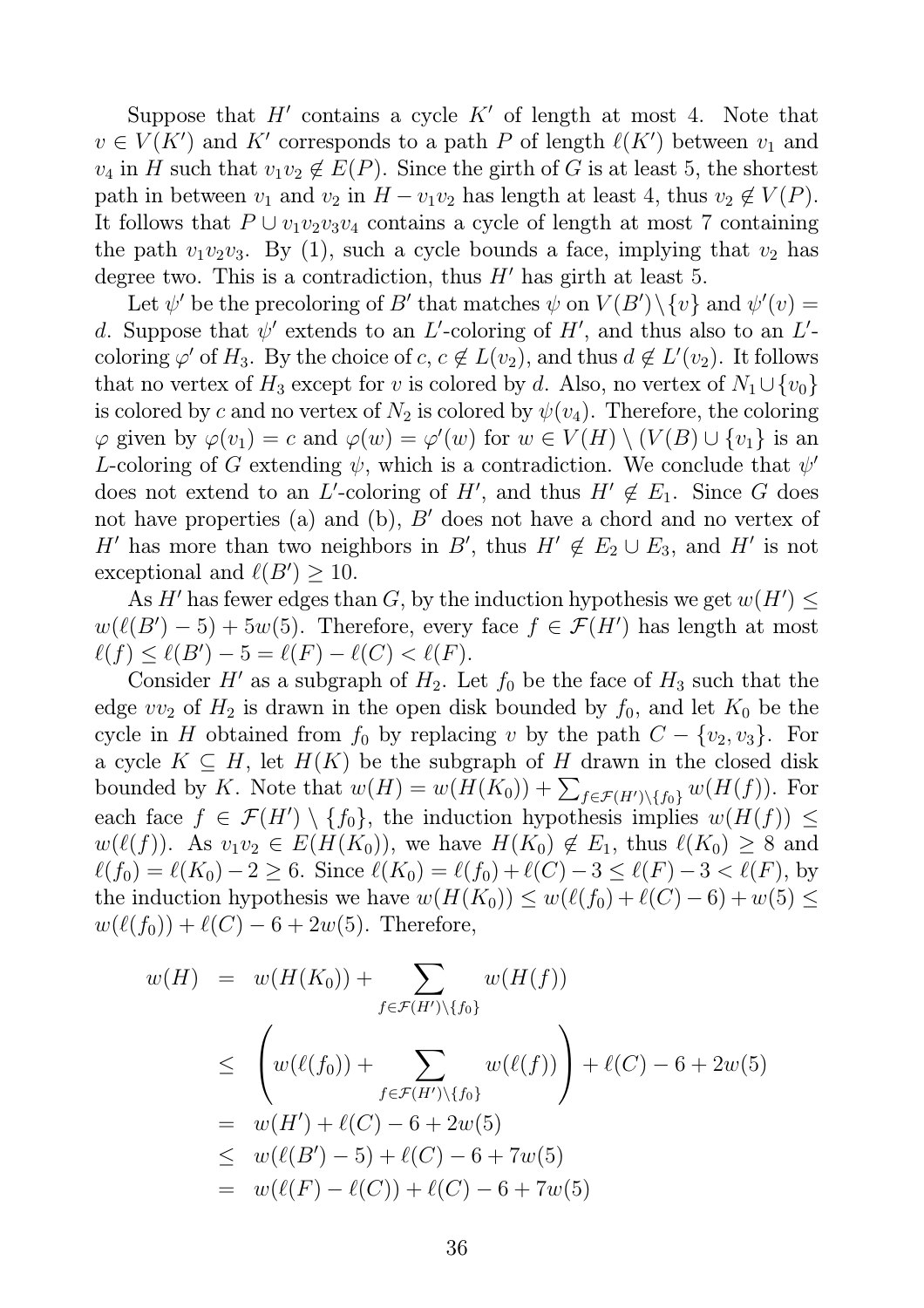Suppose that  $H'$  contains a cycle  $K'$  of length at most 4. Note that  $v \in V(K')$  and K' corresponds to a path P of length  $\ell(K')$  between  $v_1$  and  $v_4$  in H such that  $v_1v_2 \notin E(P)$ . Since the girth of G is at least 5, the shortest path in between  $v_1$  and  $v_2$  in  $H - v_1v_2$  has length at least 4, thus  $v_2 \notin V(P)$ . It follows that  $P \cup v_1v_2v_3v_4$  contains a cycle of length at most 7 containing the path  $v_1v_2v_3$ . By (1), such a cycle bounds a face, implying that  $v_2$  has degree two. This is a contradiction, thus  $H'$  has girth at least 5.

Let  $\psi'$  be the precoloring of B' that matches  $\psi$  on  $V(B')\setminus\{v\}$  and  $\psi'(v) =$ d. Suppose that  $\psi'$  extends to an L'-coloring of H', and thus also to an L'coloring  $\varphi'$  of  $H_3$ . By the choice of  $c, c \notin L(v_2)$ , and thus  $d \notin L'(v_2)$ . It follows that no vertex of  $H_3$  except for v is colored by d. Also, no vertex of  $N_1 \cup \{v_0\}$ is colored by c and no vertex of  $N_2$  is colored by  $\psi(v_4)$ . Therefore, the coloring  $\varphi$  given by  $\varphi(v_1) = c$  and  $\varphi(w) = \varphi'(w)$  for  $w \in V(H) \setminus (V(B) \cup \{v_1\})$  is an L-coloring of G extending  $\psi$ , which is a contradiction. We conclude that  $\psi'$ does not extend to an L'-coloring of H', and thus  $H' \notin E_1$ . Since G does not have properties (a) and (b), B' does not have a chord and no vertex of H' has more than two neighbors in B', thus  $H' \notin E_2 \cup E_3$ , and H' is not exceptional and  $\ell(B') \geq 10$ .

As H' has fewer edges than G, by the induction hypothesis we get  $w(H') \leq$  $w(\ell(B')-5)+5w(5)$ . Therefore, every face  $f \in \mathcal{F}(H')$  has length at most  $\ell(f) \leq \ell(B') - 5 = \ell(F) - \ell(C) < \ell(F).$ 

Consider H' as a subgraph of  $H_2$ . Let  $f_0$  be the face of  $H_3$  such that the edge  $vv_2$  of  $H_2$  is drawn in the open disk bounded by  $f_0$ , and let  $K_0$  be the cycle in H obtained from  $f_0$  by replacing v by the path  $C - \{v_2, v_3\}$ . For a cycle  $K \subseteq H$ , let  $H(K)$  be the subgraph of H drawn in the closed disk bounded by K. Note that  $w(H) = w(H(K_0)) + \sum_{f \in \mathcal{F}(H') \setminus \{f_0\}} w(H(f))$ . For each face  $f \in \mathcal{F}(H') \setminus \{f_0\}$ , the induction hypothesis implies  $w(H(f)) \leq$  $w(\ell(f))$ . As  $v_1v_2 \in E(H(K_0))$ , we have  $H(K_0) \not\in E_1$ , thus  $\ell(K_0) \geq 8$  and  $\ell(f_0) = \ell(K_0) - 2 \geq 6$ . Since  $\ell(K_0) = \ell(f_0) + \ell(C) - 3 \leq \ell(F) - 3 < \ell(F)$ , by the induction hypothesis we have  $w(H(K_0)) \leq w(\ell(f_0) + \ell(C) - 6) + w(5) \leq$  $w(\ell(f_0)) + \ell(C) - 6 + 2w(5)$ . Therefore,

$$
w(H) = w(H(K_0)) + \sum_{f \in \mathcal{F}(H') \setminus \{f_0\}} w(H(f))
$$
  
\n
$$
\leq \left( w(\ell(f_0)) + \sum_{f \in \mathcal{F}(H') \setminus \{f_0\}} w(\ell(f)) \right) + \ell(C) - 6 + 2w(5)
$$
  
\n
$$
= w(H') + \ell(C) - 6 + 2w(5)
$$
  
\n
$$
\leq w(\ell(B') - 5) + \ell(C) - 6 + 7w(5)
$$
  
\n
$$
= w(\ell(F) - \ell(C)) + \ell(C) - 6 + 7w(5)
$$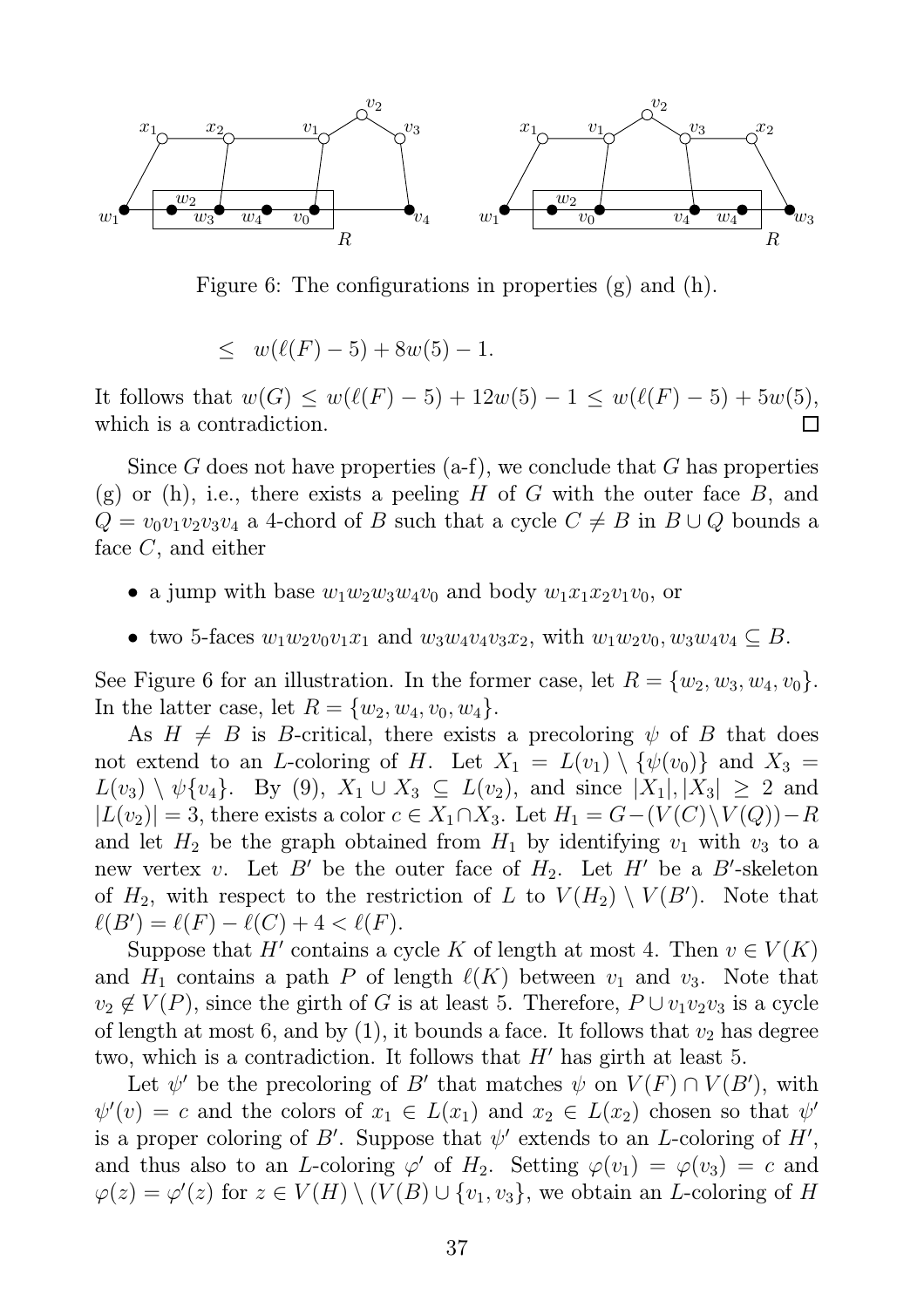

Figure 6: The configurations in properties (g) and (h).

$$
\leq w(\ell(F) - 5) + 8w(5) - 1.
$$

It follows that  $w(G) \le w(\ell(F) - 5) + 12w(5) - 1 \le w(\ell(F) - 5) + 5w(5)$ , which is a contradiction.  $\Box$ 

Since G does not have properties  $(a-f)$ , we conclude that G has properties (g) or (h), i.e., there exists a peeling H of G with the outer face B, and  $Q = v_0v_1v_2v_3v_4$  a 4-chord of B such that a cycle  $C \neq B$  in  $B \cup Q$  bounds a face  $C$ , and either

- a jump with base  $w_1w_2w_3w_4v_0$  and body  $w_1x_1x_2v_1v_0$ , or
- two 5-faces  $w_1w_2v_0v_1x_1$  and  $w_3w_4v_4v_3x_2$ , with  $w_1w_2v_0$ ,  $w_3w_4v_4 \subseteq B$ .

See Figure 6 for an illustration. In the former case, let  $R = \{w_2, w_3, w_4, v_0\}.$ In the latter case, let  $R = \{w_2, w_4, v_0, w_4\}.$ 

As  $H \neq B$  is B-critical, there exists a precoloring  $\psi$  of B that does not extend to an L-coloring of H. Let  $X_1 = L(v_1) \setminus {\psi(v_0)}$  and  $X_3 =$  $L(v_3) \setminus \psi\{v_4\}.$  By (9),  $X_1 \cup X_3 \subseteq L(v_2)$ , and since  $|X_1|, |X_3| \geq 2$  and  $|L(v_2)| = 3$ , there exists a color  $c \in X_1 \cap X_3$ . Let  $H_1 = G - (V(C) \setminus V(Q)) - R$ and let  $H_2$  be the graph obtained from  $H_1$  by identifying  $v_1$  with  $v_3$  to a new vertex v. Let B' be the outer face of  $H_2$ . Let H' be a B'-skeleton of  $H_2$ , with respect to the restriction of L to  $V(H_2) \setminus V(B')$ . Note that  $\ell(B') = \ell(F) - \ell(C) + 4 < \ell(F).$ 

Suppose that H' contains a cycle K of length at most 4. Then  $v \in V(K)$ and  $H_1$  contains a path P of length  $\ell(K)$  between  $v_1$  and  $v_3$ . Note that  $v_2 \notin V(P)$ , since the girth of G is at least 5. Therefore,  $P \cup v_1v_2v_3$  is a cycle of length at most 6, and by (1), it bounds a face. It follows that  $v_2$  has degree two, which is a contradiction. It follows that  $H'$  has girth at least 5.

Let  $\psi'$  be the precoloring of B' that matches  $\psi$  on  $V(F) \cap V(B')$ , with  $\psi'(v) = c$  and the colors of  $x_1 \in L(x_1)$  and  $x_2 \in L(x_2)$  chosen so that  $\psi'$ is a proper coloring of B'. Suppose that  $\psi'$  extends to an L-coloring of H', and thus also to an L-coloring  $\varphi'$  of  $H_2$ . Setting  $\varphi(v_1) = \varphi(v_3) = c$  and  $\varphi(z) = \varphi'(z)$  for  $z \in V(H) \setminus (V(B) \cup \{v_1, v_3\}$ , we obtain an L-coloring of H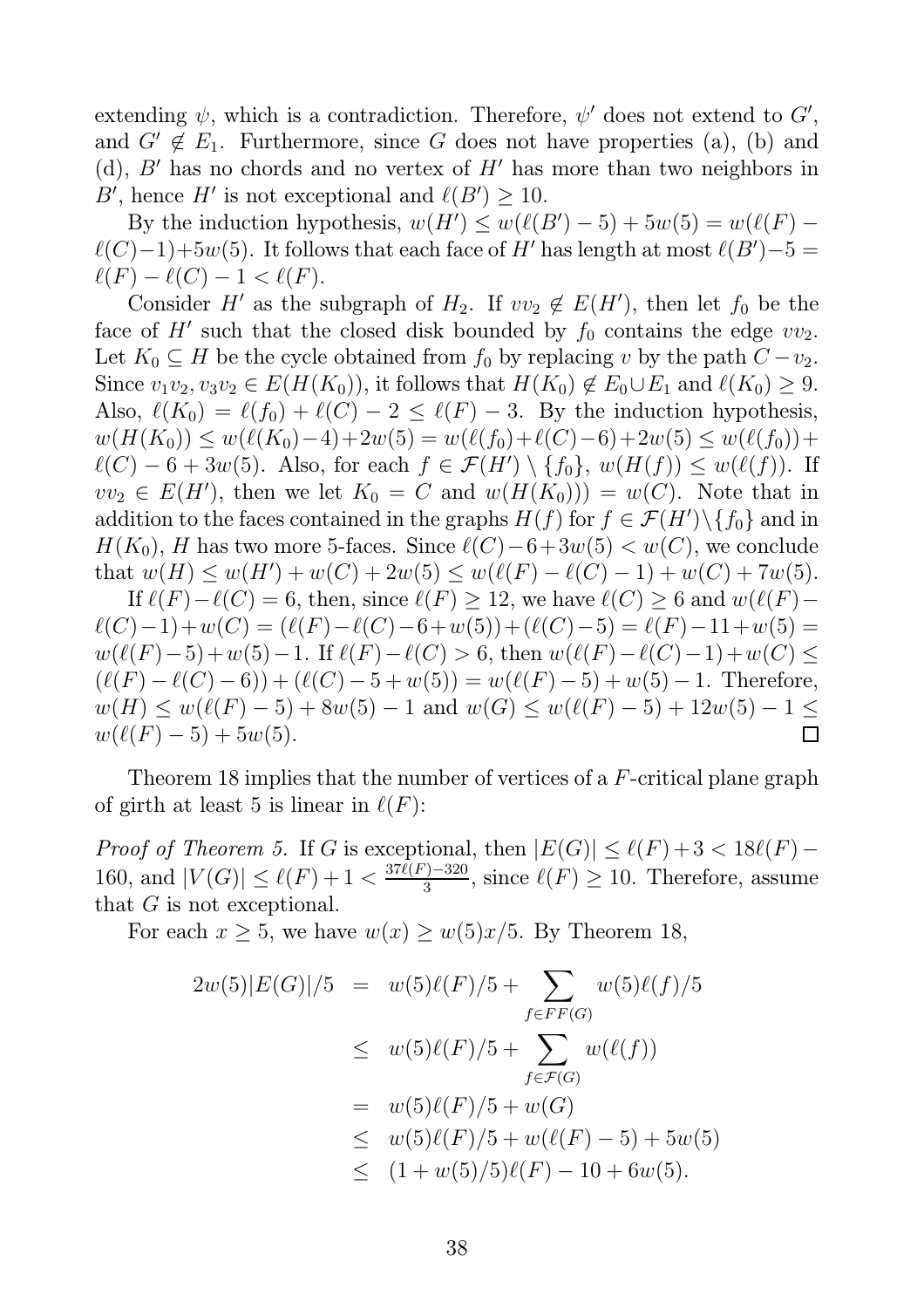extending  $\psi$ , which is a contradiction. Therefore,  $\psi'$  does not extend to  $G'$ , and  $G' \notin E_1$ . Furthermore, since G does not have properties (a), (b) and (d),  $B'$  has no chords and no vertex of  $H'$  has more than two neighbors in B', hence H' is not exceptional and  $\ell(B') \geq 10$ .

By the induction hypothesis,  $w(H') \le w(\ell(B') - 5) + 5w(5) = w(\ell(F) - 5)$  $\ell(C)-1)+5w(5)$ . It follows that each face of H' has length at most  $\ell(B')-5=$  $\ell(F) - \ell(C) - 1 < \ell(F).$ 

Consider H' as the subgraph of  $H_2$ . If  $vv_2 \notin E(H')$ , then let  $f_0$  be the face of  $H'$  such that the closed disk bounded by  $f_0$  contains the edge  $vv_2$ . Let  $K_0 \subseteq H$  be the cycle obtained from  $f_0$  by replacing v by the path  $C - v_2$ . Since  $v_1v_2, v_3v_2 \in E(H(K_0))$ , it follows that  $H(K_0) \not\in E_0 \cup E_1$  and  $\ell(K_0) \geq 9$ . Also,  $\ell(K_0) = \ell(f_0) + \ell(C) - 2 \leq \ell(F) - 3$ . By the induction hypothesis,  $w(H(K_0)) \leq w(\ell(K_0)-4)+2w(5) = w(\ell(f_0)+\ell(C)-6)+2w(5) \leq w(\ell(f_0))+$  $\ell(C) - 6 + 3w(5)$ . Also, for each  $f \in \mathcal{F}(H') \setminus \{f_0\}$ ,  $w(H(f)) \leq w(\ell(f))$ . If  $vv_2 \in E(H')$ , then we let  $K_0 = C$  and  $w(H(K_0))) = w(C)$ . Note that in addition to the faces contained in the graphs  $H(f)$  for  $f \in \mathcal{F}(H') \setminus \{f_0\}$  and in  $H(K_0)$ , H has two more 5-faces. Since  $\ell(C)-6+3w(5) < w(C)$ , we conclude that  $w(H) \le w(H') + w(C) + 2w(5) \le w(\ell(F) - \ell(C) - 1) + w(C) + 7w(5)$ .

If  $\ell(F) - \ell(C) = 6$ , then, since  $\ell(F) \ge 12$ , we have  $\ell(C) \ge 6$  and  $w(\ell(F) \ell(C)-1)+w(C)=(\ell(F)-\ell(C)-6+w(5))+(\ell(C)-5)=\ell(F)-11+w(5)=$  $w(\ell(F)-5)+w(5)-1$ . If  $\ell(F)-\ell(C) > 6$ , then  $w(\ell(F)-\ell(C)-1)+w(C) \le$  $(\ell(F) - \ell(C) - 6) + (\ell(C) - 5 + w(5)) = w(\ell(F) - 5) + w(5) - 1$ . Therefore,  $w(H) \leq w(\ell(F) - 5) + 8w(5) - 1$  and  $w(G) \leq w(\ell(F) - 5) + 12w(5) - 1 \leq$  $w(\ell(F) - 5) + 5w(5)$ .  $\Box$ 

Theorem 18 implies that the number of vertices of a F-critical plane graph of girth at least 5 is linear in  $\ell(F)$ :

*Proof of Theorem 5.* If G is exceptional, then  $|E(G)| \leq \ell(F) + 3 < 18\ell(F) -$ 160, and  $|V(G)| \leq \ell(F) + 1 < \frac{37\ell(F) - 320}{3}$  $\frac{1}{3}$ , since  $\ell(F) \ge 10$ . Therefore, assume that  $G$  is not exceptional.

For each  $x \ge 5$ , we have  $w(x) \ge w(5)x/5$ . By Theorem 18,

$$
2w(5)|E(G)|/5 = w(5)\ell(F)/5 + \sum_{f \in FF(G)} w(5)\ell(f)/5
$$
  
\n
$$
\leq w(5)\ell(F)/5 + \sum_{f \in \mathcal{F}(G)} w(\ell(f))
$$
  
\n
$$
= w(5)\ell(F)/5 + w(G)
$$
  
\n
$$
\leq w(5)\ell(F)/5 + w(\ell(F) - 5) + 5w(5)
$$
  
\n
$$
\leq (1 + w(5)/5)\ell(F) - 10 + 6w(5).
$$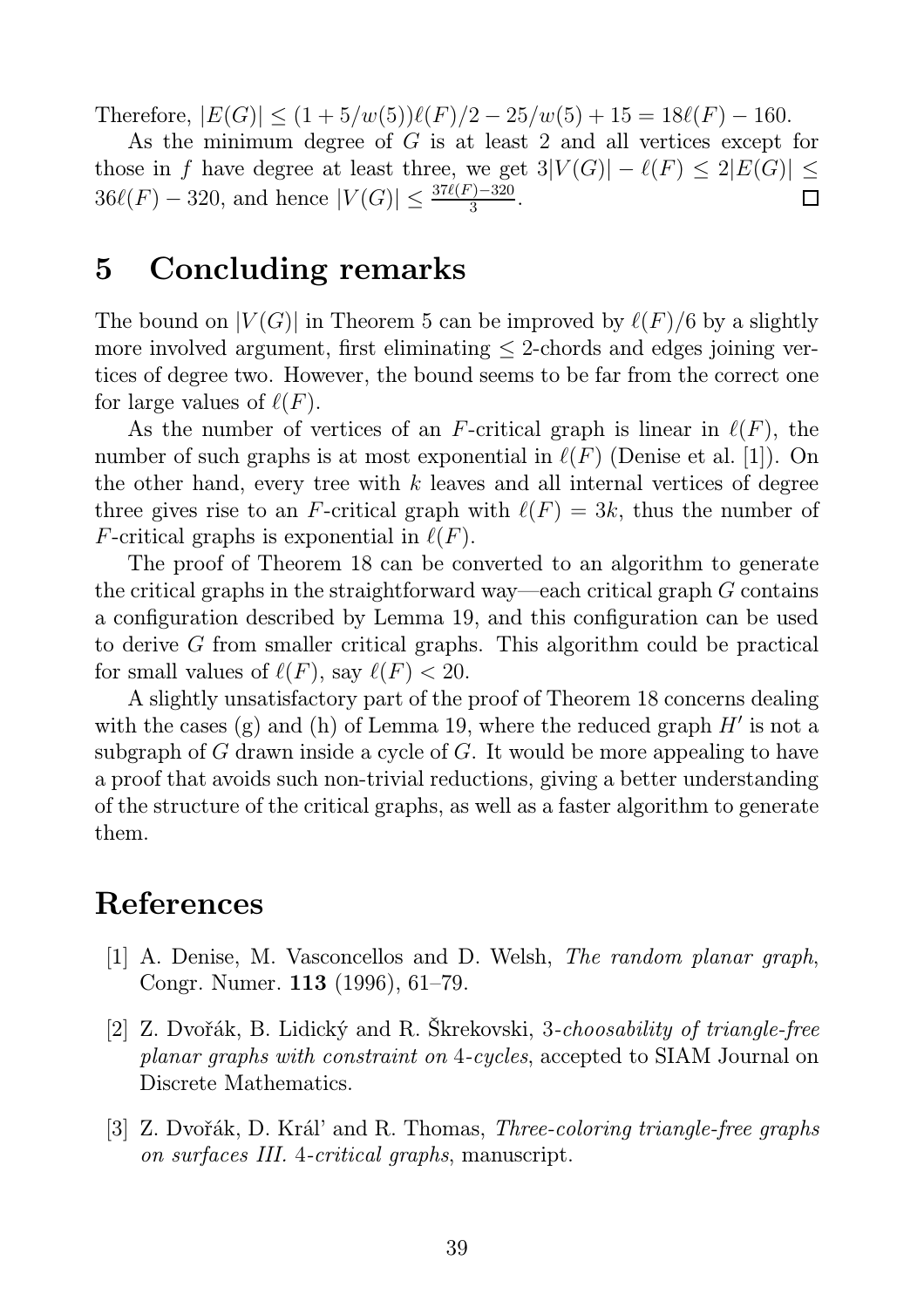Therefore,  $|E(G)| \leq (1 + 5/w(5))\ell(F)/2 - 25/w(5) + 15 = 18\ell(F) - 160$ .

As the minimum degree of G is at least 2 and all vertices except for those in f have degree at least three, we get  $3|V(G)| - \ell(F) \leq 2|E(G)| \leq$  $36\ell(F) - 320$ , and hence  $|V(G)| \le \frac{37\ell(F) - 320}{3}$ .  $\Box$ 

## 5 Concluding remarks

The bound on  $|V(G)|$  in Theorem 5 can be improved by  $\ell(F)/6$  by a slightly more involved argument, first eliminating  $\leq$  2-chords and edges joining vertices of degree two. However, the bound seems to be far from the correct one for large values of  $\ell(F)$ .

As the number of vertices of an F-critical graph is linear in  $\ell(F)$ , the number of such graphs is at most exponential in  $\ell(F)$  (Denise et al. [1]). On the other hand, every tree with  $k$  leaves and all internal vertices of degree three gives rise to an F-critical graph with  $\ell(F) = 3k$ , thus the number of F-critical graphs is exponential in  $\ell(F)$ .

The proof of Theorem 18 can be converted to an algorithm to generate the critical graphs in the straightforward way—each critical graph  $G$  contains a configuration described by Lemma 19, and this configuration can be used to derive G from smaller critical graphs. This algorithm could be practical for small values of  $\ell(F)$ , say  $\ell(F) < 20$ .

A slightly unsatisfactory part of the proof of Theorem 18 concerns dealing with the cases (g) and (h) of Lemma 19, where the reduced graph  $H'$  is not a subgraph of G drawn inside a cycle of G. It would be more appealing to have a proof that avoids such non-trivial reductions, giving a better understanding of the structure of the critical graphs, as well as a faster algorithm to generate them.

### References

- [1] A. Denise, M. Vasconcellos and D. Welsh, *The random planar graph*, Congr. Numer. 113 (1996), 61–79.
- [2] Z. Dvořák, B. Lidický and R. Škrekovski, 3*-choosability of triangle-free planar graphs with constraint on* 4*-cycles*, accepted to SIAM Journal on Discrete Mathematics.
- [3] Z. Dvořák, D. Král' and R. Thomas, *Three-coloring triangle-free graphs on surfaces III.* 4*-critical graphs*, manuscript.